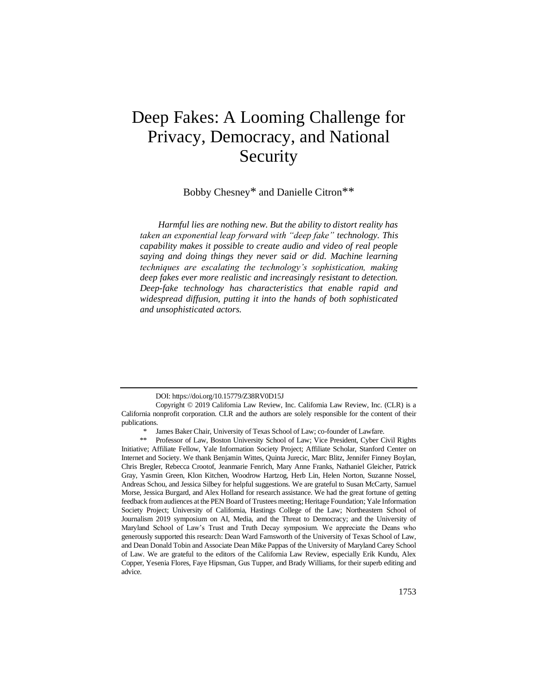# Deep Fakes: A Looming Challenge for Privacy, Democracy, and National Security

Bobby Chesney\* and Danielle Citron\*\*

*Harmful lies are nothing new. But the ability to distort reality has taken an exponential leap forward with "deep fake" technology. This capability makes it possible to create audio and video of real people saying and doing things they never said or did. Machine learning techniques are escalating the technology's sophistication, making deep fakes ever more realistic and increasingly resistant to detection. Deep-fake technology has characteristics that enable rapid and widespread diffusion, putting it into the hands of both sophisticated and unsophisticated actors.*

DOI: https://doi.org/10.15779/Z38RV0D15J

Copyright © 2019 California Law Review, Inc. California Law Review, Inc. (CLR) is a California nonprofit corporation. CLR and the authors are solely responsible for the content of their publications.

James Baker Chair, University of Texas School of Law; co-founder of Lawfare.

<sup>\*\*</sup> Professor of Law, Boston University School of Law; Vice President, Cyber Civil Rights Initiative; Affiliate Fellow, Yale Information Society Project; Affiliate Scholar, Stanford Center on Internet and Society. We thank Benjamin Wittes, Quinta Jurecic, Marc Blitz, Jennifer Finney Boylan, Chris Bregler, Rebecca Crootof, Jeanmarie Fenrich, Mary Anne Franks, Nathaniel Gleicher, Patrick Gray, Yasmin Green, Klon Kitchen, Woodrow Hartzog, Herb Lin, Helen Norton, Suzanne Nossel, Andreas Schou, and Jessica Silbey for helpful suggestions. We are grateful to Susan McCarty, Samuel Morse, Jessica Burgard, and Alex Holland for research assistance. We had the great fortune of getting feedback from audiences at the PEN Board of Trustees meeting; Heritage Foundation; Yale Information Society Project; University of California, Hastings College of the Law; Northeastern School of Journalism 2019 symposium on AI, Media, and the Threat to Democracy; and the University of Maryland School of Law's Trust and Truth Decay symposium. We appreciate the Deans who generously supported this research: Dean Ward Farnsworth of the University of Texas School of Law, and Dean Donald Tobin and Associate Dean Mike Pappas of the University of Maryland Carey School of Law. We are grateful to the editors of the California Law Review, especially Erik Kundu, Alex Copper, Yesenia Flores, Faye Hipsman, Gus Tupper, and Brady Williams, for their superb editing and advice.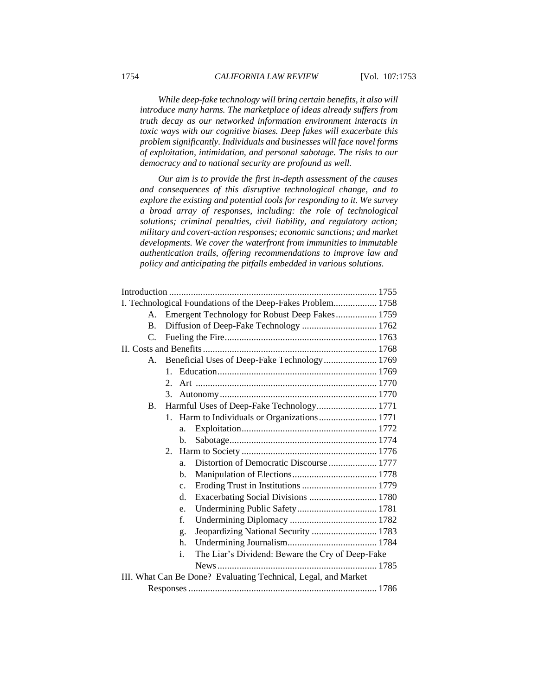*While deep-fake technology will bring certain benefits, it also will introduce many harms. The marketplace of ideas already suffers from truth decay as our networked information environment interacts in toxic ways with our cognitive biases. Deep fakes will exacerbate this problem significantly. Individuals and businesses will face novel forms of exploitation, intimidation, and personal sabotage. The risks to our democracy and to national security are profound as well.*

*Our aim is to provide the first in-depth assessment of the causes and consequences of this disruptive technological change, and to explore the existing and potential tools for responding to it. We survey a broad array of responses, including: the role of technological solutions; criminal penalties, civil liability, and regulatory action; military and covert-action responses; economic sanctions; and market developments. We cover the waterfront from immunities to immutable authentication trails, offering recommendations to improve law and policy and anticipating the pitfalls embedded in various solutions.*

| I. Technological Foundations of the Deep-Fakes Problem 1758    |             |                                                        |  |  |  |
|----------------------------------------------------------------|-------------|--------------------------------------------------------|--|--|--|
|                                                                | A.          | Emergent Technology for Robust Deep Fakes 1759         |  |  |  |
|                                                                | <b>B.</b>   | Diffusion of Deep-Fake Technology  1762                |  |  |  |
|                                                                | $C_{\cdot}$ |                                                        |  |  |  |
|                                                                |             |                                                        |  |  |  |
|                                                                | $A_{\cdot}$ | Beneficial Uses of Deep-Fake Technology 1769           |  |  |  |
|                                                                |             | $1_{-}$                                                |  |  |  |
|                                                                |             | $2_{1}$                                                |  |  |  |
|                                                                |             | 3.                                                     |  |  |  |
|                                                                | <b>B.</b>   | Harmful Uses of Deep-Fake Technology 1771              |  |  |  |
|                                                                |             |                                                        |  |  |  |
|                                                                |             | a.                                                     |  |  |  |
|                                                                |             | b.                                                     |  |  |  |
|                                                                |             | 2.                                                     |  |  |  |
|                                                                |             | Distortion of Democratic Discourse  1777<br>a.         |  |  |  |
|                                                                |             | h.                                                     |  |  |  |
|                                                                |             | C <sub>1</sub>                                         |  |  |  |
|                                                                |             | Exacerbating Social Divisions  1780<br>d.              |  |  |  |
|                                                                |             | e.                                                     |  |  |  |
|                                                                |             | f.                                                     |  |  |  |
|                                                                |             | Jeopardizing National Security  1783<br>g.             |  |  |  |
|                                                                |             | h.                                                     |  |  |  |
|                                                                |             | The Liar's Dividend: Beware the Cry of Deep-Fake<br>i. |  |  |  |
|                                                                |             |                                                        |  |  |  |
| III. What Can Be Done? Evaluating Technical, Legal, and Market |             |                                                        |  |  |  |
|                                                                |             |                                                        |  |  |  |
|                                                                |             |                                                        |  |  |  |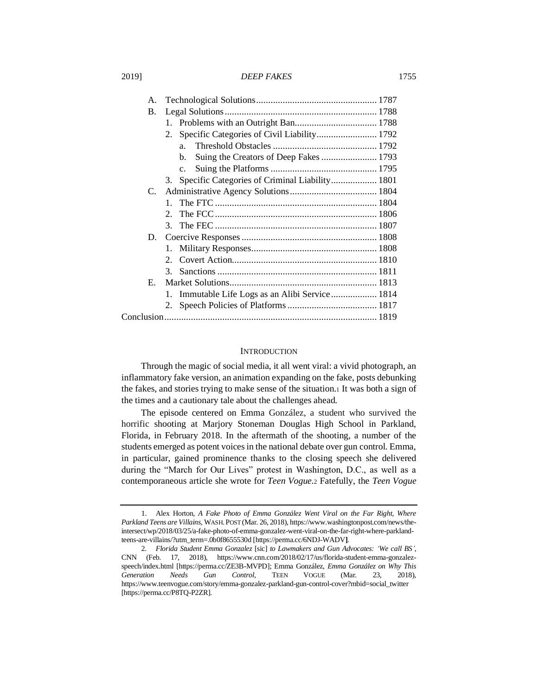| Α. |                                                   |  |
|----|---------------------------------------------------|--|
| B. |                                                   |  |
|    |                                                   |  |
|    | Specific Categories of Civil Liability 1792<br>2. |  |
|    | a <sub>z</sub>                                    |  |
|    | Suing the Creators of Deep Fakes  1793<br>b.      |  |
|    | $c_{\rm}$                                         |  |
|    | 3. Specific Categories of Criminal Liability 1801 |  |
| C. |                                                   |  |
|    | $\mathbf{1}$                                      |  |
|    | $2_{-}$                                           |  |
|    |                                                   |  |
| D. |                                                   |  |
|    |                                                   |  |
|    |                                                   |  |
|    | 3 <sub>1</sub>                                    |  |
| E. |                                                   |  |
|    | 1. Immutable Life Logs as an Alibi Service  1814  |  |
|    | 2.                                                |  |
|    |                                                   |  |
|    |                                                   |  |

# <span id="page-2-0"></span>**INTRODUCTION**

Through the magic of social media, it all went viral: a vivid photograph, an inflammatory fake version, an animation expanding on the fake, posts debunking the fakes, and stories trying to make sense of the situation.<sup>1</sup> It was both a sign of the times and a cautionary tale about the challenges ahead.

The episode centered on Emma González, a student who survived the horrific shooting at Marjory Stoneman Douglas High School in Parkland, Florida, in February 2018. In the aftermath of the shooting, a number of the students emerged as potent voices in the national debate over gun control. Emma, in particular, gained prominence thanks to the closing speech she delivered during the "March for Our Lives" protest in Washington, D.C., as well as a contemporaneous article she wrote for *Teen Vogue.*<sup>2</sup> Fatefully, the *Teen Vogue* 

<sup>1.</sup> Alex Horton, *A Fake Photo of Emma González Went Viral on the Far Right, Where Parkland Teens are Villains*, WASH.POST (Mar. 26, 2018), https://www.washingtonpost.com/news/theintersect/wp/2018/03/25/a-fake-photo-of-emma-gonzalez-went-viral-on-the-far-right-where-parklandteens-are-villains/?utm\_term=.0b0f8655530d [https://perma.cc/6NDJ-WADV**]**.

<sup>2</sup>*. Florida Student Emma Gonzalez* [sic] *to Lawmakers and Gun Advocates: 'We call BS'*, CNN (Feb. 17, 2018), https://www.cnn.com/2018/02/17/us/florida-student-emma-gonzalezspeech/index.html [https://perma.cc/ZE3B-MVPD]; Emma González, *Emma González on Why This Generation Needs Gun Control*, TEEN VOGUE (Mar. 23, 2018), https://www.teenvogue.com/story/emma-gonzalez-parkland-gun-control-cover?mbid=social\_twitter [https://perma.cc/P8TQ-P2ZR].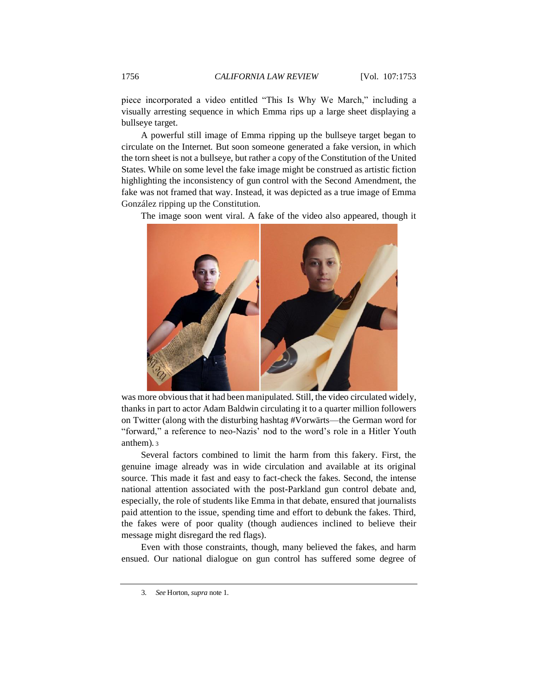piece incorporated a video entitled "This Is Why We March," including a visually arresting sequence in which Emma rips up a large sheet displaying a bullseye target.

A powerful still image of Emma ripping up the bullseye target began to circulate on the Internet. But soon someone generated a fake version, in which the torn sheet is not a bullseye, but rather a copy of the Constitution of the United States. While on some level the fake image might be construed as artistic fiction highlighting the inconsistency of gun control with the Second Amendment, the fake was not framed that way. Instead, it was depicted as a true image of Emma González ripping up the Constitution.

The image soon went viral. A fake of the video also appeared, though it



was more obvious that it had been manipulated. Still, the video circulated widely, thanks in part to actor Adam Baldwin circulating it to a quarter million followers on Twitter (along with the disturbing hashtag #Vorwärts—the German word for "forward," a reference to neo-Nazis' nod to the word's role in a Hitler Youth anthem). <sup>3</sup>

Several factors combined to limit the harm from this fakery. First, the genuine image already was in wide circulation and available at its original source. This made it fast and easy to fact-check the fakes. Second, the intense national attention associated with the post-Parkland gun control debate and, especially, the role of students like Emma in that debate, ensured that journalists paid attention to the issue, spending time and effort to debunk the fakes. Third, the fakes were of poor quality (though audiences inclined to believe their message might disregard the red flags).

Even with those constraints, though, many believed the fakes, and harm ensued. Our national dialogue on gun control has suffered some degree of

<sup>3</sup>*. See* Horton, *supra* not[e 1.](#page-2-0)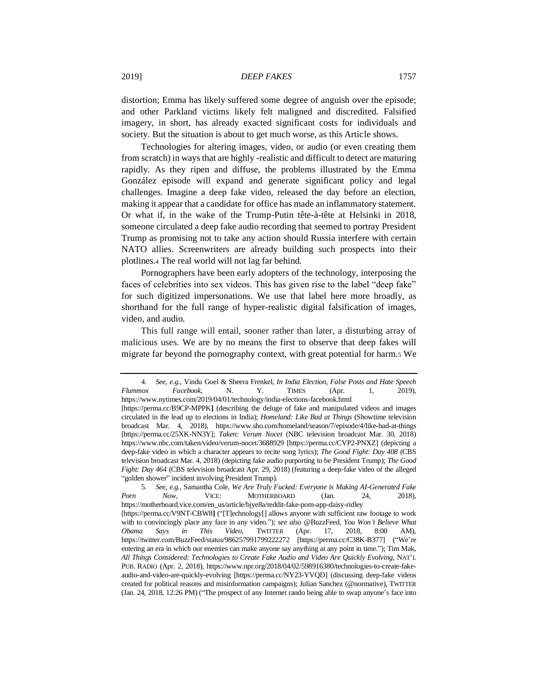distortion; Emma has likely suffered some degree of anguish over the episode; and other Parkland victims likely felt maligned and discredited. Falsified imagery, in short, has already exacted significant costs for individuals and society. But the situation is about to get much worse, as this Article shows.

Technologies for altering images, video, or audio (or even creating them from scratch) in ways that are highly -realistic and difficult to detect are maturing rapidly. As they ripen and diffuse, the problems illustrated by the Emma González episode will expand and generate significant policy and legal challenges. Imagine a deep fake video, released the day before an election, making it appear that a candidate for office has made an inflammatory statement. Or what if, in the wake of the Trump-Putin tête-à-tête at Helsinki in 2018, someone circulated a deep fake audio recording that seemed to portray President Trump as promising not to take any action should Russia interfere with certain NATO allies. Screenwriters are already building such prospects into their plotlines.<sup>4</sup> The real world will not lag far behind.

Pornographers have been early adopters of the technology, interposing the faces of celebrities into sex videos. This has given rise to the label "deep fake" for such digitized impersonations. We use that label here more broadly, as shorthand for the full range of hyper-realistic digital falsification of images, video, and audio.

<span id="page-4-0"></span>This full range will entail, sooner rather than later, a disturbing array of malicious uses. We are by no means the first to observe that deep fakes will migrate far beyond the pornography context, with great potential for harm.<sup>5</sup> We

<sup>4</sup>*. See, e.g.*, Vindu Goel & Sheera Frenkel, *In India Election, False Posts and Hate Speech Flummox Facebook*, N. Y. TIMES (Apr. 1, 2019), https://www.nytimes.com/2019/04/01/technology/india-elections-facebook.html [https://perma.cc/B9CP-MPPK**]** (describing the deluge of fake and manipulated videos and images circulated in the lead up to elections in India); *Homeland: Like Bad at Things* (Showtime television broadcast Mar. 4, 2018), https://www.sho.com/homeland/season/7/episode/4/like-bad-at-things [https://perma.cc/25XK-NN3Y]; *Taken: Verum Nocet* (NBC television broadcast Mar. 30, 2018) https://www.nbc.com/taken/video/verum-nocet/3688929 [https://perma.cc/CVP2-PNXZ] (depicting a deep-fake video in which a character appears to recite song lyrics); *The Good Fight: Day 408* (CBS television broadcast Mar. 4, 2018) (depicting fake audio purporting to be President Trump); *The Good Fight: Day 464* (CBS television broadcast Apr. 29, 2018) (featuring a deep-fake video of the alleged "golden shower" incident involving President Trump).

<sup>5</sup>*. See, e.g.*, Samantha Cole, *We Are Truly Fucked: Everyone is Making AI-Generated Fake Porn Now*, VICE: MOTHERBOARD (Jan. 24, 2018), https://motherboard.vice.com/en\_us/article/bjye8a/reddit-fake-porn-app-daisy-ridley [https://perma.cc/V9NT-CBW8**]** ("[T]echnology[] allows anyone with sufficient raw footage to work with to convincingly place any face in any video."); *see also* @BuzzFeed, *You Won't Believe What Obama Says in This Video*, TWITTER (Apr. 17, 2018, 8:00 AM), https://twitter.com/BuzzFeed/status/986257991799222272 [https://perma.cc/C38K-B377] ("We're entering an era in which our enemies can make anyone say anything at any point in time."); Tim Mak, *All Things Considered: Technologies to Create Fake Audio and Video Are Quickly Evolving*, NAT'L PUB. RADIO (Apr. 2, 2018), https://www.npr.org/2018/04/02/598916380/technologies-to-create-fakeaudio-and-video-are-quickly-evolving [https://perma.cc/NY23-YVQD] (discussing deep-fake videos created for political reasons and misinformation campaigns); Julian Sanchez (@normative), TWITTER (Jan. 24, 2018, 12:26 PM) ("The prospect of any Internet rando being able to swap anyone's face into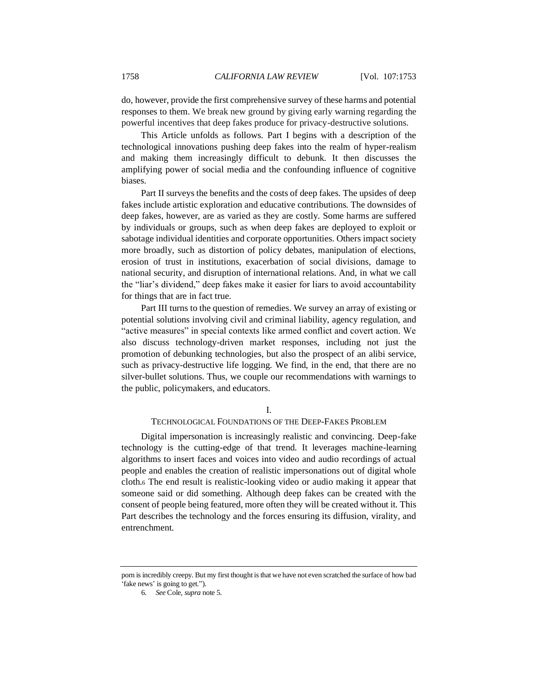do, however, provide the first comprehensive survey of these harms and potential responses to them. We break new ground by giving early warning regarding the powerful incentives that deep fakes produce for privacy-destructive solutions.

This Article unfolds as follows. Part I begins with a description of the technological innovations pushing deep fakes into the realm of hyper-realism and making them increasingly difficult to debunk. It then discusses the amplifying power of social media and the confounding influence of cognitive biases.

Part II surveys the benefits and the costs of deep fakes. The upsides of deep fakes include artistic exploration and educative contributions. The downsides of deep fakes, however, are as varied as they are costly. Some harms are suffered by individuals or groups, such as when deep fakes are deployed to exploit or sabotage individual identities and corporate opportunities. Others impact society more broadly, such as distortion of policy debates, manipulation of elections, erosion of trust in institutions, exacerbation of social divisions, damage to national security, and disruption of international relations. And, in what we call the "liar's dividend," deep fakes make it easier for liars to avoid accountability for things that are in fact true.

Part III turns to the question of remedies. We survey an array of existing or potential solutions involving civil and criminal liability, agency regulation, and "active measures" in special contexts like armed conflict and covert action. We also discuss technology-driven market responses, including not just the promotion of debunking technologies, but also the prospect of an alibi service, such as privacy-destructive life logging. We find, in the end, that there are no silver-bullet solutions. Thus, we couple our recommendations with warnings to the public, policymakers, and educators.

#### I.

#### TECHNOLOGICAL FOUNDATIONS OF THE DEEP-FAKES PROBLEM

Digital impersonation is increasingly realistic and convincing. Deep-fake technology is the cutting-edge of that trend. It leverages machine-learning algorithms to insert faces and voices into video and audio recordings of actual people and enables the creation of realistic impersonations out of digital whole cloth.<sup>6</sup> The end result is realistic-looking video or audio making it appear that someone said or did something. Although deep fakes can be created with the consent of people being featured, more often they will be created without it. This Part describes the technology and the forces ensuring its diffusion, virality, and entrenchment.

porn is incredibly creepy. But my first thought is that we have not even scratched the surface of how bad 'fake news' is going to get.").

<sup>6</sup>*. See* Cole, *supra* not[e 5.](#page-4-0)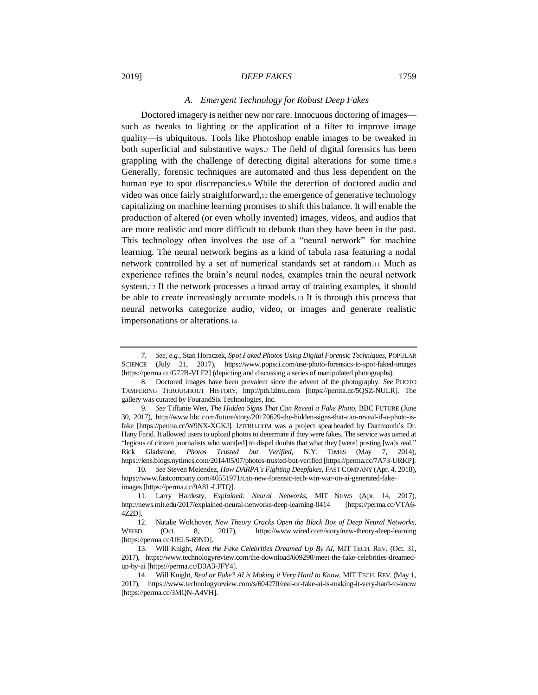# *A. Emergent Technology for Robust Deep Fakes*

Doctored imagery is neither new nor rare. Innocuous doctoring of images such as tweaks to lighting or the application of a filter to improve image quality—is ubiquitous. Tools like Photoshop enable images to be tweaked in both superficial and substantive ways.<sup>7</sup> The field of digital forensics has been grappling with the challenge of detecting digital alterations for some time.<sup>8</sup> Generally, forensic techniques are automated and thus less dependent on the human eye to spot discrepancies.<sup>9</sup> While the detection of doctored audio and video was once fairly straightforward,<sup>10</sup> the emergence of generative technology capitalizing on machine learning promises to shift this balance. It will enable the production of altered (or even wholly invented) images, videos, and audios that are more realistic and more difficult to debunk than they have been in the past. This technology often involves the use of a "neural network" for machine learning. The neural network begins as a kind of tabula rasa featuring a nodal network controlled by a set of numerical standards set at random.<sup>11</sup> Much as experience refines the brain's neural nodes, examples train the neural network system.<sup>12</sup> If the network processes a broad array of training examples, it should be able to create increasingly accurate models.<sup>13</sup> It is through this process that neural networks categorize audio, video, or images and generate realistic impersonations or alterations.<sup>14</sup>

<sup>7</sup>*. See, e.g.*, Stan Horaczek, *Spot Faked Photos Using Digital Forensic Techniques*, POPULAR SCIENCE (July 21, 2017), https://www.popsci.com/use-photo-forensics-to-spot-faked-images [https://perma.cc/G72B-VLF2] (depicting and discussing a series of manipulated photographs).

<sup>8.</sup> Doctored images have been prevalent since the advent of the photography. *See* PHOTO TAMPERING THROUGHOUT HISTORY, http://pth.izitru.com [https://perma.cc/5QSZ-NULR]. The gallery was curated by FourandSix Technologies, Inc.

<sup>9</sup>*. See* Tiffanie Wen, *The Hidden Signs That Can Reveal a Fake Photo*, BBC FUTURE (June 30, 2017), http://www.bbc.com/future/story/20170629-the-hidden-signs-that-can-reveal-if-a-photo-isfake [https://perma.cc/W9NX-XGKJ]. IZITRU.COM was a project spearheaded by Dartmouth's Dr. Hany Farid. It allowed users to upload photos to determine if they were fakes. The service was aimed at "legions of citizen journalists who want[ed] to dispel doubts that what they [were] posting [wa]s real." Rick Gladstone, *Photos Trusted but Verified*, N.Y. TIMES (May 7, 2014), https://lens.blogs.nytimes.com/2014/05/07/photos-trusted-but-verified [https://perma.cc/7A73-URKP].

<sup>10</sup>*. See* Steven Melendez, *How DARPA's Fighting Deepfakes*, FAST COMPANY (Apr. 4, 2018), https://www.fastcompany.com/40551971/can-new-forensic-tech-win-war-on-ai-generated-fakeimages [https://perma.cc/9A8L-LFTQ].

<sup>11.</sup> Larry Hardesty, *Explained: Neural Networks,* MIT NEWS (Apr. 14, 2017), http://news.mit.edu/2017/explained-neural-networks-deep-learning-0414 [https://perma.cc/VTA6- 4Z2D].

<sup>12.</sup> Natalie Wolchover, *New Theory Cracks Open the Black Box of Deep Neural Networks,* WIRED (Oct. 8, 2017), https://www.wired.com/story/new-theory-deep-learning [https://perma.cc/UEL5-69ND].

<sup>13.</sup> Will Knight, *Meet the Fake Celebrities Dreamed Up By AI*, MIT TECH. REV. (Oct. 31, 2017), https://www.technologyreview.com/the-download/609290/meet-the-fake-celebrities-dreamedup-by-ai [https://perma.cc/D3A3-JFY4].

<sup>14.</sup> Will Knight, *Real or Fake? AI is Making it Very Hard to Know,* MIT TECH. REV. (May 1, 2017), https://www.technologyreview.com/s/604270/real-or-fake-ai-is-making-it-very-hard-to-know [https://perma.cc/3MQN-A4VH].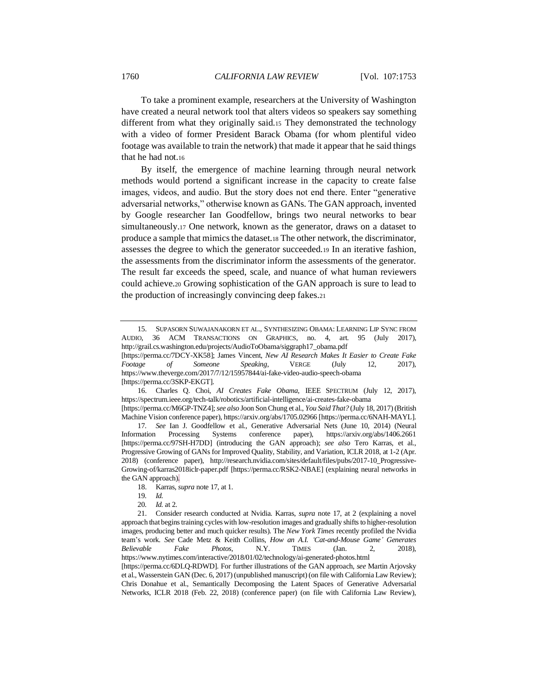To take a prominent example, researchers at the University of Washington have created a neural network tool that alters videos so speakers say something different from what they originally said.<sup>15</sup> They demonstrated the technology with a video of former President Barack Obama (for whom plentiful video footage was available to train the network) that made it appear that he said things that he had not.<sup>16</sup>

<span id="page-7-1"></span><span id="page-7-0"></span>By itself, the emergence of machine learning through neural network methods would portend a significant increase in the capacity to create false images, videos, and audio. But the story does not end there. Enter "generative adversarial networks," otherwise known as GANs. The GAN approach, invented by Google researcher Ian Goodfellow, brings two neural networks to bear simultaneously.<sup>17</sup> One network, known as the generator, draws on a dataset to produce a sample that mimics the dataset.<sup>18</sup> The other network, the discriminator, assesses the degree to which the generator succeeded.<sup>19</sup> In an iterative fashion, the assessments from the discriminator inform the assessments of the generator. The result far exceeds the speed, scale, and nuance of what human reviewers could achieve.<sup>20</sup> Growing sophistication of the GAN approach is sure to lead to the production of increasingly convincing deep fakes.<sup>21</sup>

<sup>15.</sup> SUPASORN SUWAJANAKORN ET AL., SYNTHESIZING OBAMA: LEARNING LIP SYNC FROM AUDIO, 36 ACM TRANSACTIONS ON GRAPHICS, no. 4, art. 95 (July 2017), http://grail.cs.washington.edu/projects/AudioToObama/siggraph17\_obama.pdf

<sup>[</sup>https://perma.cc/7DCY-XK58]; James Vincent, *New AI Research Makes It Easier to Create Fake Footage of Someone Speaking*, VERGE (July 12, 2017), https://www.theverge.com/2017/7/12/15957844/ai-fake-video-audio-speech-obama [https://perma.cc/3SKP-EKGT].

<sup>16.</sup> Charles Q. Choi*, AI Creates Fake Obama,* IEEE SPECTRUM (July 12, 2017), https://spectrum.ieee.org/tech-talk/robotics/artificial-intelligence/ai-creates-fake-obama

<sup>[</sup>https://perma.cc/M6GP-TNZ4]; *see also* Joon Son Chung et al., *You Said That?* (July 18, 2017) (British Machine Vision conference paper), https://arxiv.org/abs/1705.02966 [\[https://perma.cc/6NAH-MAYL\]](https://perma.cc/6NAH-MAYL).

<sup>17</sup>*. See* Ian J. Goodfellow et al., Generative Adversarial Nets (June 10, 2014) (Neural Information Processing Systems conference paper), https://arxiv.org/abs/1406.2661 [https://perma.cc/97SH-H7DD] (introducing the GAN approach); *see also* Tero Karras, et al., Progressive Growing of GANs for Improved Quality, Stability, and Variation, ICLR 2018, at 1-2 (Apr. 2018) (conference paper), http://research.nvidia.com/sites/default/files/pubs/2017-10\_Progressive-Growing-of/karras2018iclr-paper.pdf [https://perma.cc/RSK2-NBAE] (explaining neural networks in the GAN approach).

<sup>18.</sup> Karras, *supra* not[e 17,](#page-7-0) at 1.

<sup>19</sup>*. Id.*

<sup>20</sup>*. Id.* at 2.

<sup>21.</sup> Consider research conducted at Nvidia. Karras, *supra* note [17,](#page-7-0) at 2 (explaining a novel approach that begins training cycles with low-resolution images and gradually shifts to higher-resolution images, producing better and much quicker results). The *New York Times* recently profiled the Nvidia team's work. *See* Cade Metz & Keith Collins, *How an A.I. 'Cat-and-Mouse Game' Generates Believable Fake Photos*, N.Y. TIMES (Jan. 2, 2018), https://www.nytimes.com/interactive/2018/01/02/technology/ai-generated-photos.html

<sup>[</sup>https://perma.cc/6DLQ-RDWD]. For further illustrations of the GAN approach, *see* Martin Arjovsky et al., Wasserstein GAN (Dec. 6, 2017) (unpublished manuscript) (on file with California Law Review); Chris Donahue et al., Semantically Decomposing the Latent Spaces of Generative Adversarial Networks, ICLR 2018 (Feb. 22, 2018) (conference paper) (on file with California Law Review)*,*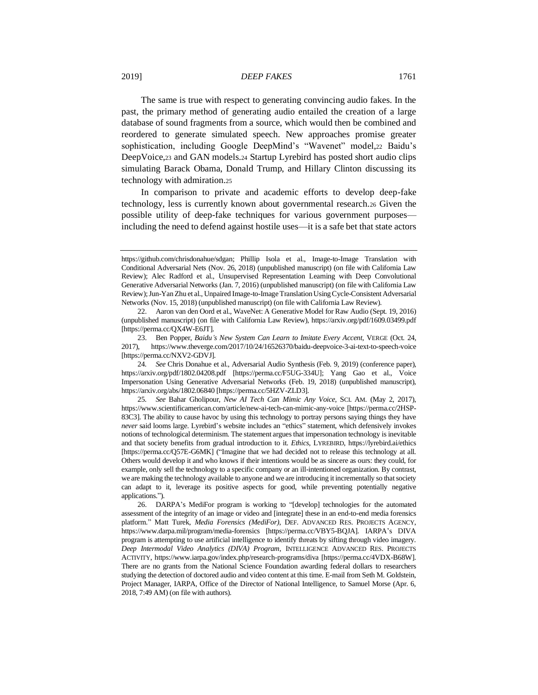The same is true with respect to generating convincing audio fakes. In the past, the primary method of generating audio entailed the creation of a large database of sound fragments from a source, which would then be combined and reordered to generate simulated speech. New approaches promise greater sophistication, including Google DeepMind's "Wavenet" model,<sup>22</sup> Baidu's DeepVoice,<sup>23</sup> and GAN models.<sup>24</sup> Startup Lyrebird has posted short audio clips simulating Barack Obama, Donald Trump, and Hillary Clinton discussing its technology with admiration.<sup>25</sup>

In comparison to private and academic efforts to develop deep-fake technology, less is currently known about governmental research.<sup>26</sup> Given the possible utility of deep-fake techniques for various government purposes including the need to defend against hostile uses—it is a safe bet that state actors

https://github.com/chrisdonahue/sdgan; Phillip Isola et al., Image-to-Image Translation with Conditional Adversarial Nets (Nov. 26, 2018) (unpublished manuscript) (on file with California Law Review); Alec Radford et al., Unsupervised Representation Learning with Deep Convolutional Generative Adversarial Networks (Jan. 7, 2016) (unpublished manuscript) (on file with California Law Review); Jun-Yan Zhu et al., Unpaired Image-to-Image Translation Using Cycle-Consistent Adversarial Networks (Nov. 15, 2018) (unpublished manuscript) (on file with California Law Review).

<sup>22.</sup> Aaron van den Oord et al., WaveNet: A Generative Model for Raw Audio (Sept. 19, 2016) (unpublished manuscript) (on file with California Law Review), https://arxiv.org/pdf/1609.03499.pdf [https://perma.cc/QX4W-E6JT].

<sup>23.</sup> Ben Popper, *Baidu's New System Can Learn to Imitate Every Accent*, VERGE (Oct. 24, 2017), https://www.theverge.com/2017/10/24/16526370/baidu-deepvoice-3-ai-text-to-speech-voice [https://perma.cc/NXV2-GDVJ].

<sup>24</sup>*. See* Chris Donahue et al., Adversarial Audio Synthesis (Feb. 9, 2019) (conference paper), https://arxiv.org/pdf/1802.04208.pdf [https://perma.cc/F5UG-334U]; Yang Gao et al., Voice Impersonation Using Generative Adversarial Networks (Feb. 19, 2018) (unpublished manuscript), https://arxiv.org/abs/1802.06840 [https://perma.cc/5HZV-ZLD3].

<sup>25</sup>*. See* Bahar Gholipour, *New AI Tech Can Mimic Any Voice*, SCI. AM. (May 2, 2017), https://www.scientificamerican.com/article/new-ai-tech-can-mimic-any-voice [https://perma.cc/2HSP-83C3]. The ability to cause havoc by using this technology to portray persons saying things they have *never* said looms large. Lyrebird's website includes an "ethics" statement, which defensively invokes notions of technological determinism. The statement argues that impersonation technology is inevitable and that society benefits from gradual introduction to it. *Ethics*, LYREBIRD, https://lyrebird.ai/ethics [https://perma.cc/Q57E-G6MK] ("Imagine that we had decided not to release this technology at all. Others would develop it and who knows if their intentions would be as sincere as ours: they could, for example, only sell the technology to a specific company or an ill-intentioned organization. By contrast, we are making the technology available to anyone and we are introducing it incrementally so that society can adapt to it, leverage its positive aspects for good, while preventing potentially negative applications.").

<sup>26.</sup> DARPA's MediFor program is working to "[develop] technologies for the automated assessment of the integrity of an image or video and [integrate] these in an end-to-end media forensics platform." Matt Turek, *Media Forensics (MediFor)*, DEF. ADVANCED RES. PROJECTS AGENCY, https://www.darpa.mil/program/media-forensics [https://perma.cc/VBY5-BQJA]. IARPA's DIVA program is attempting to use artificial intelligence to identify threats by sifting through video imagery. *Deep Intermodal Video Analytics (DIVA) Program*, INTELLIGENCE ADVANCED RES. PROJECTS ACTIVITY, https://www.iarpa.gov/index.php/research-programs/diva [https://perma.cc/4VDX-B68W]. There are no grants from the National Science Foundation awarding federal dollars to researchers studying the detection of doctored audio and video content at this time. E-mail from Seth M. Goldstein, Project Manager, IARPA, Office of the Director of National Intelligence, to Samuel Morse (Apr. 6, 2018, 7:49 AM) (on file with authors).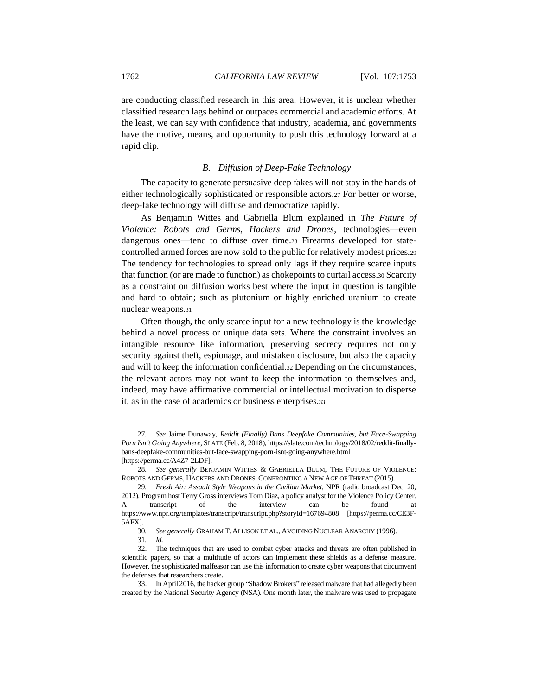are conducting classified research in this area. However, it is unclear whether classified research lags behind or outpaces commercial and academic efforts. At the least, we can say with confidence that industry, academia, and governments have the motive, means, and opportunity to push this technology forward at a rapid clip.

# *B. Diffusion of Deep-Fake Technology*

The capacity to generate persuasive deep fakes will not stay in the hands of either technologically sophisticated or responsible actors.<sup>27</sup> For better or worse, deep-fake technology will diffuse and democratize rapidly.

As Benjamin Wittes and Gabriella Blum explained in *The Future of Violence: Robots and Germs, Hackers and Drones*, technologies—even dangerous ones—tend to diffuse over time.<sup>28</sup> Firearms developed for statecontrolled armed forces are now sold to the public for relatively modest prices.<sup>29</sup> The tendency for technologies to spread only lags if they require scarce inputs that function (or are made to function) as chokepoints to curtail access.<sup>30</sup> Scarcity as a constraint on diffusion works best where the input in question is tangible and hard to obtain; such as plutonium or highly enriched uranium to create nuclear weapons.<sup>31</sup>

Often though, the only scarce input for a new technology is the knowledge behind a novel process or unique data sets. Where the constraint involves an intangible resource like information, preserving secrecy requires not only security against theft, espionage, and mistaken disclosure, but also the capacity and will to keep the information confidential.<sup>32</sup> Depending on the circumstances, the relevant actors may not want to keep the information to themselves and, indeed, may have affirmative commercial or intellectual motivation to disperse it, as in the case of academics or business enterprises.<sup>33</sup>

<sup>27</sup>*. See* Jaime Dunaway, *Reddit (Finally) Bans Deepfake Communities, but Face-Swapping Porn Isn't Going Anywhere*, SLATE (Feb. 8, 2018), https://slate.com/technology/2018/02/reddit-finallybans-deepfake-communities-but-face-swapping-porn-isnt-going-anywhere.html [https://perma.cc/A4Z7-2LDF].

<sup>28</sup>*. See generally* BENJAMIN WITTES & GABRIELLA BLUM, THE FUTURE OF VIOLENCE: ROBOTS AND GERMS, HACKERS AND DRONES.CONFRONTING A NEW AGE OF THREAT (2015).

<sup>29</sup>*. Fresh Air: Assault Style Weapons in the Civilian Market*, NPR (radio broadcast Dec. 20, 2012). Program host Terry Gross interviews Tom Diaz, a policy analyst for the Violence Policy Center. A transcript of the interview can be found at https://www.npr.org/templates/transcript/transcript.php?storyId=167694808 [https://perma.cc/CE3F-5AFX].

<sup>30</sup>*. See generally* GRAHAM T. ALLISON ET AL., AVOIDING NUCLEAR ANARCHY (1996).

<sup>31</sup>*. Id.*

<sup>32.</sup> The techniques that are used to combat cyber attacks and threats are often published in scientific papers, so that a multitude of actors can implement these shields as a defense measure. However, the sophisticated malfeasor can use this information to create cyber weapons that circumvent the defenses that researchers create.

<sup>33.</sup> In April 2016, the hacker group "Shadow Brokers" released malware that had allegedly been created by the National Security Agency (NSA). One month later, the malware was used to propagate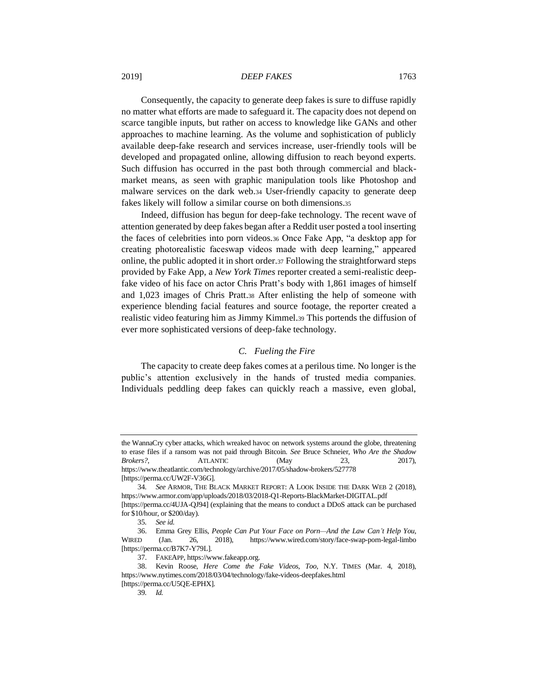Consequently, the capacity to generate deep fakes is sure to diffuse rapidly no matter what efforts are made to safeguard it. The capacity does not depend on scarce tangible inputs, but rather on access to knowledge like GANs and other approaches to machine learning. As the volume and sophistication of publicly available deep-fake research and services increase, user-friendly tools will be developed and propagated online, allowing diffusion to reach beyond experts. Such diffusion has occurred in the past both through commercial and blackmarket means, as seen with graphic manipulation tools like Photoshop and malware services on the dark web.<sup>34</sup> User-friendly capacity to generate deep fakes likely will follow a similar course on both dimensions.<sup>35</sup>

Indeed, diffusion has begun for deep-fake technology. The recent wave of attention generated by deep fakes began after a Reddit user posted a tool inserting the faces of celebrities into porn videos.<sup>36</sup> Once Fake App, "a desktop app for creating photorealistic faceswap videos made with deep learning," appeared online, the public adopted it in short order.<sup>37</sup> Following the straightforward steps provided by Fake App, a *New York Times* reporter created a semi-realistic deepfake video of his face on actor Chris Pratt's body with 1,861 images of himself and 1,023 images of Chris Pratt.<sup>38</sup> After enlisting the help of someone with experience blending facial features and source footage, the reporter created a realistic video featuring him as Jimmy Kimmel.<sup>39</sup> This portends the diffusion of ever more sophisticated versions of deep-fake technology.

# *C. Fueling the Fire*

The capacity to create deep fakes comes at a perilous time. No longer is the public's attention exclusively in the hands of trusted media companies. Individuals peddling deep fakes can quickly reach a massive, even global,

the WannaCry cyber attacks, which wreaked havoc on network systems around the globe, threatening to erase files if a ransom was not paid through Bitcoin. *See* Bruce Schneier, *Who Are the Shadow Brokers?*, **ATLANTIC** (May 23, 2017), https://www.theatlantic.com/technology/archive/2017/05/shadow-brokers/527778 [https://perma.cc/UW2F-V36G].

<sup>34</sup>*. See* ARMOR, THE BLACK MARKET REPORT: A LOOK INSIDE THE DARK WEB 2 (2018), https://www.armor.com/app/uploads/2018/03/2018-Q1-Reports-BlackMarket-DIGITAL.pdf [https://perma.cc/4UJA-QJ94] (explaining that the means to conduct a DDoS attack can be purchased

for \$10/hour, or \$200/day).

<sup>35</sup>*. See id.*

<sup>36.</sup> Emma Grey Ellis, *People Can Put Your Face on Porn—And the Law Can't Help You*, WIRED (Jan. 26, 2018), https://www.wired.com/story/face-swap-porn-legal-limbo [https://perma.cc/B7K7-Y79L].

<sup>37.</sup> FAKEAPP, https://www.fakeapp.org.

<sup>38.</sup> Kevin Roose, *Here Come the Fake Videos, Too*, N.Y. TIMES (Mar. 4, 2018), https://www.nytimes.com/2018/03/04/technology/fake-videos-deepfakes.html [https://perma.cc/U5QE-EPHX].

<sup>39</sup>*. Id.*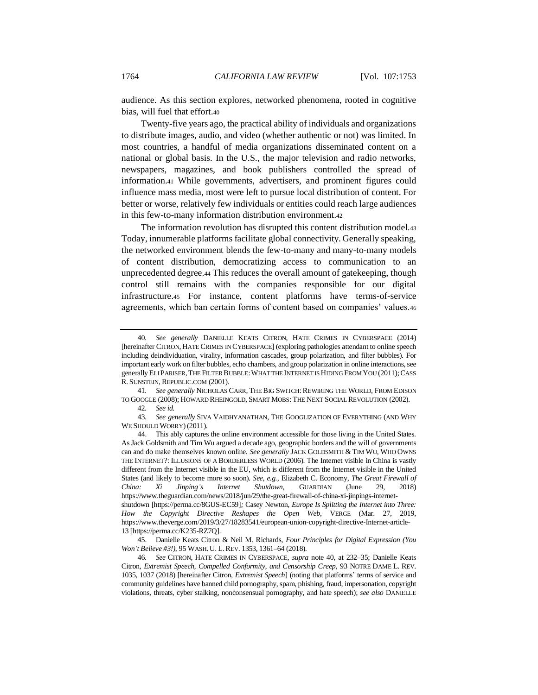<span id="page-11-0"></span>audience. As this section explores, networked phenomena, rooted in cognitive bias, will fuel that effort.<sup>40</sup>

Twenty-five years ago, the practical ability of individuals and organizations to distribute images, audio, and video (whether authentic or not) was limited. In most countries, a handful of media organizations disseminated content on a national or global basis. In the U.S., the major television and radio networks, newspapers, magazines, and book publishers controlled the spread of information.<sup>41</sup> While governments, advertisers, and prominent figures could influence mass media, most were left to pursue local distribution of content. For better or worse, relatively few individuals or entities could reach large audiences in this few-to-many information distribution environment.<sup>42</sup>

<span id="page-11-2"></span>The information revolution has disrupted this content distribution model.<sup>43</sup> Today, innumerable platforms facilitate global connectivity. Generally speaking, the networked environment blends the few-to-many and many-to-many models of content distribution, democratizing access to communication to an unprecedented degree.<sup>44</sup> This reduces the overall amount of gatekeeping, though control still remains with the companies responsible for our digital infrastructure.<sup>45</sup> For instance, content platforms have terms-of-service agreements, which ban certain forms of content based on companies' values.<sup>46</sup>

41*. See generally* NICHOLAS CARR, THE BIG SWITCH:REWIRING THE WORLD, FROM EDISON TO GOOGLE (2008); HOWARD RHEINGOLD, SMART MOBS:THE NEXT SOCIAL REVOLUTION (2002).

45. Danielle Keats Citron & Neil M. Richards, *Four Principles for Digital Expression (You Won't Believe #3!)*, 95 WASH. U. L.REV. 1353, 1361–64 (2018).

46*. See* CITRON, HATE CRIMES IN CYBERSPACE, *supra* note [40,](#page-11-0) at 232–35; Danielle Keats Citron, *Extremist Speech, Compelled Conformity, and Censorship Creep*, 93 NOTRE DAME L. REV. 1035, 1037 (2018) [hereinafter Citron, *Extremist Speech*] (noting that platforms' terms of service and community guidelines have banned child pornography, spam, phishing, fraud, impersonation, copyright violations, threats, cyber stalking, nonconsensual pornography, and hate speech); *see also* DANIELLE

<span id="page-11-3"></span><span id="page-11-1"></span><sup>40</sup>*. See generally* DANIELLE KEATS CITRON, HATE CRIMES IN CYBERSPACE (2014) [hereinafter CITRON, HATE CRIMES IN CYBERSPACE] (exploring pathologies attendant to online speech including deindividuation, virality, information cascades, group polarization, and filter bubbles). For important early work on filter bubbles, echo chambers, and group polarization in online interactions, see generally ELI PARISER,THE FILTER BUBBLE:WHAT THE INTERNET IS HIDING FROM YOU (2011); CASS R. SUNSTEIN, REPUBLIC.COM (2001).

<sup>42</sup>*. See id.*

<sup>43</sup>*. See generally* SIVA VAIDHYANATHAN, THE GOOGLIZATION OF EVERYTHING (AND WHY WE SHOULD WORRY) (2011).

<sup>44.</sup> This ably captures the online environment accessible for those living in the United States. As Jack Goldsmith and Tim Wu argued a decade ago, geographic borders and the will of governments can and do make themselves known online. *See generally* JACK GOLDSMITH & TIM WU, WHO OWNS THE INTERNET?: ILLUSIONS OF A BORDERLESS WORLD (2006). The Internet visible in China is vastly different from the Internet visible in the EU, which is different from the Internet visible in the United States (and likely to become more so soon). *See, e.g.,* Elizabeth C. Economy, *The Great Firewall of China: Xi Jinping's Internet Shutdown*, GUARDIAN (June 29, 2018) https://www.theguardian.com/news/2018/jun/29/the-great-firewall-of-china-xi-jinpings-internetshutdown [https://perma.cc/8GUS-EC59]*;* Casey Newton, *Europe Is Splitting the Internet into Three: How the Copyright Directive Reshapes the Open Web*, VERGE (Mar. 27, 2019, https://www.theverge.com/2019/3/27/18283541/european-union-copyright-directive-Internet-article-13 [https://perma.cc/K235-RZ7Q].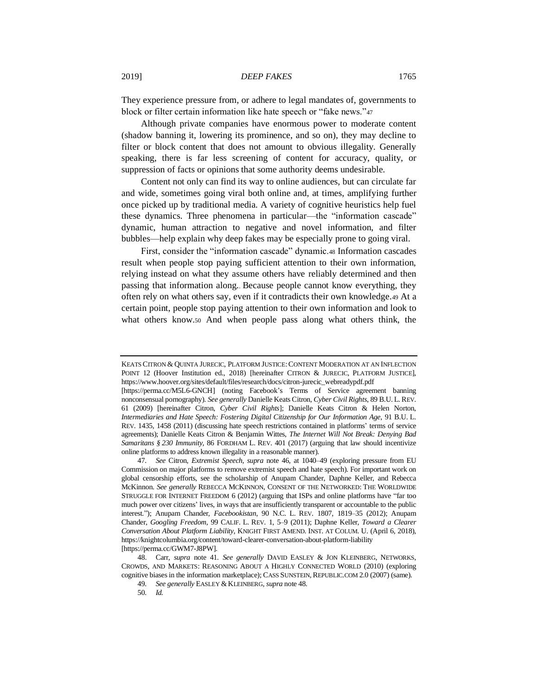They experience pressure from, or adhere to legal mandates of, governments to block or filter certain information like hate speech or "fake news."<sup>47</sup>

Although private companies have enormous power to moderate content (shadow banning it, lowering its prominence, and so on), they may decline to filter or block content that does not amount to obvious illegality. Generally speaking, there is far less screening of content for accuracy, quality, or suppression of facts or opinions that some authority deems undesirable.

Content not only can find its way to online audiences, but can circulate far and wide, sometimes going viral both online and, at times, amplifying further once picked up by traditional media. A variety of cognitive heuristics help fuel these dynamics. Three phenomena in particular—the "information cascade" dynamic, human attraction to negative and novel information, and filter bubbles—help explain why deep fakes may be especially prone to going viral.

<span id="page-12-0"></span>First, consider the "information cascade" dynamic.<sup>48</sup> Information cascades result when people stop paying sufficient attention to their own information, relying instead on what they assume others have reliably determined and then passing that information along.. Because people cannot know everything, they often rely on what others say, even if it contradicts their own knowledge.<sup>49</sup> At a certain point, people stop paying attention to their own information and look to what others know.<sup>50</sup> And when people pass along what others think, the

KEATS CITRON & QUINTA JURECIC, PLATFORM JUSTICE:CONTENT MODERATION AT AN INFLECTION POINT 12 (Hoover Institution ed., 2018) [hereinafter CITRON & JURECIC, PLATFORM JUSTICE], https://www.hoover.org/sites/default/files/research/docs/citron-jurecic\_webreadypdf.pdf

<sup>[</sup>https://perma.cc/M5L6-GNCH] (noting Facebook's Terms of Service agreement banning nonconsensual pornography). *See generally* Danielle Keats Citron, *Cyber Civil Rights*, 89 B.U. L.REV. 61 (2009) [hereinafter Citron, *Cyber Civil Rights*]; Danielle Keats Citron & Helen Norton, *Intermediaries and Hate Speech: Fostering Digital Citizenship for Our Information Age*, 91 B.U. L. REV. 1435, 1458 (2011) (discussing hate speech restrictions contained in platforms' terms of service agreements); Danielle Keats Citron & Benjamin Wittes, *The Internet Will Not Break: Denying Bad Samaritans § 230 Immunity*, 86 FORDHAM L. REV. 401 (2017) (arguing that law should incentivize online platforms to address known illegality in a reasonable manner).

<sup>47</sup>*. See* Citron, *Extremist Speech*, *supra* note [46,](#page-11-1) at 1040–49 (exploring pressure from EU Commission on major platforms to remove extremist speech and hate speech). For important work on global censorship efforts, see the scholarship of Anupam Chander, Daphne Keller, and Rebecca McKinnon. *See generally* REBECCA MCKINNON, CONSENT OF THE NETWORKED: THE WORLDWIDE STRUGGLE FOR INTERNET FREEDOM 6 (2012) (arguing that ISPs and online platforms have "far too much power over citizens' lives, in ways that are insufficiently transparent or accountable to the public interest."); Anupam Chander, *Facebookistan*, 90 N.C. L. REV. 1807, 1819–35 (2012); Anupam Chander, *Googling Freedom*, 99 CALIF. L. REV. 1, 5–9 (2011); Daphne Keller, *Toward a Clearer Conversation About Platform Liability*, KNIGHT FIRST AMEND. INST. AT COLUM. U. (April 6, 2018), https://knightcolumbia.org/content/toward-clearer-conversation-about-platform-liability [https://perma.cc/GWM7-J8PW].

<sup>48.</sup> Carr, *supra* note [41.](#page-11-2) *See generally* DAVID EASLEY & JON KLEINBERG, NETWORKS, CROWDS, AND MARKETS: REASONING ABOUT A HIGHLY CONNECTED WORLD (2010) (exploring cognitive biases in the information marketplace); CASS SUNSTEIN, REPUBLIC.COM 2.0 (2007) (same).

<sup>49</sup>*. See generally* EASLEY &KLEINBERG, *supra* not[e 48.](#page-12-0)

<sup>50</sup>*. Id.*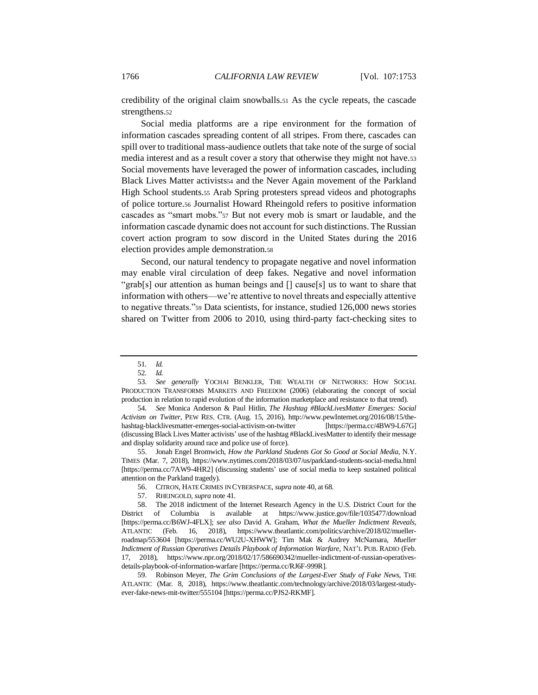credibility of the original claim snowballs.<sup>51</sup> As the cycle repeats, the cascade strengthens.<sup>52</sup>

Social media platforms are a ripe environment for the formation of information cascades spreading content of all stripes. From there, cascades can spill over to traditional mass-audience outlets that take note of the surge of social media interest and as a result cover a story that otherwise they might not have.<sup>53</sup> Social movements have leveraged the power of information cascades, including Black Lives Matter activists a and the Never Again movement of the Parkland High School students.<sup>55</sup> Arab Spring protesters spread videos and photographs of police torture.<sup>56</sup> Journalist Howard Rheingold refers to positive information cascades as "smart mobs."<sup>57</sup> But not every mob is smart or laudable, and the information cascade dynamic does not account for such distinctions. The Russian covert action program to sow discord in the United States during the 2016 election provides ample demonstration.<sup>58</sup>

Second, our natural tendency to propagate negative and novel information may enable viral circulation of deep fakes. Negative and novel information "grab[s] our attention as human beings and [] cause[s] us to want to share that information with others—we're attentive to novel threats and especially attentive to negative threats."<sup>59</sup> Data scientists, for instance, studied 126,000 news stories shared on Twitter from 2006 to 2010, using third-party fact-checking sites to

55. Jonah Engel Bromwich, *How the Parkland Students Got So Good at Social Media*, N.Y. TIMES (Mar. 7, 2018), https://www.nytimes.com/2018/03/07/us/parkland-students-social-media.html [https://perma.cc/7AW9-4HR2] (discussing students' use of social media to keep sustained political attention on the Parkland tragedy).

59. Robinson Meyer, *The Grim Conclusions of the Largest-Ever Study of Fake News*, THE ATLANTIC (Mar. 8, 2018), https://www.theatlantic.com/technology/archive/2018/03/largest-studyever-fake-news-mit-twitter/555104 [https://perma.cc/PJS2-RKMF].

<span id="page-13-0"></span><sup>51</sup>*. Id.*

<sup>52</sup>*. Id.*

<sup>53</sup>*. See generally* YOCHAI BENKLER, THE WEALTH OF NETWORKS: HOW SOCIAL PRODUCTION TRANSFORMS MARKETS AND FREEDOM (2006) (elaborating the concept of social production in relation to rapid evolution of the information marketplace and resistance to that trend).

<sup>54</sup>*. See* Monica Anderson & Paul Hitlin, *The Hashtag #BlackLivesMatter Emerges: Social Activism on Twitter*, PEW RES. CTR. (Aug. 15, 2016), http://www.pewInternet.org/2016/08/15/thehashtag-blacklivesmatter-emerges-social-activism-on-twitter [https://perma.cc/4BW9-L67G] (discussing Black Lives Matter activists' use of the hashtag #BlackLivesMatter to identify their message and display solidarity around race and police use of force).

<sup>56.</sup> CITRON, HATE CRIMES IN CYBERSPACE, *supra* not[e 40,](#page-11-0) at 68.

<sup>57.</sup> RHEINGOLD, *supra* not[e 41.](#page-11-2)

<sup>58.</sup> The 2018 indictment of the Internet Research Agency in the U.S. District Court for the District of Columbia is available at <https://www.justice.gov/file/1035477/download> [\[https://perma.cc/B6WJ-4FLX\]](https://perma.cc/B6WJ-4FLX); *see also* David A. Graham, *What the Mueller Indictment Reveals*, ATLANTIC (Feb. 16, 2018), https://www.theatlantic.com/politics/archive/2018/02/muellerroadmap/553604 [https://perma.cc/WU2U-XHWW]; Tim Mak & Audrey McNamara, *Mueller Indictment of Russian Operatives Details Playbook of Information Warfare*, NAT'L PUB. RADIO (Feb. 17, 2018), https://www.npr.org/2018/02/17/586690342/mueller-indictment-of-russian-operativesdetails-playbook-of-information-warfare [https://perma.cc/RJ6F-999R].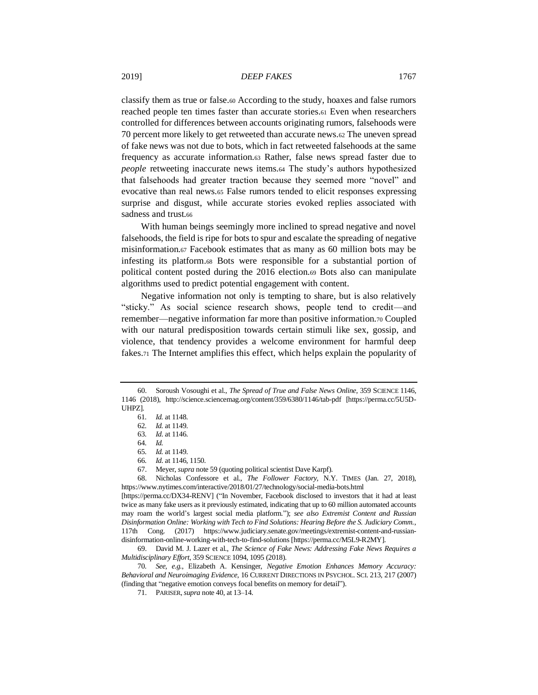classify them as true or false.<sup>60</sup> According to the study, hoaxes and false rumors reached people ten times faster than accurate stories.<sup>61</sup> Even when researchers controlled for differences between accounts originating rumors, falsehoods were 70 percent more likely to get retweeted than accurate news.<sup>62</sup> The uneven spread of fake news was not due to bots, which in fact retweeted falsehoods at the same frequency as accurate information.<sup>63</sup> Rather, false news spread faster due to *people* retweeting inaccurate news items.<sup>64</sup> The study's authors hypothesized that falsehoods had greater traction because they seemed more "novel" and evocative than real news.<sup>65</sup> False rumors tended to elicit responses expressing surprise and disgust, while accurate stories evoked replies associated with sadness and trust.66

With human beings seemingly more inclined to spread negative and novel falsehoods, the field is ripe for bots to spur and escalate the spreading of negative misinformation.<sup>67</sup> Facebook estimates that as many as 60 million bots may be infesting its platform.<sup>68</sup> Bots were responsible for a substantial portion of political content posted during the 2016 election.<sup>69</sup> Bots also can manipulate algorithms used to predict potential engagement with content.

Negative information not only is tempting to share, but is also relatively "sticky." As social science research shows, people tend to credit—and remember—negative information far more than positive information.<sup>70</sup> Coupled with our natural predisposition towards certain stimuli like sex, gossip, and violence, that tendency provides a welcome environment for harmful deep fakes.<sup>71</sup> The Internet amplifies this effect, which helps explain the popularity of

<sup>60.</sup> Soroush Vosoughi et al., *The Spread of True and False News Online*, 359 SCIENCE 1146, 1146 (2018), http://science.sciencemag.org/content/359/6380/1146/tab-pdf [https://perma.cc/5U5D-UHPZ].

<sup>61</sup>*. Id.* at 1148.

<sup>62</sup>*. Id.* at 1149.

<sup>63</sup>*. Id*. at 1146.

<sup>64</sup>*. Id.*

<sup>65</sup>*. Id.* at 1149.

<sup>66</sup>*. Id*. at 1146, 1150.

<sup>67.</sup> Meyer, *supra* not[e 59](#page-13-0) (quoting political scientist Dave Karpf).

<sup>68.</sup> Nicholas Confessore et al., *The Follower Factory,* N.Y. TIMES (Jan. 27, 2018), https://www.nytimes.com/interactive/2018/01/27/technology/social-media-bots.html

<sup>[</sup>https://perma.cc/DX34-RENV] ("In November, Facebook disclosed to investors that it had at least twice as many fake users as it previously estimated, indicating that up to 60 million automated accounts may roam the world's largest social media platform."); *see also Extremist Content and Russian Disinformation Online: Working with Tech to Find Solutions: Hearing Before the S. Judiciary Comm.*, 117th Cong. (2017) https://www.judiciary.senate.gov/meetings/extremist-content-and-russiandisinformation-online-working-with-tech-to-find-solutions [https://perma.cc/M5L9-R2MY].

<sup>69.</sup> David M. J. Lazer et al., *The Science of Fake News: Addressing Fake News Requires a Multidisciplinary Effort*, 359 SCIENCE 1094, 1095 (2018).

<sup>70</sup>*. See, e.g.*, Elizabeth A. Kensinger, *Negative Emotion Enhances Memory Accuracy: Behavioral and Neuroimaging Evidence*, 16 CURRENT DIRECTIONS IN PSYCHOL. SCI. 213, 217 (2007) (finding that "negative emotion conveys focal benefits on memory for detail").

<sup>71.</sup> PARISER,*supra* not[e 40,](#page-11-0) at 13–14.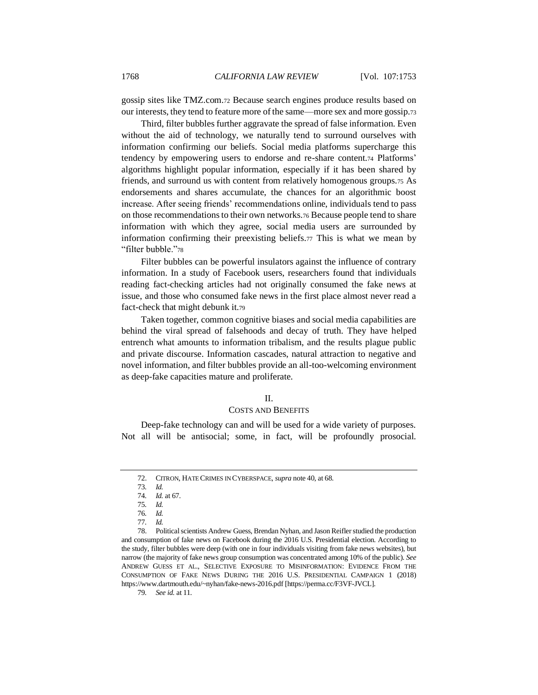gossip sites like TMZ.com.<sup>72</sup> Because search engines produce results based on our interests, they tend to feature more of the same—more sex and more gossip.<sup>73</sup>

Third, filter bubbles further aggravate the spread of false information. Even without the aid of technology, we naturally tend to surround ourselves with information confirming our beliefs. Social media platforms supercharge this tendency by empowering users to endorse and re-share content.<sup>74</sup> Platforms' algorithms highlight popular information, especially if it has been shared by friends, and surround us with content from relatively homogenous groups.<sup>75</sup> As endorsements and shares accumulate, the chances for an algorithmic boost increase. After seeing friends' recommendations online, individuals tend to pass on those recommendations to their own networks.<sup>76</sup> Because people tend to share information with which they agree, social media users are surrounded by information confirming their preexisting beliefs.<sup>77</sup> This is what we mean by "filter bubble."<sup>78</sup>

Filter bubbles can be powerful insulators against the influence of contrary information. In a study of Facebook users, researchers found that individuals reading fact-checking articles had not originally consumed the fake news at issue, and those who consumed fake news in the first place almost never read a fact-check that might debunk it.<sup>79</sup>

Taken together, common cognitive biases and social media capabilities are behind the viral spread of falsehoods and decay of truth. They have helped entrench what amounts to information tribalism, and the results plague public and private discourse. Information cascades, natural attraction to negative and novel information, and filter bubbles provide an all-too-welcoming environment as deep-fake capacities mature and proliferate.

#### II.

## COSTS AND BENEFITS

Deep-fake technology can and will be used for a wide variety of purposes. Not all will be antisocial; some, in fact, will be profoundly prosocial.

78. Political scientists Andrew Guess, Brendan Nyhan, and Jason Reifler studied the production and consumption of fake news on Facebook during the 2016 U.S. Presidential election. According to the study, filter bubbles were deep (with one in four individuals visiting from fake news websites), but narrow (the majority of fake news group consumption was concentrated among 10% of the public). *See* ANDREW GUESS ET AL., SELECTIVE EXPOSURE TO MISINFORMATION: EVIDENCE FROM THE CONSUMPTION OF FAKE NEWS DURING THE 2016 U.S. PRESIDENTIAL CAMPAIGN 1 (2018) https://www.dartmouth.edu/~nyhan/fake-news-2016.pdf [\[https://perma.cc/F3VF-JVCL\]](https://perma.cc/F3VF-JVCL).

79*. See id.* at 11.

<sup>72.</sup> CITRON, HATE CRIMES IN CYBERSPACE, *supra* not[e 40,](#page-11-0) at 68.

<sup>73</sup>*. Id.*

<sup>74</sup>*. Id.* at 67.

<sup>75</sup>*. Id.*

<sup>76</sup>*. Id.*

<sup>77</sup>*. Id.*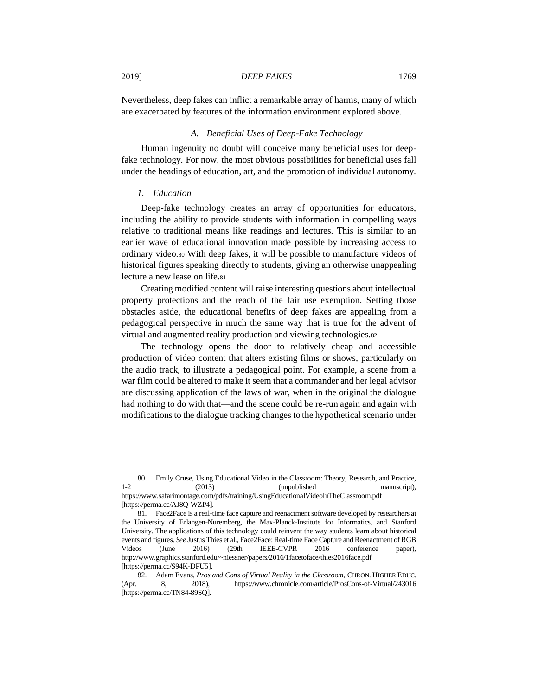Nevertheless, deep fakes can inflict a remarkable array of harms, many of which are exacerbated by features of the information environment explored above.

#### *A. Beneficial Uses of Deep-Fake Technology*

Human ingenuity no doubt will conceive many beneficial uses for deepfake technology. For now, the most obvious possibilities for beneficial uses fall under the headings of education, art, and the promotion of individual autonomy.

# *1. Education*

Deep-fake technology creates an array of opportunities for educators, including the ability to provide students with information in compelling ways relative to traditional means like readings and lectures. This is similar to an earlier wave of educational innovation made possible by increasing access to ordinary video.<sup>80</sup> With deep fakes, it will be possible to manufacture videos of historical figures speaking directly to students, giving an otherwise unappealing lecture a new lease on life.<sup>81</sup>

Creating modified content will raise interesting questions about intellectual property protections and the reach of the fair use exemption. Setting those obstacles aside, the educational benefits of deep fakes are appealing from a pedagogical perspective in much the same way that is true for the advent of virtual and augmented reality production and viewing technologies.<sup>82</sup>

The technology opens the door to relatively cheap and accessible production of video content that alters existing films or shows, particularly on the audio track, to illustrate a pedagogical point. For example, a scene from a war film could be altered to make it seem that a commander and her legal advisor are discussing application of the laws of war, when in the original the dialogue had nothing to do with that—and the scene could be re-run again and again with modifications to the dialogue tracking changes to the hypothetical scenario under

<sup>80.</sup> Emily Cruse, Using Educational Video in the Classroom: Theory, Research, and Practice, 1-2 (2013) (unpublished manuscript), https://www.safarimontage.com/pdfs/training/UsingEducationalVideoInTheClassroom.pdf [https://perma.cc/AJ8Q-WZP4].

<sup>81.</sup> Face2Face is a real-time face capture and reenactment software developed by researchers at the University of Erlangen-Nuremberg, the Max-Planck-Institute for Informatics, and Stanford University. The applications of this technology could reinvent the way students learn about historical events and figures. *See* Justus Thies et al., Face2Face: Real-time Face Capture and Reenactment of RGB Videos (June 2016) (29th IEEE-CVPR 2016 conference paper), http://www.graphics.stanford.edu/~niessner/papers/2016/1facetoface/thies2016face.pdf [https://perma.cc/S94K-DPU5].

<sup>82.</sup> Adam Evans, *Pros and Cons of Virtual Reality in the Classroom*, CHRON. HIGHER EDUC. (Apr. 8, 2018), https://www.chronicle.com/article/ProsCons-of-Virtual/243016 [https://perma.cc/TN84-89SQ].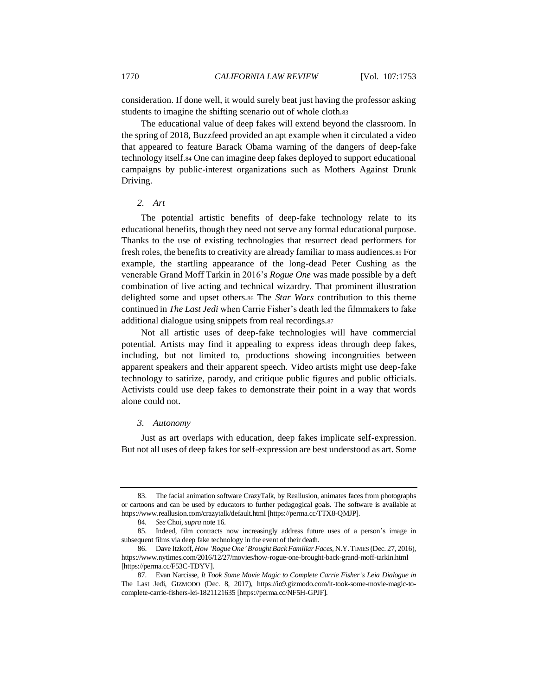consideration. If done well, it would surely beat just having the professor asking students to imagine the shifting scenario out of whole cloth.<sup>83</sup>

The educational value of deep fakes will extend beyond the classroom. In the spring of 2018, Buzzfeed provided an apt example when it circulated a video that appeared to feature Barack Obama warning of the dangers of deep-fake technology itself.<sup>84</sup> One can imagine deep fakes deployed to support educational campaigns by public-interest organizations such as Mothers Against Drunk Driving.

# *2. Art*

The potential artistic benefits of deep-fake technology relate to its educational benefits, though they need not serve any formal educational purpose. Thanks to the use of existing technologies that resurrect dead performers for fresh roles, the benefits to creativity are already familiar to mass audiences.<sup>85</sup> For example, the startling appearance of the long-dead Peter Cushing as the venerable Grand Moff Tarkin in 2016's *Rogue One* was made possible by a deft combination of live acting and technical wizardry. That prominent illustration delighted some and upset others.<sup>86</sup> The *Star Wars* contribution to this theme continued in *The Last Jedi* when Carrie Fisher's death led the filmmakers to fake additional dialogue using snippets from real recordings.<sup>87</sup>

Not all artistic uses of deep-fake technologies will have commercial potential. Artists may find it appealing to express ideas through deep fakes, including, but not limited to, productions showing incongruities between apparent speakers and their apparent speech. Video artists might use deep-fake technology to satirize, parody, and critique public figures and public officials. Activists could use deep fakes to demonstrate their point in a way that words alone could not.

#### *3. Autonomy*

Just as art overlaps with education, deep fakes implicate self-expression. But not all uses of deep fakes for self-expression are best understood as art. Some

<sup>83.</sup> The facial animation software CrazyTalk, by Reallusion, animates faces from photographs or cartoons and can be used by educators to further pedagogical goals. The software is available at https://www.reallusion.com/crazytalk/default.html [https://perma.cc/TTX8-QMJP].

<sup>84</sup>*. See* Choi, *supra* not[e 16.](#page-7-1)

<sup>85.</sup> Indeed, film contracts now increasingly address future uses of a person's image in subsequent films via deep fake technology in the event of their death.

<sup>86.</sup> Dave Itzkoff, *How 'Rogue One'Brought Back Familiar Faces*, N.Y.TIMES (Dec. 27, 2016), https://www.nytimes.com/2016/12/27/movies/how-rogue-one-brought-back-grand-moff-tarkin.html [https://perma.cc/F53C-TDYV].

<sup>87.</sup> Evan Narcisse, *It Took Some Movie Magic to Complete Carrie Fisher's Leia Dialogue in*  The Last Jedi, GIZMODO (Dec. 8, 2017), https://io9.gizmodo.com/it-took-some-movie-magic-tocomplete-carrie-fishers-lei-1821121635 [https://perma.cc/NF5H-GPJF].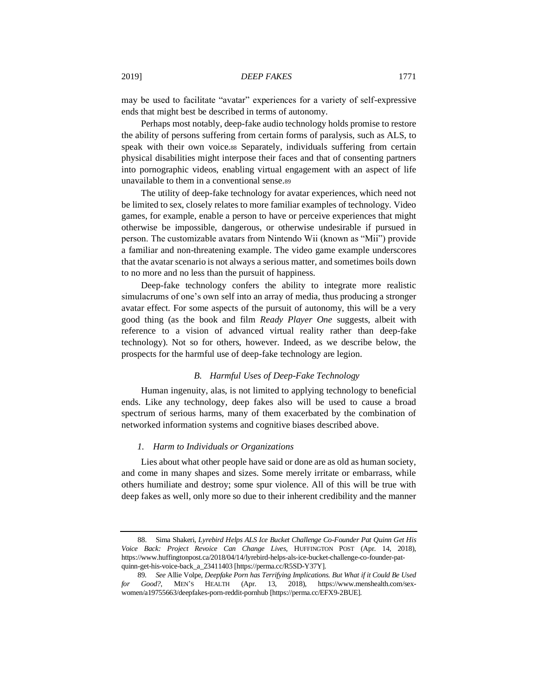may be used to facilitate "avatar" experiences for a variety of self-expressive ends that might best be described in terms of autonomy.

Perhaps most notably, deep-fake audio technology holds promise to restore the ability of persons suffering from certain forms of paralysis, such as ALS, to speak with their own voice.<sup>88</sup> Separately, individuals suffering from certain physical disabilities might interpose their faces and that of consenting partners into pornographic videos, enabling virtual engagement with an aspect of life unavailable to them in a conventional sense.<sup>89</sup>

The utility of deep-fake technology for avatar experiences, which need not be limited to sex, closely relates to more familiar examples of technology. Video games, for example, enable a person to have or perceive experiences that might otherwise be impossible, dangerous, or otherwise undesirable if pursued in person. The customizable avatars from Nintendo Wii (known as "Mii") provide a familiar and non-threatening example. The video game example underscores that the avatar scenario is not always a serious matter, and sometimes boils down to no more and no less than the pursuit of happiness.

Deep-fake technology confers the ability to integrate more realistic simulacrums of one's own self into an array of media, thus producing a stronger avatar effect. For some aspects of the pursuit of autonomy, this will be a very good thing (as the book and film *Ready Player One* suggests, albeit with reference to a vision of advanced virtual reality rather than deep-fake technology). Not so for others, however. Indeed, as we describe below, the prospects for the harmful use of deep-fake technology are legion.

# *B. Harmful Uses of Deep-Fake Technology*

Human ingenuity, alas, is not limited to applying technology to beneficial ends. Like any technology, deep fakes also will be used to cause a broad spectrum of serious harms, many of them exacerbated by the combination of networked information systems and cognitive biases described above.

#### *1. Harm to Individuals or Organizations*

Lies about what other people have said or done are as old as human society, and come in many shapes and sizes. Some merely irritate or embarrass, while others humiliate and destroy; some spur violence. All of this will be true with deep fakes as well, only more so due to their inherent credibility and the manner

<sup>88.</sup> Sima Shakeri, *Lyrebird Helps ALS Ice Bucket Challenge Co-Founder Pat Quinn Get His Voice Back: Project Revoice Can Change Lives*, HUFFINGTON POST (Apr. 14, 2018), https://www.huffingtonpost.ca/2018/04/14/lyrebird-helps-als-ice-bucket-challenge-co-founder-patquinn-get-his-voice-back\_a\_23411403 [https://perma.cc/R5SD-Y37Y].

<sup>89</sup>*. See* Allie Volpe, *Deepfake Porn has Terrifying Implications. But What if it Could Be Used for Good?*, MEN'S HEALTH (Apr. 13, 2018), https://www.menshealth.com/sexwomen/a19755663/deepfakes-porn-reddit-pornhub [https://perma.cc/EFX9-2BUE].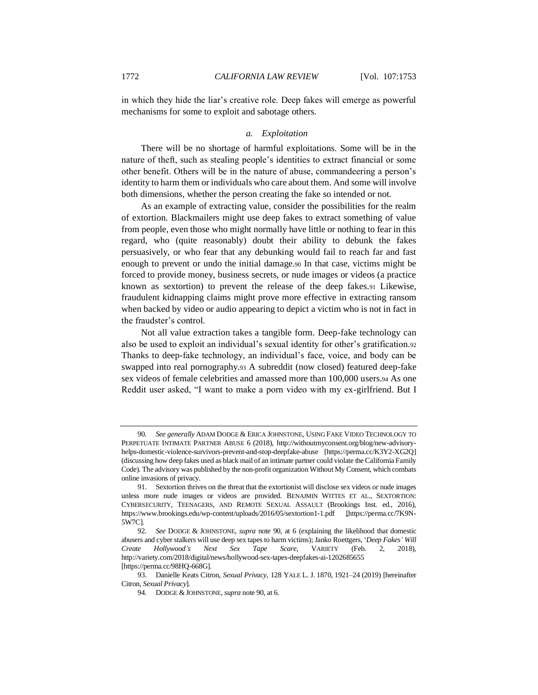in which they hide the liar's creative role. Deep fakes will emerge as powerful mechanisms for some to exploit and sabotage others.

#### <span id="page-19-0"></span>*a. Exploitation*

There will be no shortage of harmful exploitations. Some will be in the nature of theft, such as stealing people's identities to extract financial or some other benefit. Others will be in the nature of abuse, commandeering a person's identity to harm them or individuals who care about them. And some will involve both dimensions, whether the person creating the fake so intended or not.

As an example of extracting value, consider the possibilities for the realm of extortion. Blackmailers might use deep fakes to extract something of value from people, even those who might normally have little or nothing to fear in this regard, who (quite reasonably) doubt their ability to debunk the fakes persuasively, or who fear that any debunking would fail to reach far and fast enough to prevent or undo the initial damage.<sup>90</sup> In that case, victims might be forced to provide money, business secrets, or nude images or videos (a practice known as sextortion) to prevent the release of the deep fakes.<sup>91</sup> Likewise, fraudulent kidnapping claims might prove more effective in extracting ransom when backed by video or audio appearing to depict a victim who is not in fact in the fraudster's control.

<span id="page-19-1"></span>Not all value extraction takes a tangible form. Deep-fake technology can also be used to exploit an individual's sexual identity for other's gratification.<sup>92</sup> Thanks to deep-fake technology, an individual's face, voice, and body can be swapped into real pornography.<sup>93</sup> A subreddit (now closed) featured deep-fake sex videos of female celebrities and amassed more than 100,000 users.<sup>94</sup> As one Reddit user asked, "I want to make a porn video with my ex-girlfriend. But I

<sup>90</sup>*. See generally* ADAM DODGE & ERICA JOHNSTONE, USING FAKE VIDEO TECHNOLOGY TO PERPETUATE INTIMATE PARTNER ABUSE 6 (2018), http://withoutmyconsent.org/blog/new-advisoryhelps-domestic-violence-survivors-prevent-and-stop-deepfake-abuse [https://perma.cc/K3Y2-XG2Q] (discussing how deep fakes used as black mail of an intimate partner could violate the California Family Code). The advisory was published by the non-profit organization Without My Consent, which combats online invasions of privacy.

<sup>91.</sup> Sextortion thrives on the threat that the extortionist will disclose sex videos or nude images unless more nude images or videos are provided. BENAJMIN WITTES ET AL., SEXTORTION: CYBERSECURITY, TEENAGERS, AND REMOTE SEXUAL ASSAULT (Brookings Inst. ed., 2016), https://www.brookings.edu/wp-content/uploads/2016/05/sextortion1-1.pdf [\[https://perma.cc/7K9N-](https://perma.cc/7K9N-5W7C)[5W7C\]](https://perma.cc/7K9N-5W7C).

<sup>92</sup>*. See* DODGE & JOHNSTONE, *supra* note [90,](#page-19-0) at 6 (explaining the likelihood that domestic abusers and cyber stalkers will use deep sex tapes to harm victims); Janko Roettgers, '*Deep Fakes' Will Create Hollywood's Next Sex Tape Scare*, VARIETY (Feb. 2, 2018), http://variety.com/2018/digital/news/hollywood-sex-tapes-deepfakes-ai-1202685655 [https://perma.cc/98HQ-668G].

<sup>93.</sup> Danielle Keats Citron, *Sexual Privacy*, 128 YALE L. J. 1870, 1921–24 (2019) [hereinafter Citron, *Sexual Privacy*].

<sup>94.</sup> DODGE & JOHNSTONE, *supra* not[e 90,](#page-19-0) at 6.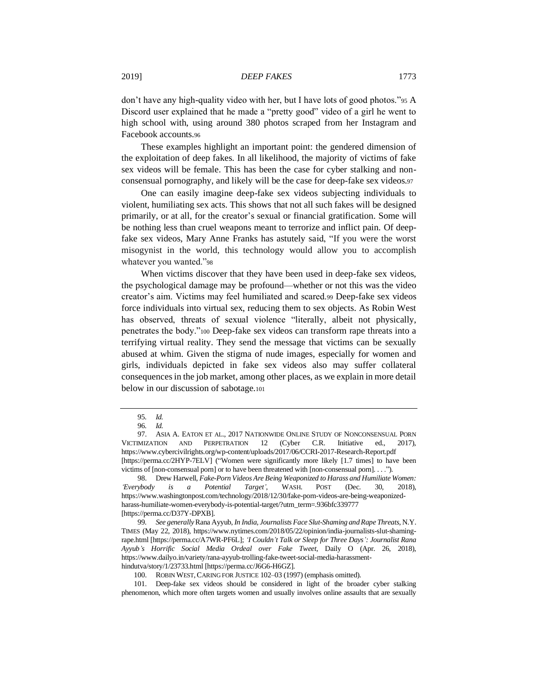don't have any high-quality video with her, but I have lots of good photos."<sup>95</sup> A Discord user explained that he made a "pretty good" video of a girl he went to high school with, using around 380 photos scraped from her Instagram and Facebook accounts.<sup>96</sup>

These examples highlight an important point: the gendered dimension of the exploitation of deep fakes. In all likelihood, the majority of victims of fake sex videos will be female. This has been the case for cyber stalking and nonconsensual pornography, and likely will be the case for deep-fake sex videos.<sup>97</sup>

One can easily imagine deep-fake sex videos subjecting individuals to violent, humiliating sex acts. This shows that not all such fakes will be designed primarily, or at all, for the creator's sexual or financial gratification. Some will be nothing less than cruel weapons meant to terrorize and inflict pain. Of deepfake sex videos, Mary Anne Franks has astutely said, "If you were the worst misogynist in the world, this technology would allow you to accomplish whatever you wanted."<sup>98</sup>

<span id="page-20-0"></span>When victims discover that they have been used in deep-fake sex videos, the psychological damage may be profound—whether or not this was the video creator's aim. Victims may feel humiliated and scared.<sup>99</sup> Deep-fake sex videos force individuals into virtual sex, reducing them to sex objects. As Robin West has observed, threats of sexual violence "literally, albeit not physically, penetrates the body."<sup>100</sup> Deep-fake sex videos can transform rape threats into a terrifying virtual reality. They send the message that victims can be sexually abused at whim. Given the stigma of nude images, especially for women and girls, individuals depicted in fake sex videos also may suffer collateral consequences in the job market, among other places, as we explain in more detail below in our discussion of sabotage.<sup>101</sup>

<sup>95</sup>*. Id.*

<sup>96</sup>*. Id.*

<sup>97.</sup> ASIA A. EATON ET AL., 2017 NATIONWIDE ONLINE STUDY OF NONCONSENSUAL PORN VICTIMIZATION AND PERPETRATION 12 (Cyber C.R. Initiative ed., 2017), https://www.cybercivilrights.org/wp-content/uploads/2017/06/CCRI-2017-Research-Report.pdf [https://perma.cc/2HYP-7ELV] ("Women were significantly more likely [1.7 times] to have been victims of [non-consensual porn] or to have been threatened with [non-consensual porn]. . . .").

<sup>98.</sup> Drew Harwell, *Fake-Porn Videos Are Being Weaponized to Harass and Humiliate Women: 'Everybody is a Potential Target'*, WASH. POST (Dec. 30, 2018), https://www.washingtonpost.com/technology/2018/12/30/fake-porn-videos-are-being-weaponizedharass-humiliate-women-everybody-is-potential-target/?utm\_term=.936bfc339777 [https://perma.cc/D37Y-DPXB].

<sup>99</sup>*. See generally*Rana Ayyub, *In India, Journalists Face Slut-Shaming and Rape Threats*, N.Y. TIMES (May 22, 2018), https://www.nytimes.com/2018/05/22/opinion/india-journalists-slut-shamingrape.html [https://perma.cc/A7WR-PF6L]; *'I Couldn't Talk or Sleep for Three Days': Journalist Rana Ayyub's Horrific Social Media Ordeal over Fake Tweet*, Daily O (Apr. 26, 2018), https://www.dailyo.in/variety/rana-ayyub-trolling-fake-tweet-social-media-harassmenthindutva/story/1/23733.html [https://perma.cc/J6G6-H6GZ].

<sup>100.</sup> ROBIN WEST, CARING FOR JUSTICE 102-03 (1997) (emphasis omitted).

<sup>101.</sup> Deep-fake sex videos should be considered in light of the broader cyber stalking phenomenon, which more often targets women and usually involves online assaults that are sexually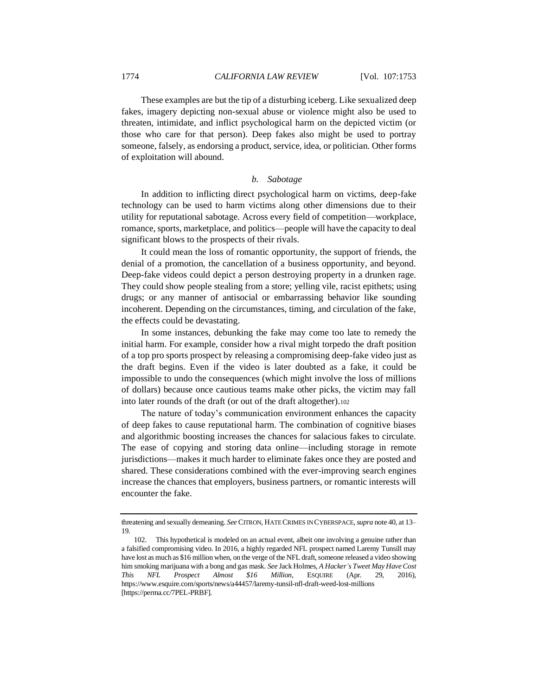These examples are but the tip of a disturbing iceberg. Like sexualized deep fakes, imagery depicting non-sexual abuse or violence might also be used to threaten, intimidate, and inflict psychological harm on the depicted victim (or those who care for that person). Deep fakes also might be used to portray someone, falsely, as endorsing a product, service, idea, or politician. Other forms of exploitation will abound.

# *b. Sabotage*

In addition to inflicting direct psychological harm on victims, deep-fake technology can be used to harm victims along other dimensions due to their utility for reputational sabotage. Across every field of competition—workplace, romance, sports, marketplace, and politics—people will have the capacity to deal significant blows to the prospects of their rivals.

It could mean the loss of romantic opportunity, the support of friends, the denial of a promotion, the cancellation of a business opportunity, and beyond. Deep-fake videos could depict a person destroying property in a drunken rage. They could show people stealing from a store; yelling vile, racist epithets; using drugs; or any manner of antisocial or embarrassing behavior like sounding incoherent. Depending on the circumstances, timing, and circulation of the fake, the effects could be devastating.

In some instances, debunking the fake may come too late to remedy the initial harm. For example, consider how a rival might torpedo the draft position of a top pro sports prospect by releasing a compromising deep-fake video just as the draft begins. Even if the video is later doubted as a fake, it could be impossible to undo the consequences (which might involve the loss of millions of dollars) because once cautious teams make other picks, the victim may fall into later rounds of the draft (or out of the draft altogether).<sup>102</sup>

The nature of today's communication environment enhances the capacity of deep fakes to cause reputational harm. The combination of cognitive biases and algorithmic boosting increases the chances for salacious fakes to circulate. The ease of copying and storing data online—including storage in remote jurisdictions—makes it much harder to eliminate fakes once they are posted and shared. These considerations combined with the ever-improving search engines increase the chances that employers, business partners, or romantic interests will encounter the fake.

threatening and sexually demeaning. *See* CITRON, HATE CRIMES IN CYBERSPACE, *supra* not[e 40,](#page-11-0) at 13– 19.

<sup>102.</sup> This hypothetical is modeled on an actual event, albeit one involving a genuine rather than a falsified compromising video. In 2016, a highly regarded NFL prospect named Laremy Tunsill may have lost as much as \$16 million when, on the verge of the NFL draft, someone released a video showing him smoking marijuana with a bong and gas mask. *See* Jack Holmes, *A Hacker's Tweet May Have Cost This NFL Prospect Almost \$16 Million*, ESQUIRE (Apr. 29, 2016), https://www.esquire.com/sports/news/a44457/laremy-tunsil-nfl-draft-weed-lost-millions [https://perma.cc/7PEL-PRBF].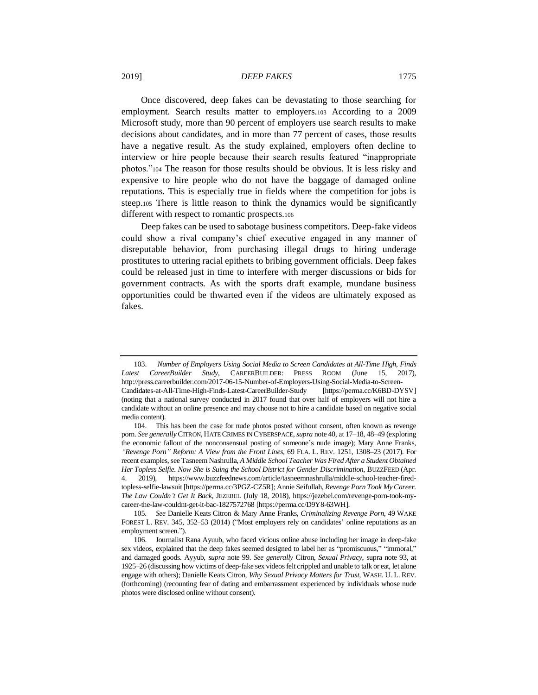Once discovered, deep fakes can be devastating to those searching for employment. Search results matter to employers.<sup>103</sup> According to a 2009 Microsoft study, more than 90 percent of employers use search results to make decisions about candidates, and in more than 77 percent of cases, those results have a negative result. As the study explained, employers often decline to interview or hire people because their search results featured "inappropriate photos."<sup>104</sup> The reason for those results should be obvious. It is less risky and expensive to hire people who do not have the baggage of damaged online reputations. This is especially true in fields where the competition for jobs is steep.<sup>105</sup> There is little reason to think the dynamics would be significantly different with respect to romantic prospects.<sup>106</sup>

Deep fakes can be used to sabotage business competitors. Deep-fake videos could show a rival company's chief executive engaged in any manner of disreputable behavior, from purchasing illegal drugs to hiring underage prostitutes to uttering racial epithets to bribing government officials. Deep fakes could be released just in time to interfere with merger discussions or bids for government contracts. As with the sports draft example, mundane business opportunities could be thwarted even if the videos are ultimately exposed as fakes.

<sup>103.</sup> *Number of Employers Using Social Media to Screen Candidates at All-Time High, Finds Latest CareerBuilder Study*, CAREERBUILDER: PRESS ROOM (June 15, 2017), http://press.careerbuilder.com/2017-06-15-Number-of-Employers-Using-Social-Media-to-Screen-Candidates-at-All-Time-High-Finds-Latest-CareerBuilder-Study [https://perma.cc/K6BD-DYSV] (noting that a national survey conducted in 2017 found that over half of employers will not hire a candidate without an online presence and may choose not to hire a candidate based on negative social media content).

<sup>104.</sup> This has been the case for nude photos posted without consent, often known as revenge porn. *See generally* CITRON, HATE CRIMES IN CYBERSPACE, *supra* not[e 40,](#page-11-0) at 17–18, 48–49 (exploring the economic fallout of the nonconsensual posting of someone's nude image); Mary Anne Franks, *"Revenge Porn" Reform: A View from the Front Lines*, 69 FLA. L. REV. 1251, 1308–23 (2017). For recent examples, see Tasneem Nashrulla, *A Middle School Teacher Was Fired After a Student Obtained Her Topless Selfie. Now She is Suing the School District for Gender Discrimination*, BUZZFEED (Apr. 4. 2019), https://www.buzzfeednews.com/article/tasneemnashrulla/middle-school-teacher-firedtopless-selfie-lawsuit [https://perma.cc/3PGZ-CZ5R]; Annie Seifullah, *Revenge Porn Took My Career. The Law Couldn't Get It Back*, JEZEBEL (July 18, 2018), https://jezebel.com/revenge-porn-took-mycareer-the-law-couldnt-get-it-bac-1827572768 [https://perma.cc/D9Y8-63WH].

<sup>105</sup>*. See* Danielle Keats Citron & Mary Anne Franks, *Criminalizing Revenge Porn*, 49 WAKE FOREST L. REV. 345, 352–53 (2014) ("Most employers rely on candidates' online reputations as an employment screen.").

<sup>106.</sup> Journalist Rana Ayuub, who faced vicious online abuse including her image in deep-fake sex videos, explained that the deep fakes seemed designed to label her as "promiscuous," "immoral," and damaged goods. Ayyub, *supra* note [99.](#page-20-0) *See generally* Citron, *Sexual Privacy*, supra note [93,](#page-19-1) at 1925–26 (discussing how victims of deep-fake sex videos felt crippled and unable to talk or eat, let alone engage with others); Danielle Keats Citron, *Why Sexual Privacy Matters for Trust*, WASH. U. L. REV. (forthcoming) (recounting fear of dating and embarrassment experienced by individuals whose nude photos were disclosed online without consent).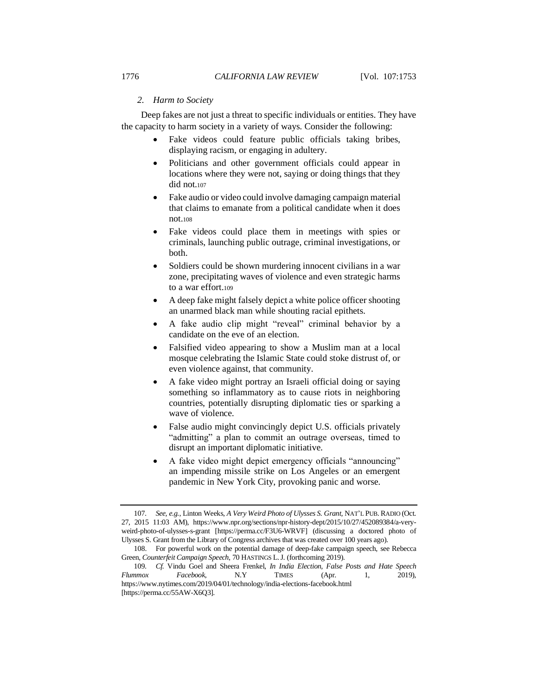## *2. Harm to Society*

Deep fakes are not just a threat to specific individuals or entities. They have the capacity to harm society in a variety of ways. Consider the following:

- Fake videos could feature public officials taking bribes, displaying racism, or engaging in adultery.
- Politicians and other government officials could appear in locations where they were not, saying or doing things that they did not.<sup>107</sup>
- Fake audio or video could involve damaging campaign material that claims to emanate from a political candidate when it does not.<sup>108</sup>
- <span id="page-23-0"></span>Fake videos could place them in meetings with spies or criminals, launching public outrage, criminal investigations, or both.
- Soldiers could be shown murdering innocent civilians in a war zone, precipitating waves of violence and even strategic harms to a war effort.<sup>109</sup>
- A deep fake might falsely depict a white police officer shooting an unarmed black man while shouting racial epithets.
- A fake audio clip might "reveal" criminal behavior by a candidate on the eve of an election.
- Falsified video appearing to show a Muslim man at a local mosque celebrating the Islamic State could stoke distrust of, or even violence against, that community.
- A fake video might portray an Israeli official doing or saying something so inflammatory as to cause riots in neighboring countries, potentially disrupting diplomatic ties or sparking a wave of violence.
- False audio might convincingly depict U.S. officials privately "admitting" a plan to commit an outrage overseas, timed to disrupt an important diplomatic initiative.
- A fake video might depict emergency officials "announcing" an impending missile strike on Los Angeles or an emergent pandemic in New York City, provoking panic and worse.

<sup>107</sup>*. See, e.g.*, Linton Weeks, *A Very Weird Photo of Ulysses S. Grant,* NAT'L PUB. RADIO (Oct. 27, 2015 11:03 AM), https://www.npr.org/sections/npr-history-dept/2015/10/27/452089384/a-veryweird-photo-of-ulysses-s-grant [https://perma.cc/F3U6-WRVF] (discussing a doctored photo of Ulysses S. Grant from the Library of Congress archives that was created over 100 years ago).

<sup>108.</sup> For powerful work on the potential damage of deep-fake campaign speech, see Rebecca Green, *Counterfeit Campaign Speech*, 70 HASTINGS L.J. (forthcoming 2019).

<sup>109</sup>*. Cf.* Vindu Goel and Sheera Frenkel, *In India Election, False Posts and Hate Speech Flummox Facebook*, N.Y TIMES (Apr. 1, 2019), https://www.nytimes.com/2019/04/01/technology/india-elections-facebook.html [https://perma.cc/55AW-X6Q3].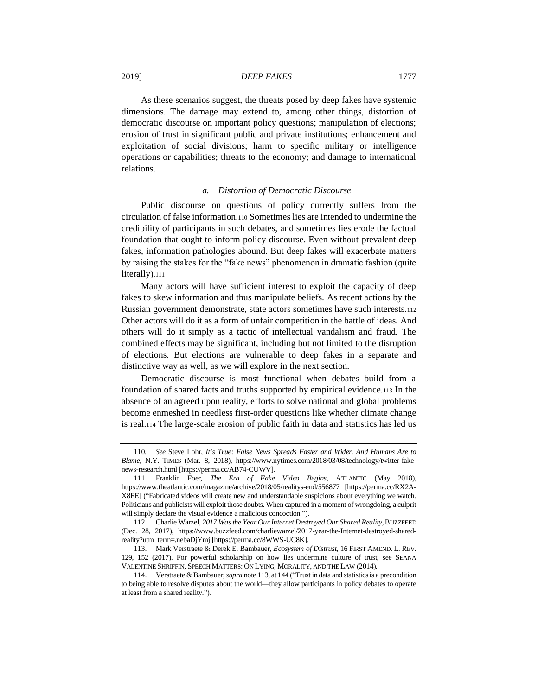As these scenarios suggest, the threats posed by deep fakes have systemic dimensions. The damage may extend to, among other things, distortion of democratic discourse on important policy questions; manipulation of elections; erosion of trust in significant public and private institutions; enhancement and exploitation of social divisions; harm to specific military or intelligence operations or capabilities; threats to the economy; and damage to international relations.

#### *a. Distortion of Democratic Discourse*

Public discourse on questions of policy currently suffers from the circulation of false information.<sup>110</sup> Sometimes lies are intended to undermine the credibility of participants in such debates, and sometimes lies erode the factual foundation that ought to inform policy discourse. Even without prevalent deep fakes, information pathologies abound. But deep fakes will exacerbate matters by raising the stakes for the "fake news" phenomenon in dramatic fashion (quite literally).<sup>111</sup>

Many actors will have sufficient interest to exploit the capacity of deep fakes to skew information and thus manipulate beliefs. As recent actions by the Russian government demonstrate, state actors sometimes have such interests.<sup>112</sup> Other actors will do it as a form of unfair competition in the battle of ideas. And others will do it simply as a tactic of intellectual vandalism and fraud. The combined effects may be significant, including but not limited to the disruption of elections. But elections are vulnerable to deep fakes in a separate and distinctive way as well, as we will explore in the next section.

<span id="page-24-0"></span>Democratic discourse is most functional when debates build from a foundation of shared facts and truths supported by empirical evidence.<sup>113</sup> In the absence of an agreed upon reality, efforts to solve national and global problems become enmeshed in needless first-order questions like whether climate change is real.<sup>114</sup> The large-scale erosion of public faith in data and statistics has led us

<sup>110</sup>*. See* Steve Lohr, *It's True: False News Spreads Faster and Wider. And Humans Are to Blame*, N.Y. TIMES (Mar. 8, 2018), https://www.nytimes.com/2018/03/08/technology/twitter-fakenews-research.html [https://perma.cc/AB74-CUWV].

<sup>111.</sup> Franklin Foer, *The Era of Fake Video Begins*, ATLANTIC (May 2018), https://www.theatlantic.com/magazine/archive/2018/05/realitys-end/556877 [https://perma.cc/RX2A-X8EE] ("Fabricated videos will create new and understandable suspicions about everything we watch. Politicians and publicists will exploit those doubts. When captured in a moment of wrongdoing, a culprit will simply declare the visual evidence a malicious concoction.").

<sup>112.</sup> Charlie Warzel, *2017 Was the Year Our Internet Destroyed Our Shared Reality,*BUZZFEED (Dec. 28, 2017), https://www.buzzfeed.com/charliewarzel/2017-year-the-Internet-destroyed-sharedreality?utm\_term=.nebaDjYmj [https://perma.cc/8WWS-UC8K].

<sup>113.</sup> Mark Verstraete & Derek E. Bambauer, *Ecosystem of Distrust*, 16 FIRST AMEND. L. REV. 129, 152 (2017). For powerful scholarship on how lies undermine culture of trust, see SEANA VALENTINE SHRIFFIN, SPEECH MATTERS: ON LYING, MORALITY, AND THE LAW (2014).

<sup>114.</sup> Verstraete & Bambauer, *supra* not[e 113,](#page-24-0) at 144 ("Trust in data and statistics is a precondition to being able to resolve disputes about the world—they allow participants in policy debates to operate at least from a shared reality.")*.*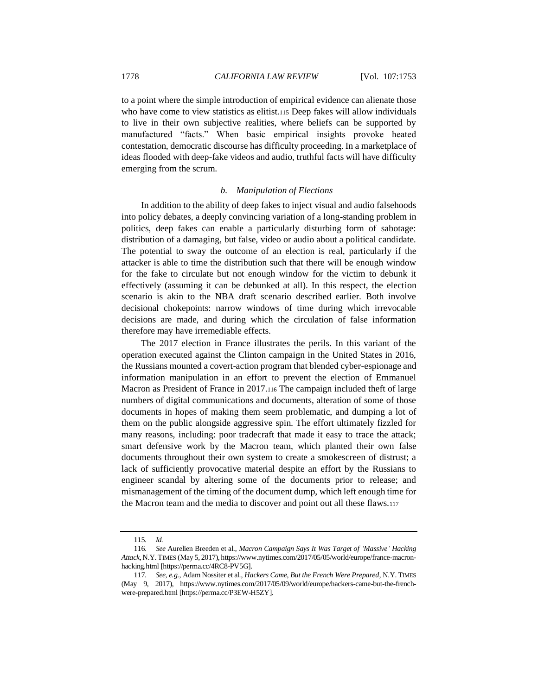to a point where the simple introduction of empirical evidence can alienate those who have come to view statistics as elitist.115 Deep fakes will allow individuals to live in their own subjective realities, where beliefs can be supported by manufactured "facts." When basic empirical insights provoke heated contestation, democratic discourse has difficulty proceeding. In a marketplace of ideas flooded with deep-fake videos and audio, truthful facts will have difficulty emerging from the scrum.

#### *b. Manipulation of Elections*

In addition to the ability of deep fakes to inject visual and audio falsehoods into policy debates, a deeply convincing variation of a long-standing problem in politics, deep fakes can enable a particularly disturbing form of sabotage: distribution of a damaging, but false, video or audio about a political candidate. The potential to sway the outcome of an election is real, particularly if the attacker is able to time the distribution such that there will be enough window for the fake to circulate but not enough window for the victim to debunk it effectively (assuming it can be debunked at all). In this respect, the election scenario is akin to the NBA draft scenario described earlier. Both involve decisional chokepoints: narrow windows of time during which irrevocable decisions are made, and during which the circulation of false information therefore may have irremediable effects.

The 2017 election in France illustrates the perils. In this variant of the operation executed against the Clinton campaign in the United States in 2016, the Russians mounted a covert-action program that blended cyber-espionage and information manipulation in an effort to prevent the election of Emmanuel Macron as President of France in 2017.<sup>116</sup> The campaign included theft of large numbers of digital communications and documents, alteration of some of those documents in hopes of making them seem problematic, and dumping a lot of them on the public alongside aggressive spin. The effort ultimately fizzled for many reasons, including: poor tradecraft that made it easy to trace the attack; smart defensive work by the Macron team, which planted their own false documents throughout their own system to create a smokescreen of distrust; a lack of sufficiently provocative material despite an effort by the Russians to engineer scandal by altering some of the documents prior to release; and mismanagement of the timing of the document dump, which left enough time for the Macron team and the media to discover and point out all these flaws.<sup>117</sup>

<sup>115</sup>*. Id.*

<sup>116</sup>*. See* [Aurelien Breeden](https://www.nytimes.com/by/aurelien-breeden) et al., *Macron Campaign Says It Was Target of 'Massive' Hacking Attack*, N.Y.TIMES (May 5, 2017), https://www.nytimes.com/2017/05/05/world/europe/france-macronhacking.html [https://perma.cc/4RC8-PV5G].

<sup>117</sup>*. See, e.g.*, Adam Nossiter et al., *Hackers Came, But the French Were Prepared,* N.Y. TIMES (May 9, 2017), https://www.nytimes.com/2017/05/09/world/europe/hackers-came-but-the-frenchwere-prepared.html [https://perma.cc/P3EW-H5ZY].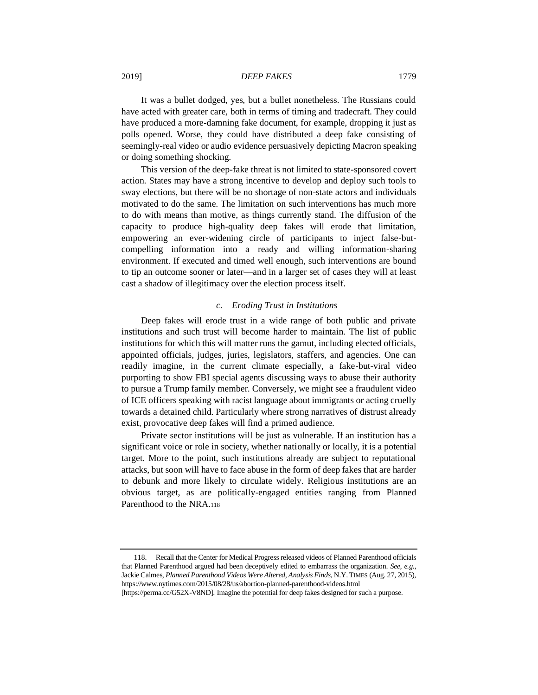It was a bullet dodged, yes, but a bullet nonetheless. The Russians could have acted with greater care, both in terms of timing and tradecraft. They could have produced a more-damning fake document, for example, dropping it just as polls opened. Worse, they could have distributed a deep fake consisting of seemingly-real video or audio evidence persuasively depicting Macron speaking or doing something shocking.

This version of the deep-fake threat is not limited to state-sponsored covert action. States may have a strong incentive to develop and deploy such tools to sway elections, but there will be no shortage of non-state actors and individuals motivated to do the same. The limitation on such interventions has much more to do with means than motive, as things currently stand. The diffusion of the capacity to produce high-quality deep fakes will erode that limitation, empowering an ever-widening circle of participants to inject false-butcompelling information into a ready and willing information-sharing environment. If executed and timed well enough, such interventions are bound to tip an outcome sooner or later—and in a larger set of cases they will at least cast a shadow of illegitimacy over the election process itself.

#### *c. Eroding Trust in Institutions*

Deep fakes will erode trust in a wide range of both public and private institutions and such trust will become harder to maintain. The list of public institutions for which this will matter runs the gamut, including elected officials, appointed officials, judges, juries, legislators, staffers, and agencies. One can readily imagine, in the current climate especially, a fake-but-viral video purporting to show FBI special agents discussing ways to abuse their authority to pursue a Trump family member. Conversely, we might see a fraudulent video of ICE officers speaking with racist language about immigrants or acting cruelly towards a detained child. Particularly where strong narratives of distrust already exist, provocative deep fakes will find a primed audience.

Private sector institutions will be just as vulnerable. If an institution has a significant voice or role in society, whether nationally or locally, it is a potential target. More to the point, such institutions already are subject to reputational attacks, but soon will have to face abuse in the form of deep fakes that are harder to debunk and more likely to circulate widely. Religious institutions are an obvious target, as are politically-engaged entities ranging from Planned Parenthood to the NRA.<sup>118</sup>

<sup>118.</sup> Recall that the Center for Medical Progress released videos of Planned Parenthood officials that Planned Parenthood argued had been deceptively edited to embarrass the organization. *See, e.g.*, Jackie Calmes, *Planned Parenthood Videos Were Altered, Analysis Finds*, N.Y.TIMES (Aug. 27, 2015), https://www.nytimes.com/2015/08/28/us/abortion-planned-parenthood-videos.html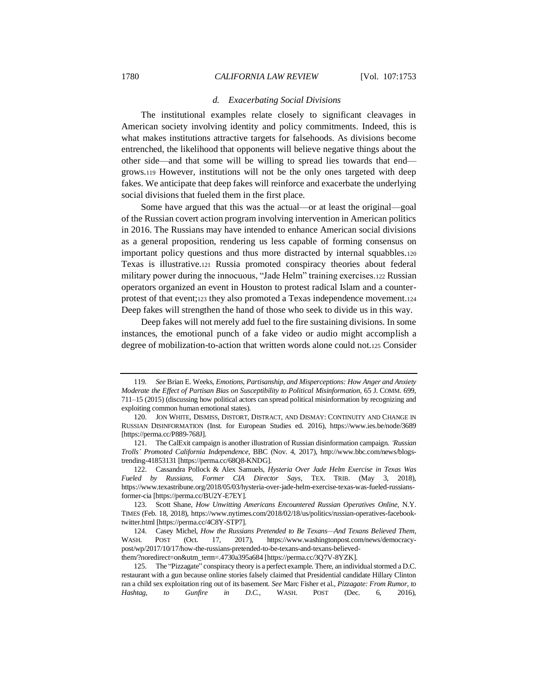## *d. Exacerbating Social Divisions*

The institutional examples relate closely to significant cleavages in American society involving identity and policy commitments. Indeed, this is what makes institutions attractive targets for falsehoods. As divisions become entrenched, the likelihood that opponents will believe negative things about the other side—and that some will be willing to spread lies towards that end grows.<sup>119</sup> However, institutions will not be the only ones targeted with deep fakes. We anticipate that deep fakes will reinforce and exacerbate the underlying social divisions that fueled them in the first place.

Some have argued that this was the actual—or at least the original—goal of the Russian covert action program involving intervention in American politics in 2016. The Russians may have intended to enhance American social divisions as a general proposition, rendering us less capable of forming consensus on important policy questions and thus more distracted by internal squabbles.<sup>120</sup> Texas is illustrative.<sup>121</sup> Russia promoted conspiracy theories about federal military power during the innocuous, "Jade Helm" training exercises.<sup>122</sup> Russian operators organized an event in Houston to protest radical Islam and a counterprotest of that event;<sup>123</sup> they also promoted a Texas independence movement.<sup>124</sup> Deep fakes will strengthen the hand of those who seek to divide us in this way.

Deep fakes will not merely add fuel to the fire sustaining divisions. In some instances, the emotional punch of a fake video or audio might accomplish a degree of mobilization-to-action that written words alone could not.<sup>125</sup> Consider

<sup>119</sup>*. See* Brian E. Weeks, *Emotions, Partisanship, and Misperceptions: How Anger and Anxiety Moderate the Effect of Partisan Bias on Susceptibility to Political Misinformation*, 65 J. COMM. 699, 711–15 (2015) (discussing how political actors can spread political misinformation by recognizing and exploiting common human emotional states).

<sup>120.</sup> JON WHITE, DISMISS, DISTORT, DISTRACT, AND DISMAY: CONTINUITY AND CHANGE IN RUSSIAN DISINFORMATION (Inst. for European Studies ed. 2016), https://www.ies.be/node/3689 [https://perma.cc/P889-768J].

<sup>121.</sup> The CalExit campaign is another illustration of Russian disinformation campaign. *'Russian Trolls' Promoted California Independence*, BBC (Nov. 4, 2017), http://www.bbc.com/news/blogstrending-41853131 [https://perma.cc/68Q8-KNDG].

<sup>122.</sup> Cassandra Pollock & Alex Samuels, *Hysteria Over Jade Helm Exercise in Texas Was Fueled by Russians, Former CIA Director Says*, TEX. TRIB. (May 3, 2018), https://www.texastribune.org/2018/05/03/hysteria-over-jade-helm-exercise-texas-was-fueled-russiansformer-cia [https://perma.cc/BU2Y-E7EY].

<sup>123.</sup> Scott Shane, *How Unwitting Americans Encountered Russian Operatives Online*, N.Y. TIMES (Feb. 18, 2018), https://www.nytimes.com/2018/02/18/us/politics/russian-operatives-facebooktwitter.html [https://perma.cc/4C8Y-STP7].

<sup>124.</sup> Casey Michel, *How the Russians Pretended to Be Texans—And Texans Believed Them*, WASH. POST (Oct. 17, 2017), https://www.washingtonpost.com/news/democracypost/wp/2017/10/17/how-the-russians-pretended-to-be-texans-and-texans-believedthem/?noredirect=on&utm\_term=.4730a395a684 [https://perma.cc/3Q7V-8YZK].

<sup>125.</sup> The "Pizzagate" conspiracy theory is a perfect example. There, an individual stormed a D.C. restaurant with a gun because online stories falsely claimed that Presidential candidate Hillary Clinton ran a child sex exploitation ring out of its basement. *See* Marc Fisher et al., *Pizzagate: From Rumor, to Hashtag, to Gunfire in D.C.,* WASH. POST (Dec. 6, 2016),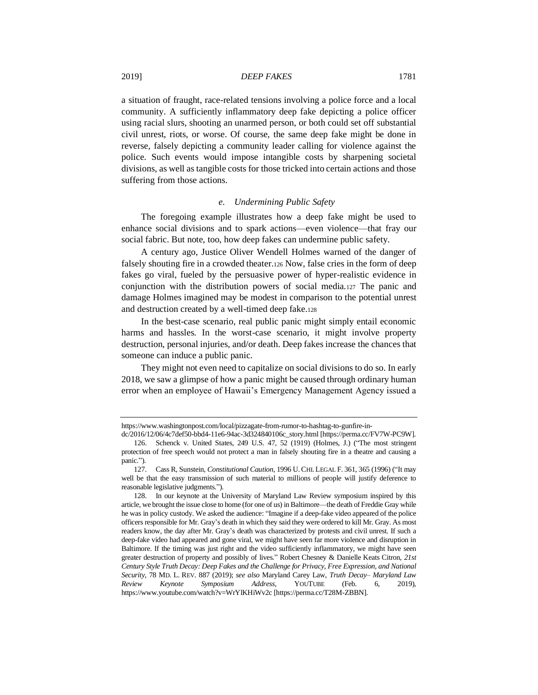a situation of fraught, race-related tensions involving a police force and a local community. A sufficiently inflammatory deep fake depicting a police officer using racial slurs, shooting an unarmed person, or both could set off substantial civil unrest, riots, or worse. Of course, the same deep fake might be done in reverse, falsely depicting a community leader calling for violence against the police. Such events would impose intangible costs by sharpening societal divisions, as well as tangible costs for those tricked into certain actions and those suffering from those actions.

# *e. Undermining Public Safety*

The foregoing example illustrates how a deep fake might be used to enhance social divisions and to spark actions—even violence—that fray our social fabric. But note, too, how deep fakes can undermine public safety.

A century ago, Justice Oliver Wendell Holmes warned of the danger of falsely shouting fire in a crowded theater.<sup>126</sup> Now, false cries in the form of deep fakes go viral, fueled by the persuasive power of hyper-realistic evidence in conjunction with the distribution powers of social media.<sup>127</sup> The panic and damage Holmes imagined may be modest in comparison to the potential unrest and destruction created by a well-timed deep fake.<sup>128</sup>

In the best-case scenario, real public panic might simply entail economic harms and hassles. In the worst-case scenario, it might involve property destruction, personal injuries, and/or death. Deep fakes increase the chances that someone can induce a public panic.

They might not even need to capitalize on social divisions to do so. In early 2018, we saw a glimpse of how a panic might be caused through ordinary human error when an employee of Hawaii's Emergency Management Agency issued a

https://www.washingtonpost.com/local/pizzagate-from-rumor-to-hashtag-to-gunfire-in-

dc/2016/12/06/4c7def50-bbd4-11e6-94ac-3d324840106c\_story.html [https://perma.cc/FV7W-PC9W]. 126. Schenck v. United States, 249 U.S. 47, 52 (1919) (Holmes, J.) ("The most stringent protection of free speech would not protect a man in falsely shouting fire in a theatre and causing a panic.").

<sup>127.</sup> Cass R, Sunstein, *Constitutional Caution*, 1996 U.CHI. LEGAL F. 361, 365 (1996) ("It may well be that the easy transmission of such material to millions of people will justify deference to reasonable legislative judgments.").

<sup>128.</sup> In our keynote at the University of Maryland Law Review symposium inspired by this article, we brought the issue close to home (for one of us) in Baltimore—the death of Freddie Gray while he was in policy custody. We asked the audience: "Imagine if a deep-fake video appeared of the police officers responsible for Mr. Gray's death in which they said they were ordered to kill Mr. Gray. As most readers know, the day after Mr. Gray's death was characterized by protests and civil unrest. If such a deep-fake video had appeared and gone viral, we might have seen far more violence and disruption in Baltimore. If the timing was just right and the video sufficiently inflammatory, we might have seen greater destruction of property and possibly of lives." Robert Chesney & Danielle Keats Citron, *21st Century Style Truth Decay: Deep Fakes and the Challenge for Privacy, Free Expression, and National Security*, 78 MD. L. REV. 887 (2019); *see also* Maryland Carey Law, *Truth Decay– Maryland Law Review Keynote Symposium Address*, YOUTUBE (Feb. 6, 2019), https://www.youtube.com/watch?v=WrYlKHiWv2c [https://perma.cc/T28M-ZBBN].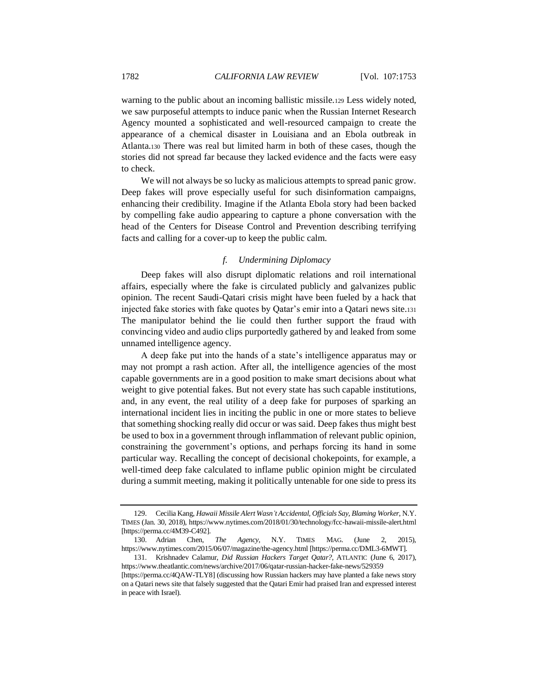warning to the public about an incoming ballistic missile.<sup>129</sup> Less widely noted, we saw purposeful attempts to induce panic when the Russian Internet Research Agency mounted a sophisticated and well-resourced campaign to create the appearance of a chemical disaster in Louisiana and an Ebola outbreak in Atlanta.<sup>130</sup> There was real but limited harm in both of these cases, though the stories did not spread far because they lacked evidence and the facts were easy to check.

We will not always be so lucky as malicious attempts to spread panic grow. Deep fakes will prove especially useful for such disinformation campaigns, enhancing their credibility. Imagine if the Atlanta Ebola story had been backed by compelling fake audio appearing to capture a phone conversation with the head of the Centers for Disease Control and Prevention describing terrifying facts and calling for a cover-up to keep the public calm.

# *f. Undermining Diplomacy*

Deep fakes will also disrupt diplomatic relations and roil international affairs, especially where the fake is circulated publicly and galvanizes public opinion. The recent Saudi-Qatari crisis might have been fueled by a hack that injected fake stories with fake quotes by Qatar's emir into a Qatari news site.<sup>131</sup> The manipulator behind the lie could then further support the fraud with convincing video and audio clips purportedly gathered by and leaked from some unnamed intelligence agency.

A deep fake put into the hands of a state's intelligence apparatus may or may not prompt a rash action. After all, the intelligence agencies of the most capable governments are in a good position to make smart decisions about what weight to give potential fakes. But not every state has such capable institutions, and, in any event, the real utility of a deep fake for purposes of sparking an international incident lies in inciting the public in one or more states to believe that something shocking really did occur or was said. Deep fakes thus might best be used to box in a government through inflammation of relevant public opinion, constraining the government's options, and perhaps forcing its hand in some particular way. Recalling the concept of decisional chokepoints, for example, a well-timed deep fake calculated to inflame public opinion might be circulated during a summit meeting, making it politically untenable for one side to press its

<sup>129.</sup> Cecilia Kang, *Hawaii Missile Alert Wasn't Accidental, Officials Say, Blaming Worker*, N.Y. TIMES (Jan. 30, 2018), https://www.nytimes.com/2018/01/30/technology/fcc-hawaii-missile-alert.html [https://perma.cc/4M39-C492].

<sup>130.</sup> Adrian Chen, *The Agency*, N.Y. TIMES MAG. (June 2, 2015), https://www.nytimes.com/2015/06/07/magazine/the-agency.html [https://perma.cc/DML3-6MWT].

<sup>131.</sup> Krishnadev Calamur, *Did Russian Hackers Target Qatar?*, ATLANTIC (June 6, 2017), https://www.theatlantic.com/news/archive/2017/06/qatar-russian-hacker-fake-news/529359 [https://perma.cc/4QAW-TLY8] (discussing how Russian hackers may have planted a fake news story

on a Qatari news site that falsely suggested that the Qatari Emir had praised Iran and expressed interest in peace with Israel).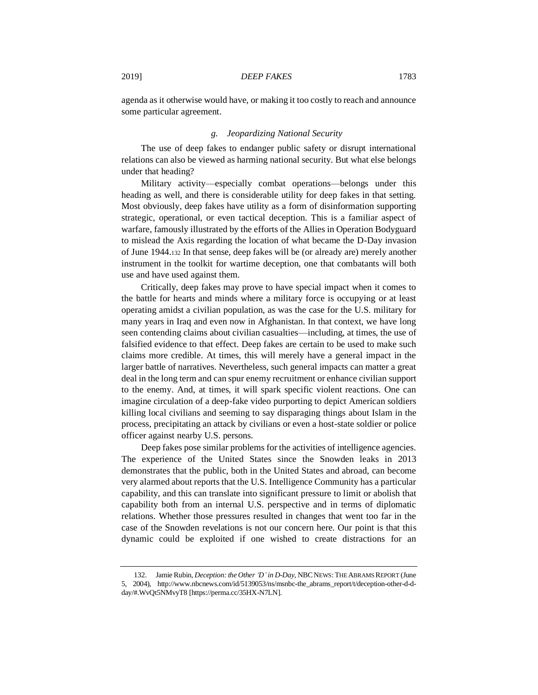agenda as it otherwise would have, or making it too costly to reach and announce some particular agreement.

## *g. Jeopardizing National Security*

The use of deep fakes to endanger public safety or disrupt international relations can also be viewed as harming national security. But what else belongs under that heading?

Military activity—especially combat operations—belongs under this heading as well, and there is considerable utility for deep fakes in that setting. Most obviously, deep fakes have utility as a form of disinformation supporting strategic, operational, or even tactical deception. This is a familiar aspect of warfare, famously illustrated by the efforts of the Allies in Operation Bodyguard to mislead the Axis regarding the location of what became the D-Day invasion of June 1944.<sup>132</sup> In that sense, deep fakes will be (or already are) merely another instrument in the toolkit for wartime deception, one that combatants will both use and have used against them.

Critically, deep fakes may prove to have special impact when it comes to the battle for hearts and minds where a military force is occupying or at least operating amidst a civilian population, as was the case for the U.S. military for many years in Iraq and even now in Afghanistan. In that context, we have long seen contending claims about civilian casualties—including, at times, the use of falsified evidence to that effect. Deep fakes are certain to be used to make such claims more credible. At times, this will merely have a general impact in the larger battle of narratives. Nevertheless, such general impacts can matter a great deal in the long term and can spur enemy recruitment or enhance civilian support to the enemy. And, at times, it will spark specific violent reactions. One can imagine circulation of a deep-fake video purporting to depict American soldiers killing local civilians and seeming to say disparaging things about Islam in the process, precipitating an attack by civilians or even a host-state soldier or police officer against nearby U.S. persons.

Deep fakes pose similar problems for the activities of intelligence agencies. The experience of the United States since the Snowden leaks in 2013 demonstrates that the public, both in the United States and abroad, can become very alarmed about reports that the U.S. Intelligence Community has a particular capability, and this can translate into significant pressure to limit or abolish that capability both from an internal U.S. perspective and in terms of diplomatic relations. Whether those pressures resulted in changes that went too far in the case of the Snowden revelations is not our concern here. Our point is that this dynamic could be exploited if one wished to create distractions for an

<sup>132.</sup> Jamie Rubin, *Deception: the Other 'D' in D-Day*, NBCNEWS:THE ABRAMS REPORT (June 5, 2004), http://www.nbcnews.com/id/5139053/ns/msnbc-the\_abrams\_report/t/deception-other-d-dday/#.WvQt5NMvyT8 [https://perma.cc/35HX-N7LN].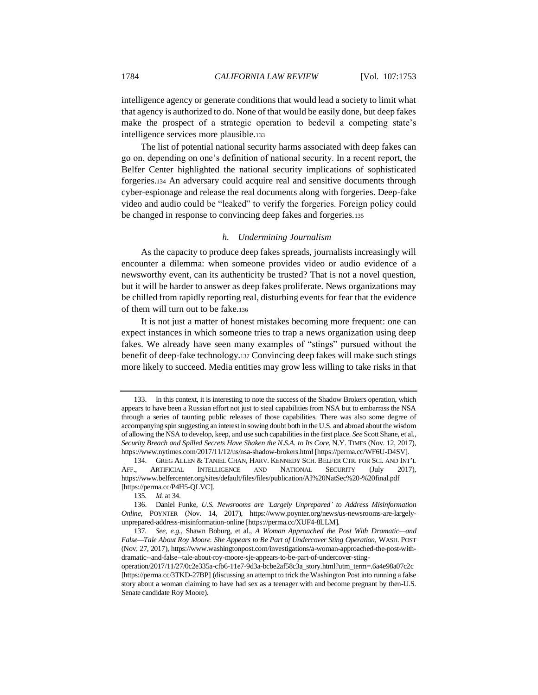intelligence agency or generate conditions that would lead a society to limit what that agency is authorized to do. None of that would be easily done, but deep fakes make the prospect of a strategic operation to bedevil a competing state's intelligence services more plausible.<sup>133</sup>

The list of potential national security harms associated with deep fakes can go on, depending on one's definition of national security. In a recent report, the Belfer Center highlighted the national security implications of sophisticated forgeries.<sup>134</sup> An adversary could acquire real and sensitive documents through cyber-espionage and release the real documents along with forgeries. Deep-fake video and audio could be "leaked" to verify the forgeries. Foreign policy could be changed in response to convincing deep fakes and forgeries.<sup>135</sup>

# *h. Undermining Journalism*

As the capacity to produce deep fakes spreads, journalists increasingly will encounter a dilemma: when someone provides video or audio evidence of a newsworthy event, can its authenticity be trusted? That is not a novel question, but it will be harder to answer as deep fakes proliferate. News organizations may be chilled from rapidly reporting real, disturbing events for fear that the evidence of them will turn out to be fake.<sup>136</sup>

It is not just a matter of honest mistakes becoming more frequent: one can expect instances in which someone tries to trap a news organization using deep fakes. We already have seen many examples of "stings" pursued without the benefit of deep-fake technology.<sup>137</sup> Convincing deep fakes will make such stings more likely to succeed. Media entities may grow less willing to take risks in that

<sup>133.</sup> In this context, it is interesting to note the success of the Shadow Brokers operation, which appears to have been a Russian effort not just to steal capabilities from NSA but to embarrass the NSA through a series of taunting public releases of those capabilities. There was also some degree of accompanying spin suggesting an interest in sowing doubt both in the U.S. and abroad about the wisdom of allowing the NSA to develop, keep, and use such capabilities in the first place. *See* Scott Shane, et al., *Security Breach and Spilled Secrets Have Shaken the N.S.A. to Its Core,* N.Y. TIMES (Nov. 12, 2017), https://www.nytimes.com/2017/11/12/us/nsa-shadow-brokers.html [https://perma.cc/WF6U-D4SV].

<sup>134.</sup> GREG ALLEN & TANIEL CHAN, HARV. KENNEDY SCH. BELFER CTR. FOR SCI. AND INT'L AFF., ARTIFICIAL INTELLIGENCE AND NATIONAL SECURITY (July 2017), https://www.belfercenter.org/sites/default/files/files/publication/AI%20NatSec%20-%20final.pdf [https://perma.cc/P4H5-QLVC].

<sup>135</sup>*. Id.* at 34.

<sup>136.</sup> Daniel Funke, *U.S. Newsrooms are 'Largely Unprepared' to Address Misinformation Online,* POYNTER (Nov. 14, 2017), https://www.poynter.org/news/us-newsrooms-are-largelyunprepared-address-misinformation-online [https://perma.cc/XUF4-8LLM].

<sup>137</sup>*. See, e.g.*, Shawn Boburg, et al., *A Woman Approached the Post With Dramatic—and False—Tale About Roy Moore. She Appears to Be Part of Undercover Sting Operation*, WASH. POST (Nov. 27, 2017), https://www.washingtonpost.com/investigations/a-woman-approached-the-post-withdramatic--and-false--tale-about-roy-moore-sje-appears-to-be-part-of-undercover-sting-

operation/2017/11/27/0c2e335a-cfb6-11e7-9d3a-bcbe2af58c3a\_story.html?utm\_term=.6a4e98a07c2c [https://perma.cc/3TKD-27BP] (discussing an attempt to trick the Washington Post into running a false story about a woman claiming to have had sex as a teenager with and become pregnant by then-U.S. Senate candidate Roy Moore).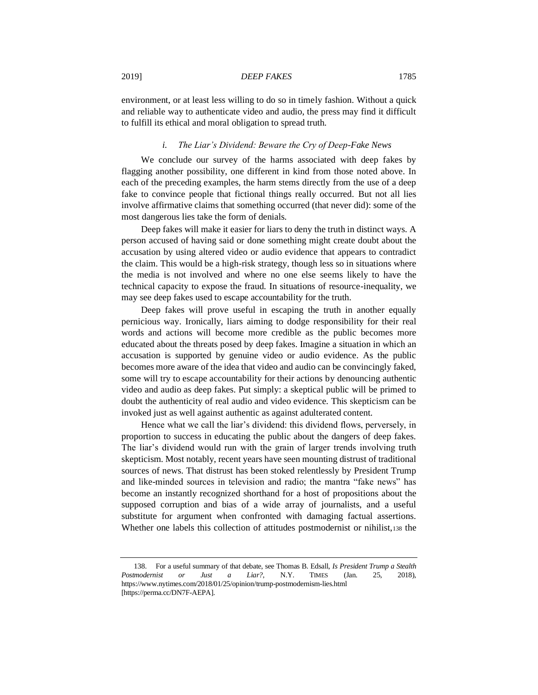environment, or at least less willing to do so in timely fashion. Without a quick and reliable way to authenticate video and audio, the press may find it difficult to fulfill its ethical and moral obligation to spread truth.

# *i. The Liar's Dividend: Beware the Cry of Deep-Fake News*

We conclude our survey of the harms associated with deep fakes by flagging another possibility, one different in kind from those noted above. In each of the preceding examples, the harm stems directly from the use of a deep fake to convince people that fictional things really occurred. But not all lies involve affirmative claims that something occurred (that never did): some of the most dangerous lies take the form of denials.

Deep fakes will make it easier for liars to deny the truth in distinct ways. A person accused of having said or done something might create doubt about the accusation by using altered video or audio evidence that appears to contradict the claim. This would be a high-risk strategy, though less so in situations where the media is not involved and where no one else seems likely to have the technical capacity to expose the fraud. In situations of resource-inequality, we may see deep fakes used to escape accountability for the truth.

Deep fakes will prove useful in escaping the truth in another equally pernicious way. Ironically, liars aiming to dodge responsibility for their real words and actions will become more credible as the public becomes more educated about the threats posed by deep fakes. Imagine a situation in which an accusation is supported by genuine video or audio evidence. As the public becomes more aware of the idea that video and audio can be convincingly faked, some will try to escape accountability for their actions by denouncing authentic video and audio as deep fakes. Put simply: a skeptical public will be primed to doubt the authenticity of real audio and video evidence. This skepticism can be invoked just as well against authentic as against adulterated content.

Hence what we call the liar's dividend: this dividend flows, perversely, in proportion to success in educating the public about the dangers of deep fakes. The liar's dividend would run with the grain of larger trends involving truth skepticism. Most notably, recent years have seen mounting distrust of traditional sources of news. That distrust has been stoked relentlessly by President Trump and like-minded sources in television and radio; the mantra "fake news" has become an instantly recognized shorthand for a host of propositions about the supposed corruption and bias of a wide array of journalists, and a useful substitute for argument when confronted with damaging factual assertions. Whether one labels this collection of attitudes postmodernist or nihilist,<sup>138</sup> the

<sup>138.</sup> For a useful summary of that debate, see Thomas B. Edsall, *Is President Trump a Stealth Postmodernist or Just a Liar?*, N.Y. TIMES (Jan. 25, 2018), https://www.nytimes.com/2018/01/25/opinion/trump-postmodernism-lies.html [https://perma.cc/DN7F-AEPA].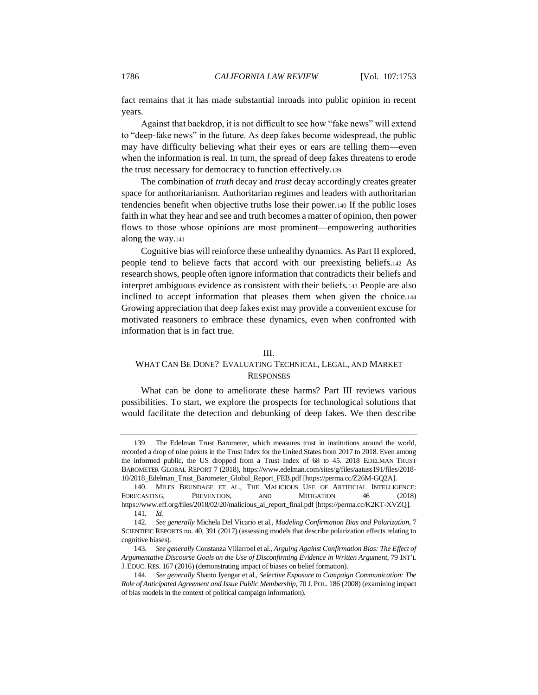fact remains that it has made substantial inroads into public opinion in recent years.

Against that backdrop, it is not difficult to see how "fake news" will extend to "deep-fake news" in the future. As deep fakes become widespread, the public may have difficulty believing what their eyes or ears are telling them—even when the information is real. In turn, the spread of deep fakes threatens to erode the trust necessary for democracy to function effectively.<sup>139</sup>

The combination of *truth* decay and *trust* decay accordingly creates greater space for authoritarianism. Authoritarian regimes and leaders with authoritarian tendencies benefit when objective truths lose their power.<sup>140</sup> If the public loses faith in what they hear and see and truth becomes a matter of opinion, then power flows to those whose opinions are most prominent—empowering authorities along the way.<sup>141</sup>

Cognitive bias will reinforce these unhealthy dynamics. As Part II explored, people tend to believe facts that accord with our preexisting beliefs.<sup>142</sup> As research shows, people often ignore information that contradicts their beliefs and interpret ambiguous evidence as consistent with their beliefs.<sup>143</sup> People are also inclined to accept information that pleases them when given the choice.<sup>144</sup> Growing appreciation that deep fakes exist may provide a convenient excuse for motivated reasoners to embrace these dynamics, even when confronted with information that is in fact true.

#### III.

# WHAT CAN BE DONE? EVALUATING TECHNICAL, LEGAL, AND MARKET **RESPONSES**

What can be done to ameliorate these harms? Part III reviews various possibilities. To start, we explore the prospects for technological solutions that would facilitate the detection and debunking of deep fakes. We then describe

<sup>139.</sup> The Edelman Trust Barometer, which measures trust in institutions around the world, recorded a drop of nine points in the Trust Index for the United States from 2017 to 2018. Even among the informed public, the US dropped from a Trust Index of 68 to 45. 2018 EDELMAN TRUST BAROMETER GLOBAL REPORT 7 (2018), https://www.edelman.com/sites/g/files/aatuss191/files/2018- 10/2018\_Edelman\_Trust\_Barometer\_Global\_Report\_FEB.pdf [https://perma.cc/Z26M-GQ2A].

<sup>140.</sup> MILES BRUNDAGE ET AL., THE MALICIOUS USE OF ARTIFICIAL INTELLIGENCE: FORECASTING, PREVENTION, AND MITIGATION 46 (2018) https://www.eff.org/files/2018/02/20/malicious\_ai\_report\_final.pdf [https://perma.cc/K2KT-XVZQ]. 141*. Id.*

<sup>142</sup>*. See generally* Michela Del Vicario et al., *Modeling Confirmation Bias and Polarization*, 7 SCIENTIFIC REPORTS no. 40, 391 (2017) (assessing models that describe polarization effects relating to cognitive biases).

<sup>143</sup>*. See generally* Constanza Villarroel et al., *Arguing Against Confirmation Bias: The Effect of Argumentative Discourse Goals on the Use of Disconfirming Evidence in Written Argument*, 79 INT'L J. EDUC. RES. 167 (2016) (demonstrating impact of biases on belief formation).

<sup>144</sup>*. See generally* Shanto Iyengar et al., *Selective Exposure to Campaign Communication: The Role of Anticipated Agreement and Issue Public Membership*, 70 J. POL. 186 (2008) (examining impact of bias models in the context of political campaign information).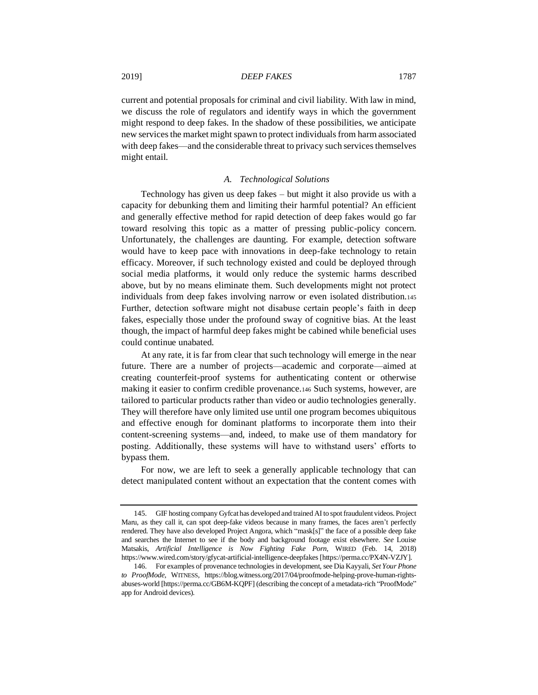current and potential proposals for criminal and civil liability. With law in mind, we discuss the role of regulators and identify ways in which the government might respond to deep fakes. In the shadow of these possibilities, we anticipate new services the market might spawn to protect individuals from harm associated with deep fakes—and the considerable threat to privacy such services themselves might entail.

# <span id="page-34-0"></span>*A. Technological Solutions*

Technology has given us deep fakes – but might it also provide us with a capacity for debunking them and limiting their harmful potential? An efficient and generally effective method for rapid detection of deep fakes would go far toward resolving this topic as a matter of pressing public-policy concern. Unfortunately, the challenges are daunting. For example, detection software would have to keep pace with innovations in deep-fake technology to retain efficacy. Moreover, if such technology existed and could be deployed through social media platforms, it would only reduce the systemic harms described above, but by no means eliminate them. Such developments might not protect individuals from deep fakes involving narrow or even isolated distribution.<sup>145</sup> Further, detection software might not disabuse certain people's faith in deep fakes, especially those under the profound sway of cognitive bias. At the least though, the impact of harmful deep fakes might be cabined while beneficial uses could continue unabated.

At any rate, it is far from clear that such technology will emerge in the near future. There are a number of projects—academic and corporate—aimed at creating counterfeit-proof systems for authenticating content or otherwise making it easier to confirm credible provenance.<sup>146</sup> Such systems, however, are tailored to particular products rather than video or audio technologies generally. They will therefore have only limited use until one program becomes ubiquitous and effective enough for dominant platforms to incorporate them into their content-screening systems—and, indeed, to make use of them mandatory for posting. Additionally, these systems will have to withstand users' efforts to bypass them.

For now, we are left to seek a generally applicable technology that can detect manipulated content without an expectation that the content comes with

<sup>145.</sup> GIF hosting company Gyfcat has developed and trained AI to spot fraudulent videos. Project Maru, as they call it, can spot deep-fake videos because in many frames, the faces aren't perfectly rendered. They have also developed Project Angora, which "mask[s]" the face of a possible deep fake and searches the Internet to see if the body and background footage exist elsewhere. *See* Louise Matsakis, *Artificial Intelligence is Now Fighting Fake Porn*, WIRED (Feb. 14, 2018) https://www.wired.com/story/gfycat-artificial-intelligence-deepfakes [https://perma.cc/PX4N-VZJY].

<sup>146.</sup> For examples of provenance technologies in development, see Dia Kayyali, *Set Your Phone to ProofMode*, WITNESS, https://blog.witness.org/2017/04/proofmode-helping-prove-human-rightsabuses-world [https://perma.cc/GB6M-KQPF] (describing the concept of a metadata-rich "ProofMode" app for Android devices).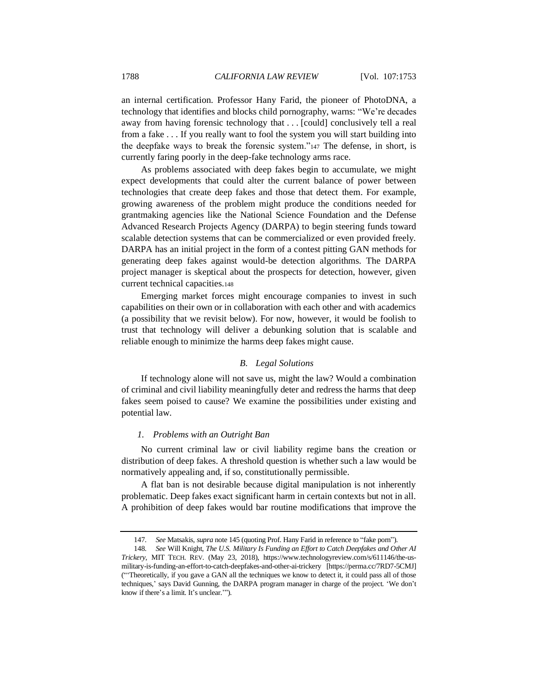an internal certification. Professor Hany Farid, the pioneer of PhotoDNA, a technology that identifies and blocks child pornography, warns: "We're decades away from having forensic technology that . . . [could] conclusively tell a real from a fake . . . If you really want to fool the system you will start building into the deepfake ways to break the forensic system."<sup>147</sup> The defense, in short, is currently faring poorly in the deep-fake technology arms race.

As problems associated with deep fakes begin to accumulate, we might expect developments that could alter the current balance of power between technologies that create deep fakes and those that detect them. For example, growing awareness of the problem might produce the conditions needed for grantmaking agencies like the National Science Foundation and the Defense Advanced Research Projects Agency (DARPA) to begin steering funds toward scalable detection systems that can be commercialized or even provided freely. DARPA has an initial project in the form of a contest pitting GAN methods for generating deep fakes against would-be detection algorithms. The DARPA project manager is skeptical about the prospects for detection, however, given current technical capacities.<sup>148</sup>

Emerging market forces might encourage companies to invest in such capabilities on their own or in collaboration with each other and with academics (a possibility that we revisit below). For now, however, it would be foolish to trust that technology will deliver a debunking solution that is scalable and reliable enough to minimize the harms deep fakes might cause.

#### *B. Legal Solutions*

If technology alone will not save us, might the law? Would a combination of criminal and civil liability meaningfully deter and redress the harms that deep fakes seem poised to cause? We examine the possibilities under existing and potential law.

## *1. Problems with an Outright Ban*

No current criminal law or civil liability regime bans the creation or distribution of deep fakes. A threshold question is whether such a law would be normatively appealing and, if so, constitutionally permissible.

A flat ban is not desirable because digital manipulation is not inherently problematic. Deep fakes exact significant harm in certain contexts but not in all. A prohibition of deep fakes would bar routine modifications that improve the

<sup>147</sup>*. See* Matsakis*, supra* not[e 145](#page-34-0) (quoting Prof. Hany Farid in reference to "fake porn").

<sup>148</sup>*. See* Will Knight, *The U.S. Military Is Funding an Effort to Catch Deepfakes and Other AI Trickery*, MIT TECH. REV. (May 23, 2018), https://www.technologyreview.com/s/611146/the-usmilitary-is-funding-an-effort-to-catch-deepfakes-and-other-ai-trickery [https://perma.cc/7RD7-5CMJ] ("'Theoretically, if you gave a GAN all the techniques we know to detect it, it could pass all of those techniques,' says David Gunning, the DARPA program manager in charge of the project. 'We don't know if there's a limit. It's unclear.'").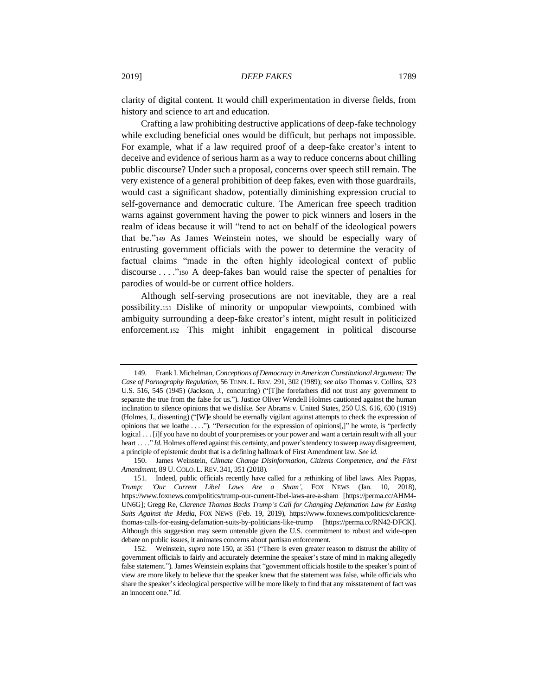clarity of digital content. It would chill experimentation in diverse fields, from history and science to art and education.

Crafting a law prohibiting destructive applications of deep-fake technology while excluding beneficial ones would be difficult, but perhaps not impossible. For example, what if a law required proof of a deep-fake creator's intent to deceive and evidence of serious harm as a way to reduce concerns about chilling public discourse? Under such a proposal, concerns over speech still remain. The very existence of a general prohibition of deep fakes, even with those guardrails, would cast a significant shadow, potentially diminishing expression crucial to self-governance and democratic culture. The American free speech tradition warns against government having the power to pick winners and losers in the realm of ideas because it will "tend to act on behalf of the ideological powers that be."<sup>149</sup> As James Weinstein notes, we should be especially wary of entrusting government officials with the power to determine the veracity of factual claims "made in the often highly ideological context of public discourse . . . ."<sup>150</sup> A deep-fakes ban would raise the specter of penalties for parodies of would-be or current office holders.

<span id="page-36-0"></span>Although self-serving prosecutions are not inevitable, they are a real possibility.<sup>151</sup> Dislike of minority or unpopular viewpoints, combined with ambiguity surrounding a deep-fake creator's intent, might result in politicized enforcement.<sup>152</sup> This might inhibit engagement in political discourse

<sup>149.</sup> Frank I. Michelman, *Conceptions of Democracy in American Constitutional Argument: The Case of Pornography Regulation*, 56 TENN. L. REV. 291, 302 (1989); *see also* Thomas v. Collins, 323 U.S. 516, 545 (1945) (Jackson, J., concurring) ("[T]he forefathers did not trust any government to separate the true from the false for us."). Justice Oliver Wendell Holmes cautioned against the human inclination to silence opinions that we dislike. *See* Abrams v. United States, 250 U.S. 616, 630 (1919) (Holmes, J., dissenting) ("[W]e should be eternally vigilant against attempts to check the expression of opinions that we loathe . . . ."). "Persecution for the expression of opinions[,]" he wrote, is "perfectly logical . . . [i]f you have no doubt of your premises or your power and want a certain result with all your heart . . . . " *Id*. Holmes offered against this certainty, and power's tendency to sweep away disagreement, a principle of epistemic doubt that is a defining hallmark of First Amendment law. *See id.*

<sup>150.</sup> James Weinstein, *Climate Change Disinformation, Citizens Competence, and the First Amendment*, 89 U.COLO. L. REV. 341, 351 (2018).

<sup>151.</sup> Indeed, public officials recently have called for a rethinking of libel laws. Alex Pappas, *Trump: 'Our Current Libel Laws Are a Sham'*, FOX NEWS (Jan. 10, 2018), https://www.foxnews.com/politics/trump-our-current-libel-laws-are-a-sham [https://perma.cc/AHM4- UN6G]; Gregg Re, *Clarence Thomas Backs Trump's Call for Changing Defamation Law for Easing Suits Against the Media*, FOX NEWS (Feb. 19, 2019), https://www.foxnews.com/politics/clarencethomas-calls-for-easing-defamation-suits-by-politicians-like-trump [https://perma.cc/RN42-DFCK]. Although this suggestion may seem untenable given the U.S. commitment to robust and wide-open debate on public issues, it animates concerns about partisan enforcement.

<sup>152.</sup> Weinstein, *supra* not[e 150,](#page-36-0) at 351 ("There is even greater reason to distrust the ability of government officials to fairly and accurately determine the speaker's state of mind in making allegedly false statement."). James Weinstein explains that "government officials hostile to the speaker's point of view are more likely to believe that the speaker knew that the statement was false, while officials who share the speaker's ideological perspective will be more likely to find that any misstatement of fact was an innocent one." *Id.*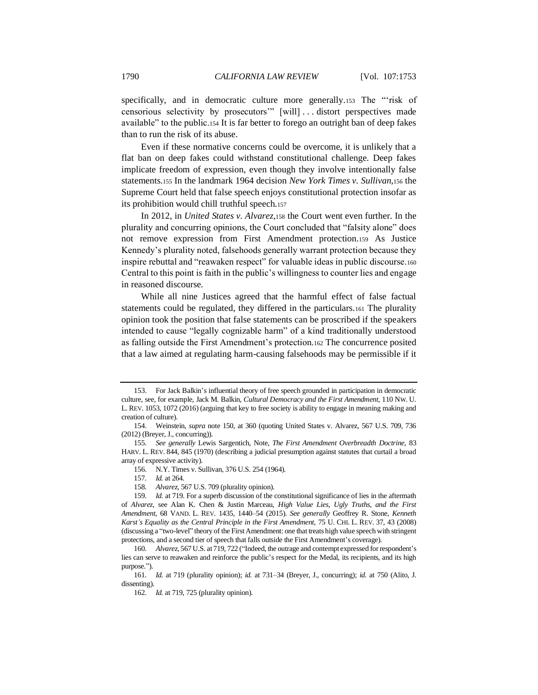specifically, and in democratic culture more generally.153 The "risk of censorious selectivity by prosecutors'" [will] . . . distort perspectives made available" to the public.<sup>154</sup> It is far better to forego an outright ban of deep fakes than to run the risk of its abuse.

Even if these normative concerns could be overcome, it is unlikely that a flat ban on deep fakes could withstand constitutional challenge. Deep fakes implicate freedom of expression, even though they involve intentionally false statements.<sup>155</sup> In the landmark 1964 decision *New York Times v. Sullivan,*<sup>156</sup> the Supreme Court held that false speech enjoys constitutional protection insofar as its prohibition would chill truthful speech.<sup>157</sup>

<span id="page-37-0"></span>In 2012, in *United States v. Alvarez*,<sup>158</sup> the Court went even further. In the plurality and concurring opinions, the Court concluded that "falsity alone" does not remove expression from First Amendment protection.<sup>159</sup> As Justice Kennedy's plurality noted, falsehoods generally warrant protection because they inspire rebuttal and "reawaken respect" for valuable ideas in public discourse.<sup>160</sup> Central to this point is faith in the public's willingness to counter lies and engage in reasoned discourse.

While all nine Justices agreed that the harmful effect of false factual statements could be regulated, they differed in the particulars.<sup>161</sup> The plurality opinion took the position that false statements can be proscribed if the speakers intended to cause "legally cognizable harm" of a kind traditionally understood as falling outside the First Amendment's protection.<sup>162</sup> The concurrence posited that a law aimed at regulating harm-causing falsehoods may be permissible if it

158*. Alvarez*, 567 U.S. 709 (plurality opinion).

<sup>153.</sup> For Jack Balkin's influential theory of free speech grounded in participation in democratic culture, see, for example, Jack M. Balkin, *Cultural Democracy and the First Amendment*, 110 NW. U. L.REV. 1053, 1072 (2016) (arguing that key to free society is ability to engage in meaning making and creation of culture).

<sup>154.</sup> Weinstein, *supra* note [150,](#page-36-0) at 360 (quoting United States v. Alvarez, 567 U.S. 709, 736 (2012) (Breyer, J., concurring)).

<sup>155</sup>*. See generally* Lewis Sargentich, Note, *The First Amendment Overbreadth Doctrine,* 83 HARV. L. REV. 844, 845 (1970) (describing a judicial presumption against statutes that curtail a broad array of expressive activity).

<sup>156.</sup> N.Y. Times v. Sullivan, 376 U.S. 254 (1964).

<sup>157</sup>*. Id.* at 264.

<sup>159</sup>*. Id.* at 719. For a superb discussion of the constitutional significance of lies in the aftermath of *Alvarez*, see Alan K. Chen & Justin Marceau, *High Value Lies, Ugly Truths, and the First Amendment*, 68 VAND. L. REV. 1435, 1440–54 (2015). *See generally* Geoffrey R. Stone, *Kenneth Karst's Equality as the Central Principle in the First Amendment*, 75 U. CHI. L. REV. 37, 43 (2008) (discussing a "two-level" theory of the First Amendment: one that treats high value speech with stringent protections, and a second tier of speech that falls outside the First Amendment's coverage).

<sup>160</sup>*. Alvarez*, 567 U.S. at 719, 722 ("Indeed, the outrage and contempt expressed for respondent's lies can serve to reawaken and reinforce the public's respect for the Medal, its recipients, and its high purpose.").

<sup>161</sup>*. Id.* at 719 (plurality opinion); *id.* at 731–34 (Breyer, J., concurring); *id.* at 750 (Alito, J. dissenting).

<sup>162</sup>*. Id.* at 719, 725 (plurality opinion).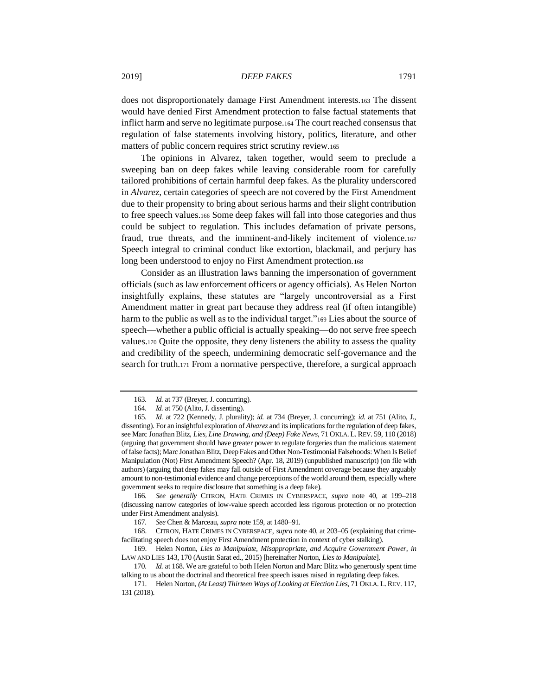does not disproportionately damage First Amendment interests.<sup>163</sup> The dissent would have denied First Amendment protection to false factual statements that inflict harm and serve no legitimate purpose.<sup>164</sup> The court reached consensus that regulation of false statements involving history, politics, literature, and other matters of public concern requires strict scrutiny review.<sup>165</sup>

<span id="page-38-1"></span>The opinions in Alvarez, taken together, would seem to preclude a sweeping ban on deep fakes while leaving considerable room for carefully tailored prohibitions of certain harmful deep fakes. As the plurality underscored in *Alvarez*, certain categories of speech are not covered by the First Amendment due to their propensity to bring about serious harms and their slight contribution to free speech values.<sup>166</sup> Some deep fakes will fall into those categories and thus could be subject to regulation. This includes defamation of private persons, fraud, true threats, and the imminent-and-likely incitement of violence.<sup>167</sup> Speech integral to criminal conduct like extortion, blackmail, and perjury has long been understood to enjoy no First Amendment protection.<sup>168</sup>

<span id="page-38-2"></span>Consider as an illustration laws banning the impersonation of government officials (such as law enforcement officers or agency officials). As Helen Norton insightfully explains, these statutes are "largely uncontroversial as a First Amendment matter in great part because they address real (if often intangible) harm to the public as well as to the individual target."<sup>169</sup> Lies about the source of speech—whether a public official is actually speaking—do not serve free speech values.<sup>170</sup> Quite the opposite, they deny listeners the ability to assess the quality and credibility of the speech, undermining democratic self-governance and the search for truth.<sup>171</sup> From a normative perspective, therefore, a surgical approach

166*. See generally* CITRON, HATE CRIMES IN CYBERSPACE, *supra* note [40,](#page-11-0) at 199–218 (discussing narrow categories of low-value speech accorded less rigorous protection or no protection under First Amendment analysis).

<span id="page-38-0"></span><sup>163</sup>*. Id.* at 737 (Breyer, J. concurring).

<sup>164</sup>*. Id.* at 750 (Alito, J. dissenting).

<sup>165</sup>*. Id.* at 722 (Kennedy, J. plurality); *id.* at 734 (Breyer, J. concurring); *id.* at 751 (Alito, J., dissenting). For an insightful exploration of *Alvarez* and its implications for the regulation of deep fakes, see Marc Jonathan Blitz, *Lies, Line Drawing, and (Deep) Fake News*, 71 OKLA. L.REV. 59, 110 (2018) (arguing that government should have greater power to regulate forgeries than the malicious statement of false facts); Marc Jonathan Blitz, Deep Fakes and Other Non-Testimonial Falsehoods: When Is Belief Manipulation (Not) First Amendment Speech? (Apr. 18, 2019) (unpublished manuscript) (on file with authors) (arguing that deep fakes may fall outside of First Amendment coverage because they arguably amount to non-testimonial evidence and change perceptions of the world around them, especially where government seeks to require disclosure that something is a deep fake).

<sup>167</sup>*. See* Chen & Marceau, *supra* not[e 159,](#page-37-0) at 1480–91.

<sup>168.</sup> CITRON, HATE CRIMES IN CYBERSPACE, *supra* not[e 40,](#page-11-0) at 203–05 (explaining that crimefacilitating speech does not enjoy First Amendment protection in context of cyber stalking).

<sup>169.</sup> Helen Norton, *Lies to Manipulate, Misappropriate, and Acquire Government Power*, *in* LAW AND LIES 143, 170 (Austin Sarat ed., 2015) [hereinafter Norton, *Lies to Manipulate*].

<sup>170</sup>*. Id.* at 168. We are grateful to both Helen Norton and Marc Blitz who generously spent time talking to us about the doctrinal and theoretical free speech issues raised in regulating deep fakes.

<sup>171.</sup> Helen Norton, *(At Least) Thirteen Ways of Looking at Election Lies*, 71 OKLA. L.REV. 117, 131 (2018).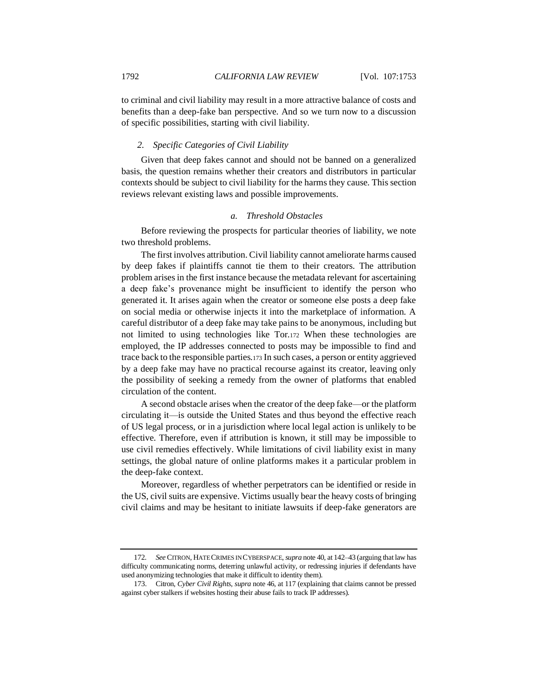to criminal and civil liability may result in a more attractive balance of costs and benefits than a deep-fake ban perspective. And so we turn now to a discussion of specific possibilities, starting with civil liability.

#### *2. Specific Categories of Civil Liability*

Given that deep fakes cannot and should not be banned on a generalized basis, the question remains whether their creators and distributors in particular contexts should be subject to civil liability for the harms they cause. This section reviews relevant existing laws and possible improvements.

# <span id="page-39-0"></span>*a. Threshold Obstacles*

Before reviewing the prospects for particular theories of liability, we note two threshold problems.

The first involves attribution. Civil liability cannot ameliorate harms caused by deep fakes if plaintiffs cannot tie them to their creators. The attribution problem arises in the first instance because the metadata relevant for ascertaining a deep fake's provenance might be insufficient to identify the person who generated it. It arises again when the creator or someone else posts a deep fake on social media or otherwise injects it into the marketplace of information. A careful distributor of a deep fake may take pains to be anonymous, including but not limited to using technologies like Tor.<sup>172</sup> When these technologies are employed, the IP addresses connected to posts may be impossible to find and trace back to the responsible parties.<sup>173</sup> In such cases, a person or entity aggrieved by a deep fake may have no practical recourse against its creator, leaving only the possibility of seeking a remedy from the owner of platforms that enabled circulation of the content.

A second obstacle arises when the creator of the deep fake—or the platform circulating it—is outside the United States and thus beyond the effective reach of US legal process, or in a jurisdiction where local legal action is unlikely to be effective. Therefore, even if attribution is known, it still may be impossible to use civil remedies effectively. While limitations of civil liability exist in many settings, the global nature of online platforms makes it a particular problem in the deep-fake context.

Moreover, regardless of whether perpetrators can be identified or reside in the US, civil suits are expensive. Victims usually bear the heavy costs of bringing civil claims and may be hesitant to initiate lawsuits if deep-fake generators are

<sup>172</sup>*. See* CITRON, HATE CRIMES IN CYBERSPACE,*supra* not[e 40,](#page-11-0) at 142–43 (arguing that law has difficulty communicating norms, deterring unlawful activity, or redressing injuries if defendants have used anonymizing technologies that make it difficult to identity them).

<sup>173.</sup> Citron, *Cyber Civil Rights*, *supra* not[e 46,](#page-11-1) at 117 (explaining that claims cannot be pressed against cyber stalkers if websites hosting their abuse fails to track IP addresses)*.*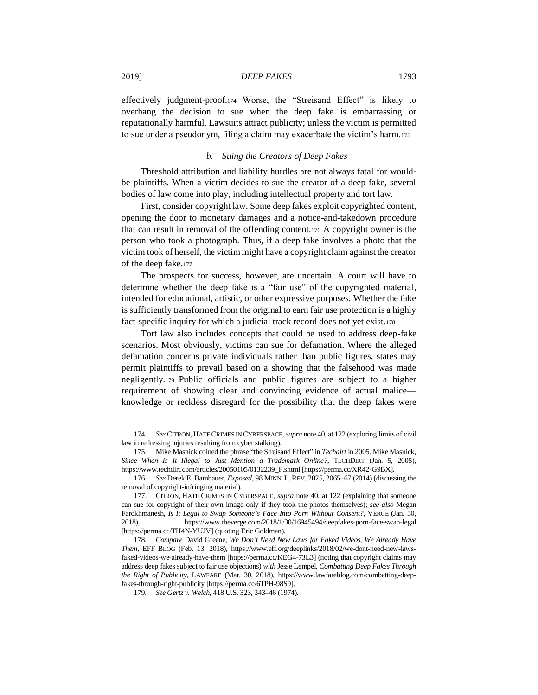effectively judgment-proof.<sup>174</sup> Worse, the "Streisand Effect" is likely to overhang the decision to sue when the deep fake is embarrassing or reputationally harmful. Lawsuits attract publicity; unless the victim is permitted to sue under a pseudonym, filing a claim may exacerbate the victim's harm.<sup>175</sup>

# <span id="page-40-0"></span>*b. Suing the Creators of Deep Fakes*

Threshold attribution and liability hurdles are not always fatal for wouldbe plaintiffs. When a victim decides to sue the creator of a deep fake, several bodies of law come into play, including intellectual property and tort law.

First, consider copyright law. Some deep fakes exploit copyrighted content, opening the door to monetary damages and a notice-and-takedown procedure that can result in removal of the offending content.<sup>176</sup> A copyright owner is the person who took a photograph. Thus, if a deep fake involves a photo that the victim took of herself, the victim might have a copyright claim against the creator of the deep fake.<sup>177</sup>

The prospects for success, however, are uncertain. A court will have to determine whether the deep fake is a "fair use" of the copyrighted material, intended for educational, artistic, or other expressive purposes. Whether the fake is sufficiently transformed from the original to earn fair use protection is a highly fact-specific inquiry for which a judicial track record does not yet exist.<sup>178</sup>

Tort law also includes concepts that could be used to address deep-fake scenarios. Most obviously, victims can sue for defamation. Where the alleged defamation concerns private individuals rather than public figures, states may permit plaintiffs to prevail based on a showing that the falsehood was made negligently.<sup>179</sup> Public officials and public figures are subject to a higher requirement of showing clear and convincing evidence of actual malice knowledge or reckless disregard for the possibility that the deep fakes were

<sup>174</sup>*. See* CITRON, HATE CRIMES IN CYBERSPACE, *supra* not[e 40,](#page-11-0) at 122 (exploring limits of civil law in redressing injuries resulting from cyber stalking).

<sup>175.</sup> Mike Masnick coined the phrase "the Streisand Effect" in *Techdirt* in 2005. Mike Masnick, *Since When Is It Illegal to Just Mention a Trademark Online?*, TECHDIRT (Jan. 5, 2005), https://www.techdirt.com/articles/20050105/0132239\_F.shtml [https://perma.cc/XR42-G9BX].

<sup>176</sup>*. See* Derek E. Bambauer, *Exposed*, 98 MINN. L.REV. 2025, 2065–67 (2014) (discussing the removal of copyright-infringing material).

<sup>177.</sup> CITRON, HATE CRIMES IN CYBERSPACE, *supra* not[e 40,](#page-11-0) at 122 (explaining that someone can sue for copyright of their own image only if they took the photos themselves); *see also* Megan Farokhmanesh, *Is It Legal to Swap Someone's Face Into Porn Without Consent?*, VERGE (Jan. 30, 2018), https://www.theverge.com/2018/1/30/16945494/deepfakes-porn-face-swap-legal [https://perma.cc/TH4N-YUJV] (quoting Eric Goldman).

<sup>178</sup>*. Compare* David Greene, *We Don't Need New Laws for Faked Videos, We Already Have Them*, EFF BLOG (Feb. 13, 2018), https://www.eff.org/deeplinks/2018/02/we-dont-need-new-lawsfaked-videos-we-already-have-them [https://perma.cc/KEG4-73L3] (noting that copyright claims may address deep fakes subject to fair use objections) *with* Jesse Lempel, *Combatting Deep Fakes Through the Right of Publicity*, LAWFARE (Mar. 30, 2018), https://www.lawfareblog.com/combatting-deepfakes-through-right-publicity [https://perma.cc/6TPH-98S9].

<sup>179</sup>*. See Gertz v. Welch*, 418 U.S. 323, 343–46 (1974).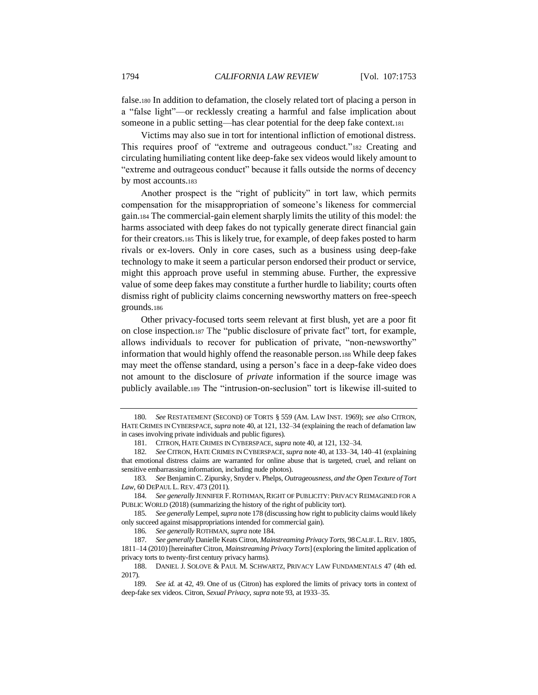false.<sup>180</sup> In addition to defamation, the closely related tort of placing a person in a "false light"—or recklessly creating a harmful and false implication about someone in a public setting—has clear potential for the deep fake context.<sup>181</sup>

Victims may also sue in tort for intentional infliction of emotional distress. This requires proof of "extreme and outrageous conduct."<sup>182</sup> Creating and circulating humiliating content like deep-fake sex videos would likely amount to "extreme and outrageous conduct" because it falls outside the norms of decency by most accounts.<sup>183</sup>

<span id="page-41-0"></span>Another prospect is the "right of publicity" in tort law, which permits compensation for the misappropriation of someone's likeness for commercial gain.<sup>184</sup> The commercial-gain element sharply limits the utility of this model: the harms associated with deep fakes do not typically generate direct financial gain for their creators.<sup>185</sup> This is likely true, for example, of deep fakes posted to harm rivals or ex-lovers. Only in core cases, such as a business using deep-fake technology to make it seem a particular person endorsed their product or service, might this approach prove useful in stemming abuse. Further, the expressive value of some deep fakes may constitute a further hurdle to liability; courts often dismiss right of publicity claims concerning newsworthy matters on free-speech grounds.<sup>186</sup>

<span id="page-41-1"></span>Other privacy-focused torts seem relevant at first blush, yet are a poor fit on close inspection.<sup>187</sup> The "public disclosure of private fact" tort, for example, allows individuals to recover for publication of private, "non-newsworthy" information that would highly offend the reasonable person.<sup>188</sup> While deep fakes may meet the offense standard, using a person's face in a deep-fake video does not amount to the disclosure of *private* information if the source image was publicly available.<sup>189</sup> The "intrusion-on-seclusion" tort is likewise ill-suited to

<sup>180</sup>*. See* RESTATEMENT (SECOND) OF TORTS § 559 (AM. LAW INST. 1969); *see also* CITRON, HATE CRIMES IN CYBERSPACE, *supra* note [40,](#page-11-0) at 121, 132–34 (explaining the reach of defamation law in cases involving private individuals and public figures).

<sup>181.</sup> CITRON, HATE CRIMES IN CYBERSPACE, *supra* not[e 40,](#page-11-0) at 121, 132–34.

<sup>182</sup>*. See* CITRON, HATE CRIMES IN CYBERSPACE, *supra* not[e 40,](#page-11-0) at 133–34, 140–41 (explaining that emotional distress claims are warranted for online abuse that is targeted, cruel, and reliant on sensitive embarrassing information, including nude photos).

<sup>183</sup>*. See* Benjamin C. Zipursky, Snyder v. Phelps*, Outrageousness, and the Open Texture of Tort Law,* 60 DEPAUL L. REV. 473 (2011).

<sup>184</sup>*. See generally* JENNIFER F.ROTHMAN,RIGHT OF PUBLICITY: PRIVACY REIMAGINED FOR A PUBLIC WORLD (2018) (summarizing the history of the right of publicity tort).

<sup>185</sup>*. See generally* Lempel*, supra* not[e 178](#page-40-0) (discussing how right to publicity claims would likely only succeed against misappropriations intended for commercial gain).

<sup>186</sup>*. See generally* ROTHMAN, *supra* not[e 184.](#page-41-0)

<sup>187</sup>*. See generally* Danielle Keats Citron, *Mainstreaming Privacy Torts*, 98CALIF. L.REV. 1805, 1811–14 (2010) [hereinafter Citron, *Mainstreaming Privacy Torts*] (exploring the limited application of privacy torts to twenty-first century privacy harms).

<sup>188.</sup> DANIEL J. SOLOVE & PAUL M. SCHWARTZ, PRIVACY LAW FUNDAMENTALS 47 (4th ed. 2017).

<sup>189</sup>*. See id.* at 42, 49. One of us (Citron) has explored the limits of privacy torts in context of deep-fake sex videos. Citron, *Sexual Privacy*, *supra* not[e 93,](#page-19-1) at 1933–35.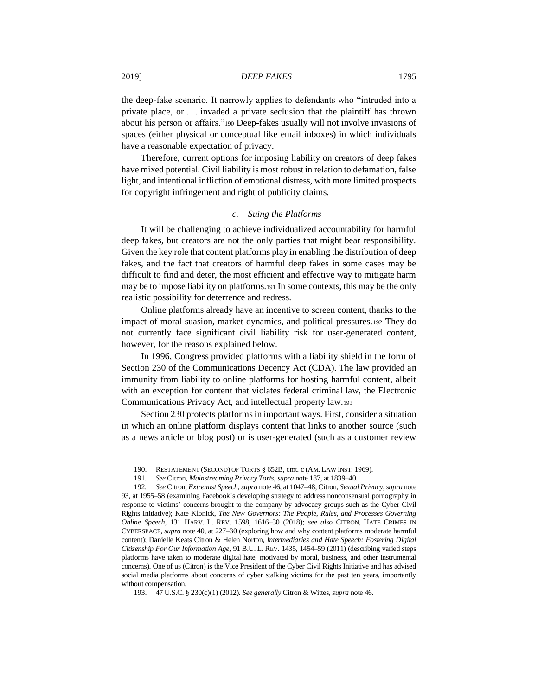the deep-fake scenario. It narrowly applies to defendants who "intruded into a private place, or . . . invaded a private seclusion that the plaintiff has thrown about his person or affairs."<sup>190</sup> Deep-fakes usually will not involve invasions of spaces (either physical or conceptual like email inboxes) in which individuals have a reasonable expectation of privacy.

Therefore, current options for imposing liability on creators of deep fakes have mixed potential. Civil liability is most robust in relation to defamation, false light, and intentional infliction of emotional distress, with more limited prospects for copyright infringement and right of publicity claims.

# <span id="page-42-0"></span>*c. Suing the Platforms*

It will be challenging to achieve individualized accountability for harmful deep fakes, but creators are not the only parties that might bear responsibility. Given the key role that content platforms play in enabling the distribution of deep fakes, and the fact that creators of harmful deep fakes in some cases may be difficult to find and deter, the most efficient and effective way to mitigate harm may be to impose liability on platforms.<sup>191</sup> In some contexts, this may be the only realistic possibility for deterrence and redress.

Online platforms already have an incentive to screen content, thanks to the impact of moral suasion, market dynamics, and political pressures.<sup>192</sup> They do not currently face significant civil liability risk for user-generated content, however, for the reasons explained below.

In 1996, Congress provided platforms with a liability shield in the form of Section 230 of the Communications Decency Act (CDA). The law provided an immunity from liability to online platforms for hosting harmful content, albeit with an exception for content that violates federal criminal law, the Electronic Communications Privacy Act, and intellectual property law.<sup>193</sup>

Section 230 protects platforms in important ways. First, consider a situation in which an online platform displays content that links to another source (such as a news article or blog post) or is user-generated (such as a customer review

<sup>190.</sup> RESTATEMENT (SECOND) OF TORTS § 652B, cmt. c (AM. LAW INST. 1969).

<sup>191</sup>*. See* Citron, *Mainstreaming Privacy Torts*, *supra* not[e 187,](#page-41-1) at 1839–40.

<sup>192</sup>*. See* Citron, *Extremist Speech*, *supra* not[e 46,](#page-11-1) at 1047–48; Citron, *Sexual Privacy*, *supra* note [93,](#page-19-1) at 1955–58 (examining Facebook's developing strategy to address nonconsensual pornography in response to victims' concerns brought to the company by advocacy groups such as the Cyber Civil Rights Initiative); Kate Klonick, *The New Governors: The People, Rules, and Processes Governing Online Speech*, 131 HARV. L. REV. 1598, 1616–30 (2018); *see also* CITRON, HATE CRIMES IN CYBERSPACE, *supra* not[e 40,](#page-11-0) at 227–30 (exploring how and why content platforms moderate harmful content); Danielle Keats Citron & Helen Norton, *Intermediaries and Hate Speech: Fostering Digital Citizenship For Our Information Age*, 91 B.U. L. REV. 1435, 1454–59 (2011) (describing varied steps platforms have taken to moderate digital hate, motivated by moral, business, and other instrumental concerns). One of us (Citron) is the Vice President of the Cyber Civil Rights Initiative and has advised social media platforms about concerns of cyber stalking victims for the past ten years, importantly without compensation.

<sup>193.</sup> 47 U.S.C. § 230(c)(1) (2012). *See generally* Citron & Wittes, *supra* not[e 46.](#page-11-1)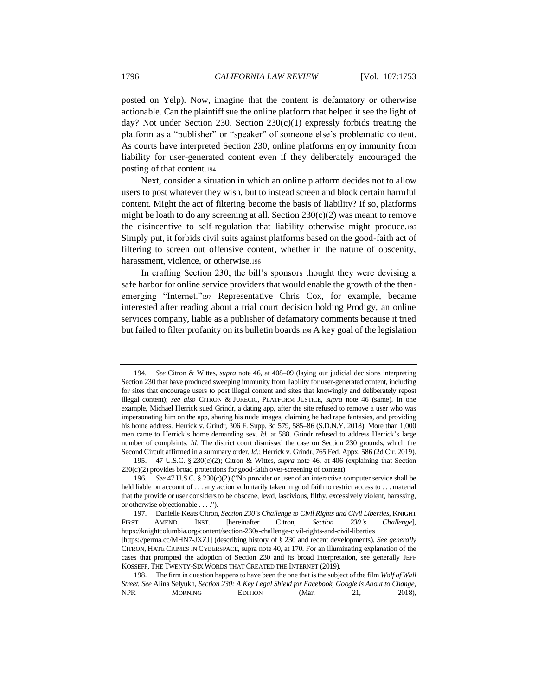posted on Yelp). Now, imagine that the content is defamatory or otherwise actionable. Can the plaintiff sue the online platform that helped it see the light of day? Not under Section 230. Section 230(c)(1) expressly forbids treating the platform as a "publisher" or "speaker" of someone else's problematic content. As courts have interpreted Section 230, online platforms enjoy immunity from liability for user-generated content even if they deliberately encouraged the posting of that content.<sup>194</sup>

Next, consider a situation in which an online platform decides not to allow users to post whatever they wish, but to instead screen and block certain harmful content. Might the act of filtering become the basis of liability? If so, platforms might be loath to do any screening at all. Section  $230(c)(2)$  was meant to remove the disincentive to self-regulation that liability otherwise might produce.<sup>195</sup> Simply put, it forbids civil suits against platforms based on the good-faith act of filtering to screen out offensive content, whether in the nature of obscenity, harassment, violence, or otherwise.<sup>196</sup>

<span id="page-43-1"></span>In crafting Section 230, the bill's sponsors thought they were devising a safe harbor for online service providers that would enable the growth of the thenemerging "Internet."<sup>197</sup> Representative Chris Cox, for example, became interested after reading about a trial court decision holding Prodigy, an online services company, liable as a publisher of defamatory comments because it tried but failed to filter profanity on its bulletin boards.<sup>198</sup> A key goal of the legislation

<span id="page-43-0"></span><sup>194</sup>*. See* Citron & Wittes, *supra* note [46,](#page-11-1) at 408–09 (laying out judicial decisions interpreting Section 230 that have produced sweeping immunity from liability for user-generated content, including for sites that encourage users to post illegal content and sites that knowingly and deliberately repost illegal content); *see also* CITRON & JURECIC, PLATFORM JUSTICE, *supra* note [46](#page-11-1) (same). In one example, Michael Herrick sued Grindr, a dating app, after the site refused to remove a user who was impersonating him on the app, sharing his nude images, claiming he had rape fantasies, and providing his home address. Herrick v. Grindr, 306 F. Supp. 3d 579, 585–86 (S.D.N.Y. 2018). More than 1,000 men came to Herrick's home demanding sex. *Id.* at 588. Grindr refused to address Herrick's large number of complaints. *Id.* The district court dismissed the case on Section 230 grounds, which the Second Circuit affirmed in a summary order. *Id.*; Herrick v. Grindr, 765 Fed. Appx. 586 (2d Cir. 2019).

<sup>195.</sup> 47 U.S.C. § 230(c)(2); Citron & Wittes, *supra* note [46,](#page-11-1) at 406 (explaining that Section 230(c)(2) provides broad protections for good-faith over-screening of content).

<sup>196</sup>*. See* 47 U.S.C. § 230(c)(2) ("No provider or user of an interactive computer service shall be held liable on account of . . . any action voluntarily taken in good faith to restrict access to . . . material that the provide or user considers to be obscene, lewd, lascivious, filthy, excessively violent, harassing, or otherwise objectionable . . . .").

<sup>197.</sup> Danielle Keats Citron, *Section 230's Challenge to Civil Rights and Civil Liberties*, KNIGHT FIRST AMEND. INST. [hereinafter Citron, *Section 230's Challenge*], https://knightcolumbia.org/content/section-230s-challenge-civil-rights-and-civil-liberties [https://perma.cc/MHN7-JXZJ] (describing history of § 230 and recent developments). *See generally* CITRON, HATE CRIMES IN CYBERSPACE, supra not[e 40,](#page-11-0) at 170. For an illuminating explanation of the cases that prompted the adoption of Section 230 and its broad interpretation, see generally JEFF KOSSEFF, THE TWENTY-SIX WORDS THAT CREATED THE INTERNET (2019).

<sup>198.</sup> The firm in question happens to have been the one that is the subject of the film *Wolf of Wall Street. See* Alina Selyukh, *Section 230: A Key Legal Shield for Facebook, Google is About to Change*, NPR MORNING EDITION (Mar. 21, 2018),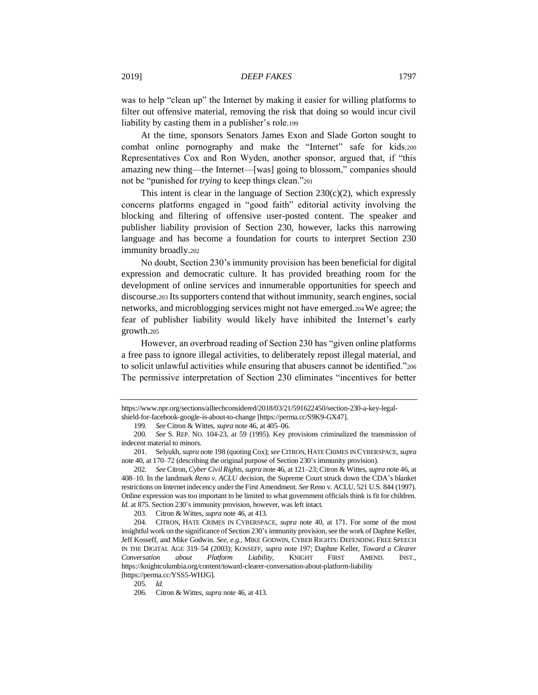was to help "clean up" the Internet by making it easier for willing platforms to filter out offensive material, removing the risk that doing so would incur civil liability by casting them in a publisher's role.<sup>199</sup>

At the time, sponsors Senators James Exon and Slade Gorton sought to combat online pornography and make the "Internet" safe for kids.<sup>200</sup> Representatives Cox and Ron Wyden, another sponsor, argued that, if "this amazing new thing—the Internet—[was] going to blossom," companies should not be "punished for *trying* to keep things clean."<sup>201</sup>

This intent is clear in the language of Section  $230(c)(2)$ , which expressly concerns platforms engaged in "good faith" editorial activity involving the blocking and filtering of offensive user-posted content. The speaker and publisher liability provision of Section 230, however, lacks this narrowing language and has become a foundation for courts to interpret Section 230 immunity broadly.<sup>202</sup>

No doubt, Section 230's immunity provision has been beneficial for digital expression and democratic culture. It has provided breathing room for the development of online services and innumerable opportunities for speech and discourse.<sup>203</sup> Its supporters contend that without immunity, search engines, social networks, and microblogging services might not have emerged.204We agree; the fear of publisher liability would likely have inhibited the Internet's early growth.<sup>205</sup>

However, an overbroad reading of Section 230 has "given online platforms a free pass to ignore illegal activities, to deliberately repost illegal material, and to solicit unlawful activities while ensuring that abusers cannot be identified."<sup>206</sup> The permissive interpretation of Section 230 eliminates "incentives for better

https://www.npr.org/sections/alltechconsidered/2018/03/21/591622450/section-230-a-key-legal-

shield-for-facebook-google-is-about-to-change [https://perma.cc/S9K9-GX47].

<sup>199</sup>*. See* Citron & Wittes, *supra* not[e 46,](#page-11-1) at 405–06.

<sup>200</sup>*. See* S. REP. NO. 104-23, at 59 (1995). Key provisions criminalized the transmission of indecent material to minors.

<sup>201.</sup> Selyukh, *supra* not[e 198](#page-43-0) (quoting Cox); *see* CITRON, HATE CRIMES IN CYBERSPACE, *supra*  not[e 40,](#page-11-0) at 170–72 (describing the original purpose of Section 230's immunity provision).

<sup>202</sup>*. See* Citron, *Cyber Civil Rights*, *supra* not[e 46,](#page-11-1) at 121–23; Citron & Wittes, *supra* not[e 46,](#page-11-1) at 408–10. In the landmark *Reno v. ACLU* decision, the Supreme Court struck down the CDA's blanket restrictions on Internet indecency under the First Amendment. *See* Reno v. ACLU, 521 U.S. 844 (1997). Online expression was too important to be limited to what government officials think is fit for children. *Id.* at 875. Section 230's immunity provision, however, was left intact.

<sup>203.</sup> Citron & Wittes, *supra* not[e 46,](#page-11-1) at 413.

<sup>204.</sup> CITRON, HATE CRIMES IN CYBERSPACE, *supra* note [40,](#page-11-0) at 171. For some of the most insightful work on the significance of Section 230's immunity provision, see the work of Daphne Keller, Jeff Kosseff, and Mike Godwin. *See, e.g.*, MIKE GODWIN, CYBER RIGHTS: DEFENDING FREE SPEECH IN THE DIGITAL AGE 319–54 (2003); KOSSEFF*, supra* note [197;](#page-43-1) Daphne Keller, *Toward a Clearer Conversation about Platform Liability,* KNIGHT FIRST AMEND. INST., https://knightcolumbia.org/content/toward-clearer-conversation-about-platform-liability [https://perma.cc/YSS5-WHJG].

<sup>205</sup>*. Id.*

<sup>206.</sup> Citron & Wittes, *supra* not[e 46](#page-11-1)*,* at 413.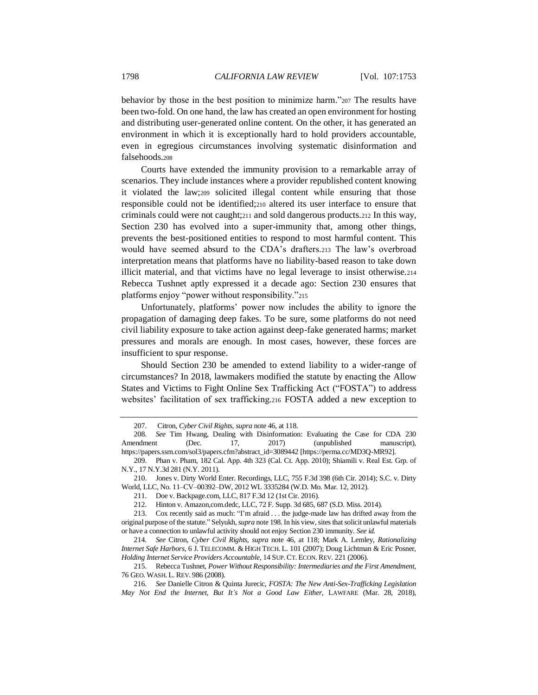behavior by those in the best position to minimize harm."<sup>207</sup> The results have been two-fold. On one hand, the law has created an open environment for hosting and distributing user-generated online content. On the other, it has generated an environment in which it is exceptionally hard to hold providers accountable, even in egregious circumstances involving systematic disinformation and falsehoods.<sup>208</sup>

Courts have extended the immunity provision to a remarkable array of scenarios. They include instances where a provider republished content knowing it violated the law;<sup>209</sup> solicited illegal content while ensuring that those responsible could not be identified;<sup>210</sup> altered its user interface to ensure that criminals could were not caught;<sup>211</sup> and sold dangerous products.<sup>212</sup> In this way, Section 230 has evolved into a super-immunity that, among other things, prevents the best-positioned entities to respond to most harmful content. This would have seemed absurd to the CDA's drafters.<sup>213</sup> The law's overbroad interpretation means that platforms have no liability-based reason to take down illicit material, and that victims have no legal leverage to insist otherwise.<sup>214</sup> Rebecca Tushnet aptly expressed it a decade ago: Section 230 ensures that platforms enjoy "power without responsibility."<sup>215</sup>

Unfortunately, platforms' power now includes the ability to ignore the propagation of damaging deep fakes. To be sure, some platforms do not need civil liability exposure to take action against deep-fake generated harms; market pressures and morals are enough. In most cases, however, these forces are insufficient to spur response.

Should Section 230 be amended to extend liability to a wider-range of circumstances? In 2018, lawmakers modified the statute by enacting the Allow States and Victims to Fight Online Sex Trafficking Act ("FOSTA") to address websites' facilitation of sex trafficking.<sup>216</sup> FOSTA added a new exception to

215. Rebecca Tushnet, *Power Without Responsibility: Intermediaries and the First Amendment*, 76 GEO. WASH. L. REV. 986 (2008).

216*. See* Danielle Citron & Quinta Jurecic, *FOSTA: The New Anti-Sex-Trafficking Legislation May Not End the Internet, But It's Not a Good Law Either*, LAWFARE (Mar. 28, 2018),

<span id="page-45-0"></span><sup>207.</sup> Citron, *Cyber Civil Rights*, *supra* not[e 46,](#page-11-1) at 118.

<sup>208</sup>*. See* Tim Hwang, Dealing with Disinformation: Evaluating the Case for CDA 230 Amendment (Dec. 17, 2017) (unpublished manuscript), https://papers.ssrn.com/sol3/papers.cfm?abstract\_id=3089442 [https://perma.cc/MD3Q-MR92].

<sup>209.</sup> Phan v. Pham, 182 Cal. App. 4th 323 (Cal. Ct. App. 2010); Shiamili v. Real Est. Grp. of N.Y., 17 N.Y.3d 281 (N.Y. 2011).

<sup>210.</sup> Jones v. Dirty World Enter. Recordings, LLC, 755 F.3d 398 (6th Cir. 2014); S.C. v. Dirty World, LLC, No. 11–CV–00392–DW, 2012 WL 3335284 (W.D. Mo. Mar. 12, 2012).

<sup>211.</sup> Doe v. Backpage.com, LLC, 817 F.3d 12 (1st Cir. 2016).

<sup>212.</sup> Hinton v. Amazon,com.dedc, LLC, 72 F. Supp. 3d 685, 687 (S.D. Miss. 2014).

<sup>213.</sup> Cox recently said as much: "I'm afraid . . . the judge-made law has drifted away from the original purpose of the statute." Selyukh, *supra* not[e 198.](#page-43-0) In his view, sites that solicit unlawful materials or have a connection to unlawful activity should not enjoy Section 230 immunity. *See id.*

<sup>214</sup>*. See* Citron, *Cyber Civil Rights*, *supra* note [46,](#page-11-1) at 118; Mark A. Lemley, *Rationalizing Internet Safe Harbors*, 6 J. TELECOMM. & HIGH TECH. L. 101 (2007); Doug Lichtman & Eric Posner, *Holding Internet Service Providers Accountable*, 14 SUP.CT. ECON.REV. 221 (2006).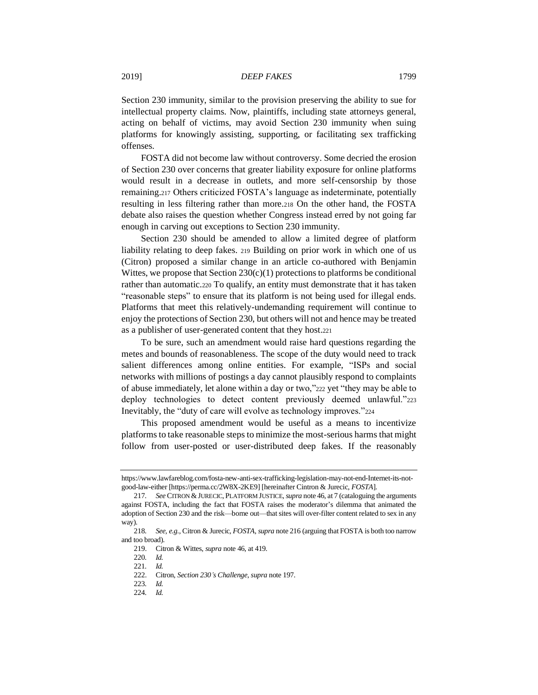Section 230 immunity, similar to the provision preserving the ability to sue for intellectual property claims. Now, plaintiffs, including state attorneys general, acting on behalf of victims, may avoid Section 230 immunity when suing platforms for knowingly assisting, supporting, or facilitating sex trafficking offenses.

FOSTA did not become law without controversy. Some decried the erosion of Section 230 over concerns that greater liability exposure for online platforms would result in a decrease in outlets, and more self-censorship by those remaining.<sup>217</sup> Others criticized FOSTA's language as indeterminate, potentially resulting in less filtering rather than more.<sup>218</sup> On the other hand, the FOSTA debate also raises the question whether Congress instead erred by not going far enough in carving out exceptions to Section 230 immunity.

Section 230 should be amended to allow a limited degree of platform liability relating to deep fakes. <sup>219</sup> Building on prior work in which one of us (Citron) proposed a similar change in an article co-authored with Benjamin Wittes, we propose that Section  $230(c)(1)$  protections to platforms be conditional rather than automatic.<sup>220</sup> To qualify, an entity must demonstrate that it has taken "reasonable steps" to ensure that its platform is not being used for illegal ends. Platforms that meet this relatively-undemanding requirement will continue to enjoy the protections of Section 230, but others will not and hence may be treated as a publisher of user-generated content that they host.<sup>221</sup>

To be sure, such an amendment would raise hard questions regarding the metes and bounds of reasonableness. The scope of the duty would need to track salient differences among online entities. For example, "ISPs and social networks with millions of postings a day cannot plausibly respond to complaints of abuse immediately, let alone within a day or two,"<sup>222</sup> yet "they may be able to deploy technologies to detect content previously deemed unlawful."<sup>223</sup> Inevitably, the "duty of care will evolve as technology improves."<sup>224</sup>

This proposed amendment would be useful as a means to incentivize platforms to take reasonable steps to minimize the most-serious harms that might follow from user-posted or user-distributed deep fakes. If the reasonably

https://www.lawfareblog.com/fosta-new-anti-sex-trafficking-legislation-may-not-end-Internet-its-notgood-law-either [https://perma.cc/2W8X-2KE9] [hereinafter Cintron & Jurecic, *FOSTA*].

<sup>217</sup>*. See* CITRON &JURECIC, PLATFORM JUSTICE,*supra* not[e 46,](#page-11-1) at 7 (cataloguing the arguments against FOSTA, including the fact that FOSTA raises the moderator's dilemma that animated the adoption of Section 230 and the risk—borne out—that sites will over-filter content related to sex in any way).

<sup>218</sup>*. See, e.g.,* Citron & Jurecic, *FOSTA*, *supra* not[e 216](#page-45-0) (arguing that FOSTA is both too narrow and too broad).

<sup>219.</sup> Citron & Wittes, *supra* not[e 46,](#page-11-1) at 419.

<sup>220</sup>*. Id.*

<sup>221</sup>*. Id.*

<sup>222.</sup> Citron, *Section 230's Challenge*, *supra* note [197.](#page-43-1)

<sup>223</sup>*. Id.*

<sup>224</sup>*. Id.*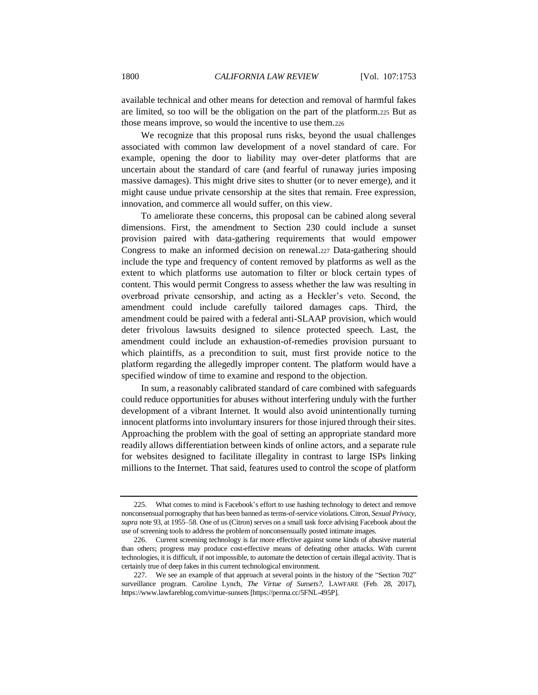available technical and other means for detection and removal of harmful fakes are limited, so too will be the obligation on the part of the platform.<sup>225</sup> But as those means improve, so would the incentive to use them.<sup>226</sup>

We recognize that this proposal runs risks, beyond the usual challenges associated with common law development of a novel standard of care. For example, opening the door to liability may over-deter platforms that are uncertain about the standard of care (and fearful of runaway juries imposing massive damages). This might drive sites to shutter (or to never emerge), and it might cause undue private censorship at the sites that remain. Free expression, innovation, and commerce all would suffer, on this view.

To ameliorate these concerns, this proposal can be cabined along several dimensions. First, the amendment to Section 230 could include a sunset provision paired with data-gathering requirements that would empower Congress to make an informed decision on renewal.<sup>227</sup> Data-gathering should include the type and frequency of content removed by platforms as well as the extent to which platforms use automation to filter or block certain types of content. This would permit Congress to assess whether the law was resulting in overbroad private censorship, and acting as a Heckler's veto. Second, the amendment could include carefully tailored damages caps. Third, the amendment could be paired with a federal anti-SLAAP provision, which would deter frivolous lawsuits designed to silence protected speech. Last, the amendment could include an exhaustion-of-remedies provision pursuant to which plaintiffs, as a precondition to suit, must first provide notice to the platform regarding the allegedly improper content. The platform would have a specified window of time to examine and respond to the objection.

In sum, a reasonably calibrated standard of care combined with safeguards could reduce opportunities for abuses without interfering unduly with the further development of a vibrant Internet. It would also avoid unintentionally turning innocent platforms into involuntary insurers for those injured through their sites. Approaching the problem with the goal of setting an appropriate standard more readily allows differentiation between kinds of online actors, and a separate rule for websites designed to facilitate illegality in contrast to large ISPs linking millions to the Internet. That said, features used to control the scope of platform

<sup>225.</sup> What comes to mind is Facebook's effort to use hashing technology to detect and remove nonconsensual pornography that has been banned as terms-of-service violations. Citron, *Sexual Privacy*, *supra* note [93,](#page-19-1) at 1955–58. One of us (Citron) serves on a small task force advising Facebook about the use of screening tools to address the problem of nonconsensually posted intimate images.

<sup>226.</sup> Current screening technology is far more effective against some kinds of abusive material than others; progress may produce cost-effective means of defeating other attacks. With current technologies, it is difficult, if not impossible, to automate the detection of certain illegal activity. That is certainly true of deep fakes in this current technological environment.

<sup>227.</sup> We see an example of that approach at several points in the history of the "Section 702" surveillance program. Caroline Lynch, *The Virtue of Sunsets?*, LAWFARE (Feb. 28, 2017), https://www.lawfareblog.com/virtue-sunsets [https://perma.cc/5FNL-495P].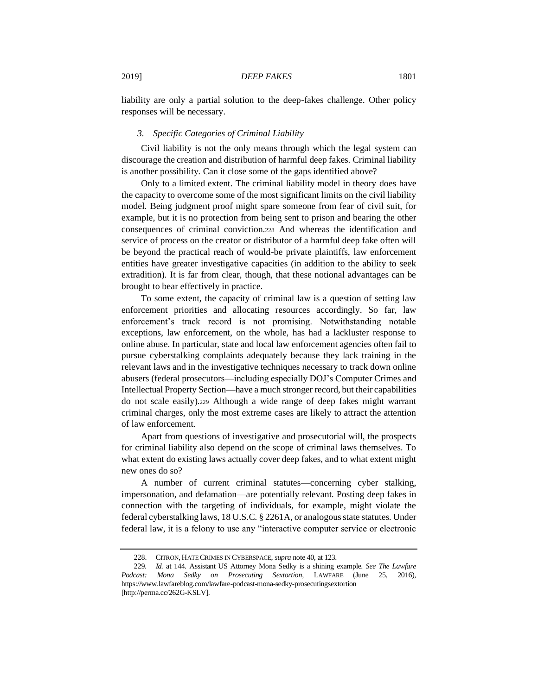liability are only a partial solution to the deep-fakes challenge. Other policy responses will be necessary.

#### *3. Specific Categories of Criminal Liability*

Civil liability is not the only means through which the legal system can discourage the creation and distribution of harmful deep fakes. Criminal liability is another possibility. Can it close some of the gaps identified above?

Only to a limited extent. The criminal liability model in theory does have the capacity to overcome some of the most significant limits on the civil liability model. Being judgment proof might spare someone from fear of civil suit, for example, but it is no protection from being sent to prison and bearing the other consequences of criminal conviction.<sup>228</sup> And whereas the identification and service of process on the creator or distributor of a harmful deep fake often will be beyond the practical reach of would-be private plaintiffs, law enforcement entities have greater investigative capacities (in addition to the ability to seek extradition). It is far from clear, though, that these notional advantages can be brought to bear effectively in practice.

To some extent, the capacity of criminal law is a question of setting law enforcement priorities and allocating resources accordingly. So far, law enforcement's track record is not promising. Notwithstanding notable exceptions, law enforcement, on the whole, has had a lackluster response to online abuse. In particular, state and local law enforcement agencies often fail to pursue cyberstalking complaints adequately because they lack training in the relevant laws and in the investigative techniques necessary to track down online abusers (federal prosecutors—including especially DOJ's Computer Crimes and Intellectual Property Section—have a much stronger record, but their capabilities do not scale easily).<sup>229</sup> Although a wide range of deep fakes might warrant criminal charges, only the most extreme cases are likely to attract the attention of law enforcement.

Apart from questions of investigative and prosecutorial will, the prospects for criminal liability also depend on the scope of criminal laws themselves. To what extent do existing laws actually cover deep fakes, and to what extent might new ones do so?

A number of current criminal statutes—concerning cyber stalking, impersonation, and defamation—are potentially relevant. Posting deep fakes in connection with the targeting of individuals, for example, might violate the federal cyberstalking laws, 18 U.S.C. § 2261A, or analogous state statutes. Under federal law, it is a felony to use any "interactive computer service or electronic

<sup>228.</sup> CITRON, HATE CRIMES IN CYBERSPACE, *supra* not[e 40,](#page-11-0) at 123.

<sup>229</sup>*. Id.* at 144. Assistant US Attorney Mona Sedky is a shining example. *See The Lawfare Podcast: Mona Sedky on Prosecuting Sextortion*, LAWFARE (June 25, 2016), https://www.lawfareblog.com/lawfare-podcast-mona-sedky-prosecutingsextortion [http://perma.cc/262G-KSLV].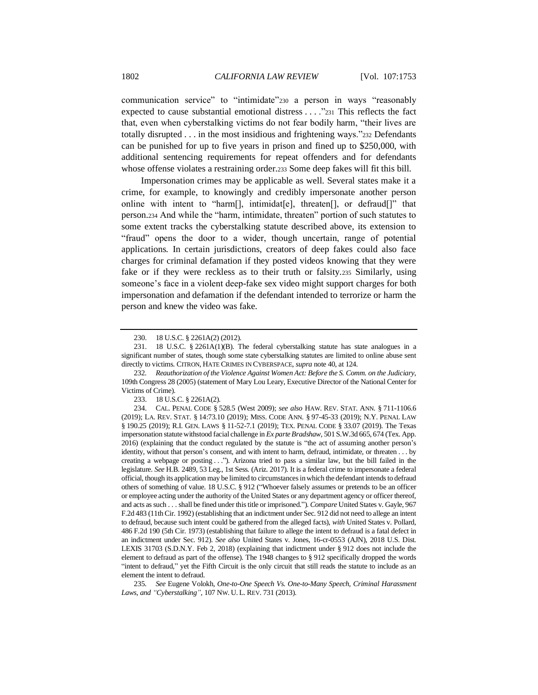communication service" to "intimidate"<sup>230</sup> a person in ways "reasonably expected to cause substantial emotional distress . . . ."<sup>231</sup> This reflects the fact that, even when cyberstalking victims do not fear bodily harm, "their lives are totally disrupted . . . in the most insidious and frightening ways."<sup>232</sup> Defendants can be punished for up to five years in prison and fined up to \$250,000, with additional sentencing requirements for repeat offenders and for defendants whose offense violates a restraining order.<sup>233</sup> Some deep fakes will fit this bill.

Impersonation crimes may be applicable as well. Several states make it a crime, for example, to knowingly and credibly impersonate another person online with intent to "harm[], intimidat[e], threaten[], or defraud[]" that person.<sup>234</sup> And while the "harm, intimidate, threaten" portion of such statutes to some extent tracks the cyberstalking statute described above, its extension to "fraud" opens the door to a wider, though uncertain, range of potential applications. In certain jurisdictions, creators of deep fakes could also face charges for criminal defamation if they posted videos knowing that they were fake or if they were reckless as to their truth or falsity.<sup>235</sup> Similarly, using someone's face in a violent deep-fake sex video might support charges for both impersonation and defamation if the defendant intended to terrorize or harm the person and knew the video was fake.

235*. See* Eugene Volokh, *One-to-One Speech Vs. One-to-Many Speech, Criminal Harassment Laws, and "Cyberstalking"*, 107 NW. U. L. REV. 731 (2013).

<sup>230.</sup> 18 U.S.C. § 2261A(2) (2012).

<sup>231.</sup> 18 U.S.C. § 2261A(1)(B). The federal cyberstalking statute has state analogues in a significant number of states, though some state cyberstalking statutes are limited to online abuse sent directly to victims. CITRON, HATE CRIMES IN CYBERSPACE, *supra* not[e 40,](#page-11-0) at 124.

<sup>232</sup>*. Reauthorization of the Violence Against Women Act: Before the S. Comm. on the Judiciary*, 109th Congress 28 (2005) (statement of Mary Lou Leary, Executive Director of the National Center for Victims of Crime).

<sup>233.</sup> 18 U.S.C. § 2261A(2).

<sup>234.</sup> CAL. PENAL CODE § 528.5 (West 2009); *see also* HAW. REV. STAT. ANN. § 711-1106.6 (2019); LA. REV. STAT. § 14:73.10 (2019); MISS. CODE ANN. § 97-45-33 (2019); N.Y. PENAL LAW § 190.25 (2019); R.I. GEN. LAWS § 11-52-7.1 (2019); TEX. PENAL CODE § 33.07 (2019). The Texas impersonation statute withstood facial challenge in *Ex parte Bradshaw*, 501 S.W.3d 665, 674 (Tex. App. 2016) (explaining that the conduct regulated by the statute is "the act of assuming another person's identity, without that person's consent, and with intent to harm, defraud, intimidate, or threaten . . . by creating a webpage or posting . . ."). Arizona tried to pass a similar law, but the bill failed in the legislature. *See* H.B. 2489, 53 Leg., 1st Sess. (Ariz. 2017). It is a federal crime to impersonate a federal official, though its application may be limited to circumstances in which the defendant intends to defraud others of something of value. 18 U.S.C. § 912 ("Whoever falsely assumes or pretends to be an officer or employee acting under the authority of the United States or any department agency or officer thereof, and acts as such . . . shall be fined under this title or imprisoned."). *Compare* United States v. Gayle, 967 F.2d 483 (11th Cir. 1992) (establishing that an indictment under Sec. 912 did not need to allege an intent to defraud, because such intent could be gathered from the alleged facts), *with* United States v. Pollard*,*  486 F.2d 190 (5th Cir. 1973) (establishing that failure to allege the intent to defraud is a fatal defect in an indictment under Sec. 912). *See also* United States v. Jones*,* 16-cr-0553 (AJN), 2018 U.S. Dist. LEXIS 31703 (S.D.N.Y. Feb 2, 2018) (explaining that indictment under § 912 does not include the element to defraud as part of the offense). The 1948 changes to § 912 specifically dropped the words "intent to defraud," yet the Fifth Circuit is the only circuit that still reads the statute to include as an element the intent to defraud.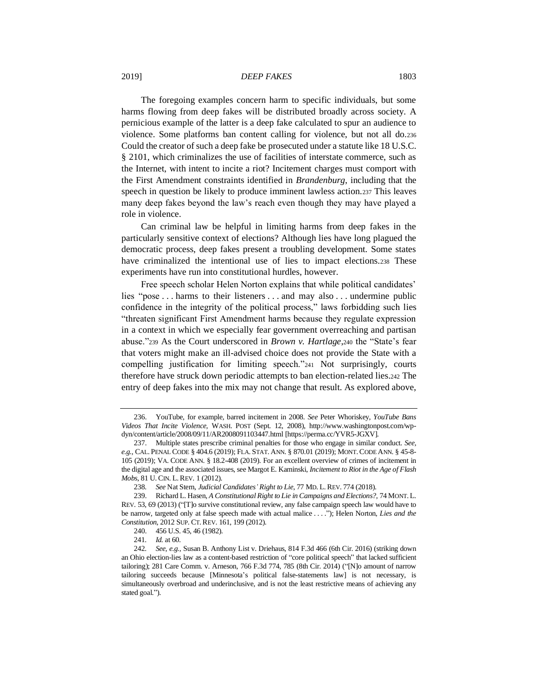The foregoing examples concern harm to specific individuals, but some harms flowing from deep fakes will be distributed broadly across society. A pernicious example of the latter is a deep fake calculated to spur an audience to violence. Some platforms ban content calling for violence, but not all do.<sup>236</sup> Could the creator of such a deep fake be prosecuted under a statute like 18 U.S.C. § 2101, which criminalizes the use of facilities of interstate commerce, such as the Internet, with intent to incite a riot? Incitement charges must comport with the First Amendment constraints identified in *Brandenburg*, including that the speech in question be likely to produce imminent lawless action.<sup>237</sup> This leaves many deep fakes beyond the law's reach even though they may have played a role in violence.

Can criminal law be helpful in limiting harms from deep fakes in the particularly sensitive context of elections? Although lies have long plagued the democratic process, deep fakes present a troubling development. Some states have criminalized the intentional use of lies to impact elections.<sup>238</sup> These experiments have run into constitutional hurdles, however.

Free speech scholar Helen Norton explains that while political candidates' lies "pose . . . harms to their listeners . . . and may also . . . undermine public confidence in the integrity of the political process," laws forbidding such lies "threaten significant First Amendment harms because they regulate expression in a context in which we especially fear government overreaching and partisan abuse."<sup>239</sup> As the Court underscored in *Brown v. Hartlage*,<sup>240</sup> the "State's fear that voters might make an ill-advised choice does not provide the State with a compelling justification for limiting speech."<sup>241</sup> Not surprisingly, courts therefore have struck down periodic attempts to ban election-related lies.<sup>242</sup> The entry of deep fakes into the mix may not change that result. As explored above,

<sup>236.</sup> YouTube, for example, barred incitement in 2008. *See* Peter Whoriskey, *YouTube Bans Videos That Incite Violence,* WASH. POST (Sept. 12, 2008), http://www.washingtonpost.com/wpdyn/content/article/2008/09/11/AR2008091103447.html [https://perma.cc/YVR5-JGXV]*.*

<sup>237.</sup> Multiple states prescribe criminal penalties for those who engage in similar conduct. *See, e.g.*, CAL. PENAL CODE § 404.6 (2019); FLA. STAT. ANN. § 870.01 (2019); MONT.CODE ANN. § 45-8- 105 (2019); VA. CODE ANN. § 18.2-408 (2019). For an excellent overview of crimes of incitement in the digital age and the associated issues, see Margot E. Kaminski, *Incitement to Riot in the Age of Flash Mobs*, 81 U.CIN. L.REV. 1 (2012).

<sup>238</sup>*. See* Nat Stern, *Judicial Candidates' Right to Lie*, 77 MD. L.REV. 774 (2018).

<sup>239.</sup> Richard L. Hasen, *A Constitutional Right to Lie in Campaigns and Elections?*, 74 MONT. L. REV. 53, 69 (2013) ("[T]o survive constitutional review, any false campaign speech law would have to be narrow, targeted only at false speech made with actual malice . . . ."); Helen Norton, *Lies and the Constitution*, 2012 SUP. CT.REV. 161, 199 (2012).

<sup>240.</sup> 456 U.S. 45, 46 (1982).

<sup>241</sup>*. Id.* at 60.

<sup>242</sup>*. See, e.g.,* Susan B. Anthony List v. Driehaus, 814 F.3d 466 (6th Cir. 2016) (striking down an Ohio election-lies law as a content-based restriction of "core political speech" that lacked sufficient tailoring); 281 Care Comm. v. Arneson, 766 F.3d 774, 785 (8th Cir. 2014) ("[N]o amount of narrow tailoring succeeds because [Minnesota's political false-statements law] is not necessary, is simultaneously overbroad and underinclusive, and is not the least restrictive means of achieving any stated goal.").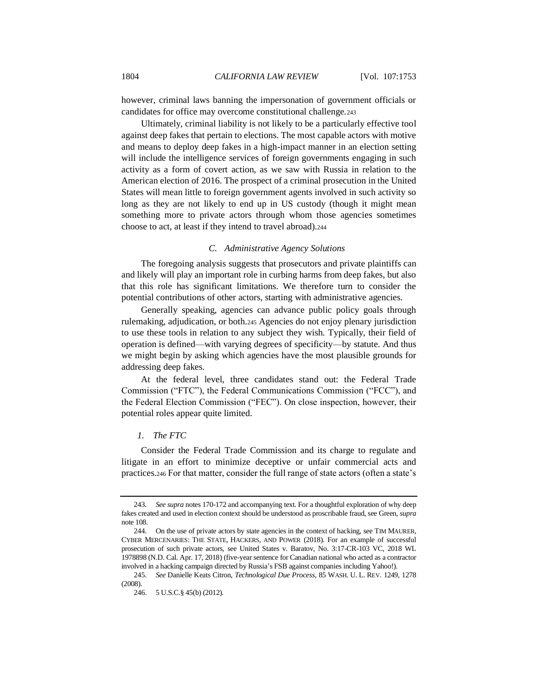however, criminal laws banning the impersonation of government officials or candidates for office may overcome constitutional challenge.<sup>243</sup>

Ultimately, criminal liability is not likely to be a particularly effective tool against deep fakes that pertain to elections. The most capable actors with motive and means to deploy deep fakes in a high-impact manner in an election setting will include the intelligence services of foreign governments engaging in such activity as a form of covert action, as we saw with Russia in relation to the American election of 2016. The prospect of a criminal prosecution in the United States will mean little to foreign government agents involved in such activity so long as they are not likely to end up in US custody (though it might mean something more to private actors through whom those agencies sometimes choose to act, at least if they intend to travel abroad).<sup>244</sup>

#### <span id="page-51-0"></span>*C. Administrative Agency Solutions*

The foregoing analysis suggests that prosecutors and private plaintiffs can and likely will play an important role in curbing harms from deep fakes, but also that this role has significant limitations. We therefore turn to consider the potential contributions of other actors, starting with administrative agencies.

Generally speaking, agencies can advance public policy goals through rulemaking, adjudication, or both.<sup>245</sup> Agencies do not enjoy plenary jurisdiction to use these tools in relation to any subject they wish. Typically, their field of operation is defined—with varying degrees of specificity—by statute. And thus we might begin by asking which agencies have the most plausible grounds for addressing deep fakes.

At the federal level, three candidates stand out: the Federal Trade Commission ("FTC"), the Federal Communications Commission ("FCC"), and the Federal Election Commission ("FEC"). On close inspection, however, their potential roles appear quite limited.

# *1. The FTC*

Consider the Federal Trade Commission and its charge to regulate and litigate in an effort to minimize deceptive or unfair commercial acts and practices.<sup>246</sup> For that matter, consider the full range of state actors (often a state's

<sup>243</sup>*. See supra* note[s 170](#page-38-0)[-172](#page-39-0) and accompanying text. For a thoughtful exploration of why deep fakes created and used in election context should be understood as proscribable fraud, see Green, *supra*  not[e 108.](#page-23-0)

<sup>244.</sup> On the use of private actors by state agencies in the context of hacking, see TIM MAURER, CYBER MERCENARIES: THE STATE, HACKERS, AND POWER (2018). For an example of successful prosecution of such private actors, see United States v. Baratov, No. 3:17-CR-103 VC, 2018 WL 1978898 (N.D. Cal. Apr. 17, 2018) (five-year sentence for Canadian national who acted as a contractor involved in a hacking campaign directed by Russia's FSB against companies including Yahoo!).

<sup>245</sup>*. See* Danielle Keats Citron, *Technological Due Process*, 85 WASH. U. L. REV. 1249, 1278 (2008).

<sup>246.</sup> 5 U.S.C.§ 45(b) (2012).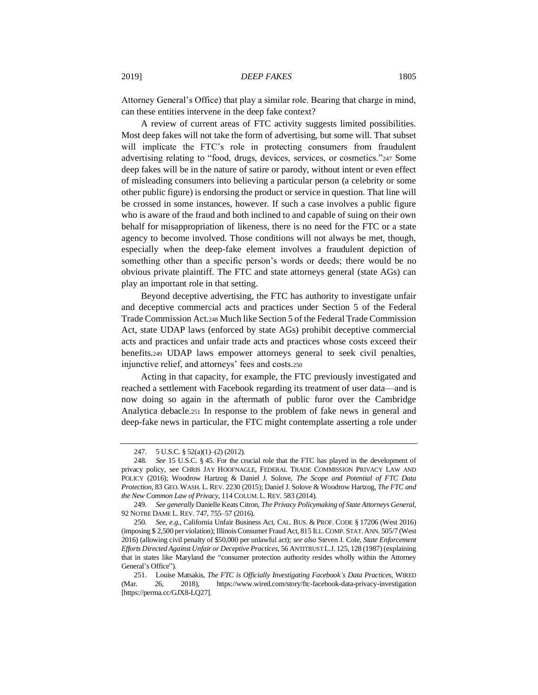Attorney General's Office) that play a similar role. Bearing that charge in mind, can these entities intervene in the deep fake context?

A review of current areas of FTC activity suggests limited possibilities. Most deep fakes will not take the form of advertising, but some will. That subset will implicate the FTC's role in protecting consumers from fraudulent advertising relating to "food, drugs, devices, services, or cosmetics."<sup>247</sup> Some deep fakes will be in the nature of satire or parody, without intent or even effect of misleading consumers into believing a particular person (a celebrity or some other public figure) is endorsing the product or service in question. That line will be crossed in some instances, however. If such a case involves a public figure who is aware of the fraud and both inclined to and capable of suing on their own behalf for misappropriation of likeness, there is no need for the FTC or a state agency to become involved. Those conditions will not always be met, though, especially when the deep-fake element involves a fraudulent depiction of something other than a specific person's words or deeds; there would be no obvious private plaintiff. The FTC and state attorneys general (state AGs) can play an important role in that setting.

Beyond deceptive advertising, the FTC has authority to investigate unfair and deceptive commercial acts and practices under Section 5 of the Federal Trade Commission Act.<sup>248</sup> Much like Section 5 of the Federal Trade Commission Act, state UDAP laws (enforced by state AGs) prohibit deceptive commercial acts and practices and unfair trade acts and practices whose costs exceed their benefits.<sup>249</sup> UDAP laws empower attorneys general to seek civil penalties, injunctive relief, and attorneys' fees and costs.<sup>250</sup>

Acting in that capacity, for example, the FTC previously investigated and reached a settlement with Facebook regarding its treatment of user data—and is now doing so again in the aftermath of public furor over the Cambridge Analytica debacle.<sup>251</sup> In response to the problem of fake news in general and deep-fake news in particular, the FTC might contemplate asserting a role under

<sup>247.</sup> 5 U.S.C. § 52(a)(1)–(2) (2012).

<sup>248</sup>*. See* 15 U.S.C. § 45. For the crucial role that the FTC has played in the development of privacy policy, see CHRIS JAY HOOFNAGLE, FEDERAL TRADE COMMISSION PRIVACY LAW AND POLICY (2016); Woodrow Hartzog & Daniel J. Solove, *The Scope and Potential of FTC Data Protection*, 83 GEO. WASH. L.REV. 2230 (2015); Daniel J. Solove & Woodrow Hartzog, *The FTC and the New Common Law of Privacy*, 114 COLUM. L. REV. 583 (2014).

<sup>249</sup>*. See generally* Danielle Keats Citron, *The Privacy Policymaking of State Attorneys General*, 92 NOTRE DAME L.REV. 747, 755–57 (2016).

<sup>250</sup>*. See, e.g.*, California Unfair Business Act, CAL. BUS. & PROF. CODE § 17206 (West 2016) (imposing \$ 2,500 per violation); Illinois Consumer Fraud Act, 815 ILL.COMP. STAT.ANN. 505/7 (West 2016) (allowing civil penalty of \$50,000 per unlawful act); *see also* Steven J. Cole, *State Enforcement Efforts Directed Against Unfair or Deceptive Practices,* 56 ANTITRUST L.J. 125, 128 (1987) (explaining that in states like Maryland the "consumer protection authority resides wholly within the Attorney General's Office").

<sup>251.</sup> Louise Matsakis, *The FTC is Officially Investigating Facebook's Data Practices*, WIRED (Mar. 26, 2018), https://www.wired.com/story/ftc-facebook-data-privacy-investigation [https://perma.cc/GJX8-LQ27].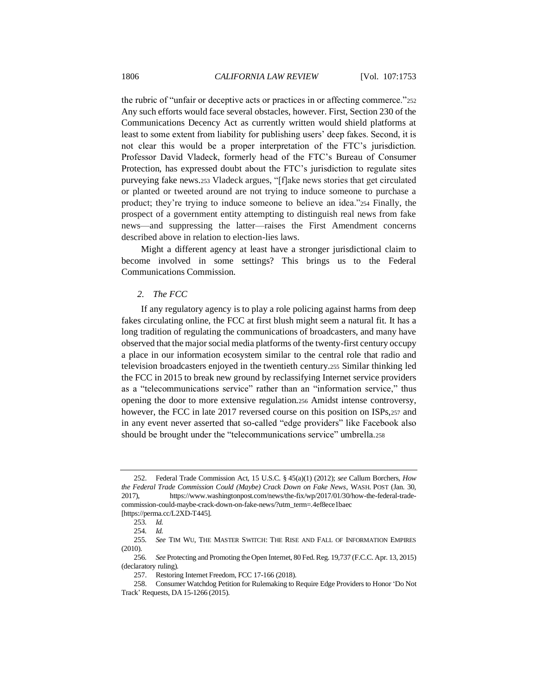the rubric of "unfair or deceptive acts or practices in or affecting commerce."252 Any such efforts would face several obstacles, however. First, Section 230 of the Communications Decency Act as currently written would shield platforms at least to some extent from liability for publishing users' deep fakes. Second, it is not clear this would be a proper interpretation of the FTC's jurisdiction. Professor David Vladeck, formerly head of the FTC's Bureau of Consumer Protection, has expressed doubt about the FTC's jurisdiction to regulate sites purveying fake news.<sup>253</sup> Vladeck argues, "[f]ake news stories that get circulated or planted or tweeted around are not trying to induce someone to purchase a product; they're trying to induce someone to believe an idea."<sup>254</sup> Finally, the prospect of a government entity attempting to distinguish real news from fake news—and suppressing the latter—raises the First Amendment concerns described above in relation to election-lies laws.

Might a different agency at least have a stronger jurisdictional claim to become involved in some settings? This brings us to the Federal Communications Commission.

## *2. The FCC*

If any regulatory agency is to play a role policing against harms from deep fakes circulating online, the FCC at first blush might seem a natural fit. It has a long tradition of regulating the communications of broadcasters, and many have observed that the major social media platforms of the twenty-first century occupy a place in our information ecosystem similar to the central role that radio and television broadcasters enjoyed in the twentieth century.<sup>255</sup> Similar thinking led the FCC in 2015 to break new ground by reclassifying Internet service providers as a "telecommunications service" rather than an "information service," thus opening the door to more extensive regulation.<sup>256</sup> Amidst intense controversy, however, the FCC in late 2017 reversed course on this position on ISPs,<sup>257</sup> and in any event never asserted that so-called "edge providers" like Facebook also should be brought under the "telecommunications service" umbrella.<sup>258</sup>

<sup>252.</sup> Federal Trade Commission Act, 15 U.S.C. § 45(a)(1) (2012); *see* Callum Borchers, *How the Federal Trade Commission Could (Maybe) Crack Down on Fake News*, WASH. POST (Jan. 30, 2017), https://www.washingtonpost.com/news/the-fix/wp/2017/01/30/how-the-federal-tradecommission-could-maybe-crack-down-on-fake-news/?utm\_term=.4ef8ece1baec [https://perma.cc/L2XD-T445].

<sup>253</sup>*. Id.*

<sup>254</sup>*. Id.*

<sup>255</sup>*. See* TIM WU, THE MASTER SWITCH: THE RISE AND FALL OF INFORMATION EMPIRES (2010).

<sup>256</sup>*. See* Protecting and Promoting the Open Internet, 80 Fed. Reg. 19,737 (F.C.C. Apr. 13, 2015) (declaratory ruling).

<sup>257.</sup> Restoring Internet Freedom, FCC 17-166 (2018).

<sup>258.</sup> Consumer Watchdog Petition for Rulemaking to Require Edge Providers to Honor 'Do Not Track' Requests, DA 15-1266 (2015).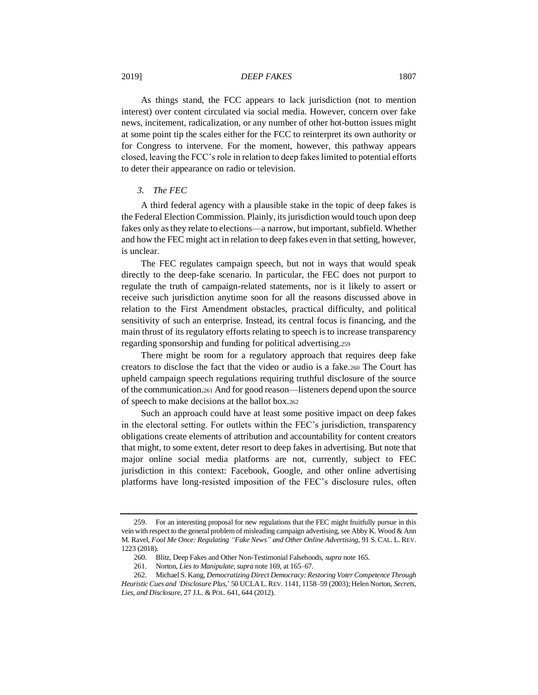As things stand, the FCC appears to lack jurisdiction (not to mention interest) over content circulated via social media. However, concern over fake news, incitement, radicalization, or any number of other hot-button issues might at some point tip the scales either for the FCC to reinterpret its own authority or for Congress to intervene. For the moment, however, this pathway appears closed, leaving the FCC's role in relation to deep fakes limited to potential efforts to deter their appearance on radio or television.

# *3. The FEC*

A third federal agency with a plausible stake in the topic of deep fakes is the Federal Election Commission. Plainly, its jurisdiction would touch upon deep fakes only as they relate to elections—a narrow, but important, subfield. Whether and how the FEC might act in relation to deep fakes even in that setting, however, is unclear.

The FEC regulates campaign speech, but not in ways that would speak directly to the deep-fake scenario. In particular, the FEC does not purport to regulate the truth of campaign-related statements, nor is it likely to assert or receive such jurisdiction anytime soon for all the reasons discussed above in relation to the First Amendment obstacles, practical difficulty, and political sensitivity of such an enterprise. Instead, its central focus is financing, and the main thrust of its regulatory efforts relating to speech is to increase transparency regarding sponsorship and funding for political advertising.<sup>259</sup>

There might be room for a regulatory approach that requires deep fake creators to disclose the fact that the video or audio is a fake.<sup>260</sup> The Court has upheld campaign speech regulations requiring truthful disclosure of the source of the communication.<sup>261</sup> And for good reason—listeners depend upon the source of speech to make decisions at the ballot box.<sup>262</sup>

Such an approach could have at least some positive impact on deep fakes in the electoral setting. For outlets within the FEC's jurisdiction, transparency obligations create elements of attribution and accountability for content creators that might, to some extent, deter resort to deep fakes in advertising. But note that major online social media platforms are not, currently, subject to FEC jurisdiction in this context: Facebook, Google, and other online advertising platforms have long-resisted imposition of the FEC's disclosure rules, often

<sup>259.</sup> For an interesting proposal for new regulations that the FEC might fruitfully pursue in this vein with respect to the general problem of misleading campaign advertising, see Abby K. Wood & Ann M. Ravel, *Fool Me Once: Regulating "Fake News" and Other Online Advertising*, 91 S.CAL. L. REV. 1223 (2018).

<sup>260.</sup> Blitz, Deep Fakes and Other Non-Testimonial Falsehoods, *supra* not[e 165.](#page-38-1)

<sup>261.</sup> Norton, *Lies to Manipulate*, *supra* not[e 169,](#page-38-2) at 165–67.

<sup>262.</sup> Michael S. Kang, *Democratizing Direct Democracy: Restoring Voter Competence Through* 

*Heuristic Cues and 'Disclosure Plus,*' 50 UCLAL.REV. 1141, 1158–59 (2003); Helen Norton, *Secrets, Lies, and Disclosure*, 27 J.L. & POL. 641, 644 (2012).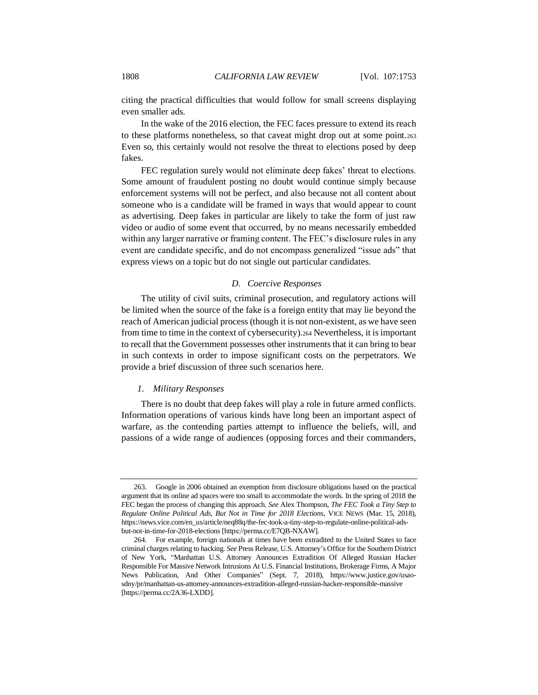citing the practical difficulties that would follow for small screens displaying even smaller ads.

In the wake of the 2016 election, the FEC faces pressure to extend its reach to these platforms nonetheless, so that caveat might drop out at some point.<sup>263</sup> Even so, this certainly would not resolve the threat to elections posed by deep fakes.

FEC regulation surely would not eliminate deep fakes' threat to elections. Some amount of fraudulent posting no doubt would continue simply because enforcement systems will not be perfect, and also because not all content about someone who is a candidate will be framed in ways that would appear to count as advertising. Deep fakes in particular are likely to take the form of just raw video or audio of some event that occurred, by no means necessarily embedded within any larger narrative or framing content. The FEC's disclosure rules in any event are candidate specific, and do not encompass generalized "issue ads" that express views on a topic but do not single out particular candidates.

#### *D. Coercive Responses*

The utility of civil suits, criminal prosecution, and regulatory actions will be limited when the source of the fake is a foreign entity that may lie beyond the reach of American judicial process (though it is not non-existent, as we have seen from time to time in the context of cybersecurity).<sup>264</sup> Nevertheless, it is important to recall that the Government possesses other instruments that it can bring to bear in such contexts in order to impose significant costs on the perpetrators. We provide a brief discussion of three such scenarios here.

#### *1. Military Responses*

There is no doubt that deep fakes will play a role in future armed conflicts. Information operations of various kinds have long been an important aspect of warfare, as the contending parties attempt to influence the beliefs, will, and passions of a wide range of audiences (opposing forces and their commanders,

<sup>263.</sup> Google in 2006 obtained an exemption from disclosure obligations based on the practical argument that its online ad spaces were too small to accommodate the words. In the spring of 2018 the FEC began the process of changing this approach. *See* Alex Thompson, *The FEC Took a Tiny Step to Regulate Online Political Ads, But Not in Time for 2018 Elections*, VICE NEWS (Mar. 15, 2018), https://news.vice.com/en\_us/article/neq88q/the-fec-took-a-tiny-step-to-regulate-online-political-adsbut-not-in-time-for-2018-elections [https://perma.cc/E7QB-NXAW].

<sup>264.</sup> For example, foreign nationals at times have been extradited to the United States to face criminal charges relating to hacking. *See* Press Release, U.S. Attorney's Office for the Southern District of New York, "Manhattan U.S. Attorney Announces Extradition Of Alleged Russian Hacker Responsible For Massive Network Intrusions At U.S. Financial Institutions, Brokerage Firms, A Major News Publication, And Other Companies" (Sept. 7, 2018), https://www.justice.gov/usaosdny/pr/manhattan-us-attorney-announces-extradition-alleged-russian-hacker-responsible-massive [https://perma.cc/2A36-LXDD].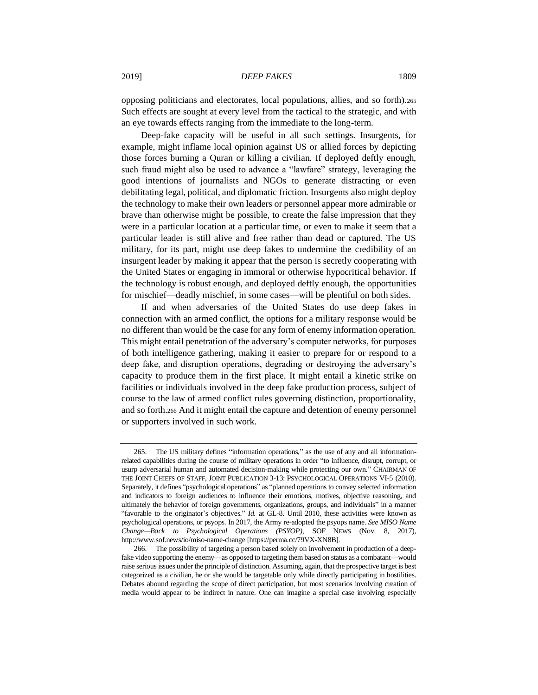opposing politicians and electorates, local populations, allies, and so forth).<sup>265</sup> Such effects are sought at every level from the tactical to the strategic, and with an eye towards effects ranging from the immediate to the long-term.

Deep-fake capacity will be useful in all such settings. Insurgents, for example, might inflame local opinion against US or allied forces by depicting those forces burning a Quran or killing a civilian. If deployed deftly enough, such fraud might also be used to advance a "lawfare" strategy, leveraging the good intentions of journalists and NGOs to generate distracting or even debilitating legal, political, and diplomatic friction. Insurgents also might deploy the technology to make their own leaders or personnel appear more admirable or brave than otherwise might be possible, to create the false impression that they were in a particular location at a particular time, or even to make it seem that a particular leader is still alive and free rather than dead or captured. The US military, for its part, might use deep fakes to undermine the credibility of an insurgent leader by making it appear that the person is secretly cooperating with the United States or engaging in immoral or otherwise hypocritical behavior. If the technology is robust enough, and deployed deftly enough, the opportunities for mischief—deadly mischief, in some cases—will be plentiful on both sides.

If and when adversaries of the United States do use deep fakes in connection with an armed conflict, the options for a military response would be no different than would be the case for any form of enemy information operation. This might entail penetration of the adversary's computer networks, for purposes of both intelligence gathering, making it easier to prepare for or respond to a deep fake, and disruption operations, degrading or destroying the adversary's capacity to produce them in the first place. It might entail a kinetic strike on facilities or individuals involved in the deep fake production process, subject of course to the law of armed conflict rules governing distinction, proportionality, and so forth.<sup>266</sup> And it might entail the capture and detention of enemy personnel or supporters involved in such work.

<sup>265.</sup> The US military defines "information operations," as the use of any and all informationrelated capabilities during the course of military operations in order "to influence, disrupt, corrupt, or usurp adversarial human and automated decision-making while protecting our own." CHAIRMAN OF THE JOINT CHIEFS OF STAFF, JOINT PUBLICATION 3-13: PSYCHOLOGICAL OPERATIONS VI-5 (2010). Separately, it defines "psychological operations" as "planned operations to convey selected information and indicators to foreign audiences to influence their emotions, motives, objective reasoning, and ultimately the behavior of foreign governments, organizations, groups, and individuals" in a manner "favorable to the originator's objectives." *Id.* at GL-8. Until 2010, these activities were known as psychological operations, or psyops. In 2017, the Army re-adopted the psyops name. *See MISO Name Change—Back to Psychological Operations (PSYOP)*, SOF NEWS (Nov. 8, 2017), http://www.sof.news/io/miso-name-change [https://perma.cc/79VX-XN8B].

<sup>266.</sup> The possibility of targeting a person based solely on involvement in production of a deepfake video supporting the enemy—as opposed to targeting them based on status as a combatant—would raise serious issues under the principle of distinction. Assuming, again, that the prospective target is best categorized as a civilian, he or she would be targetable only while directly participating in hostilities. Debates abound regarding the scope of direct participation, but most scenarios involving creation of media would appear to be indirect in nature. One can imagine a special case involving especially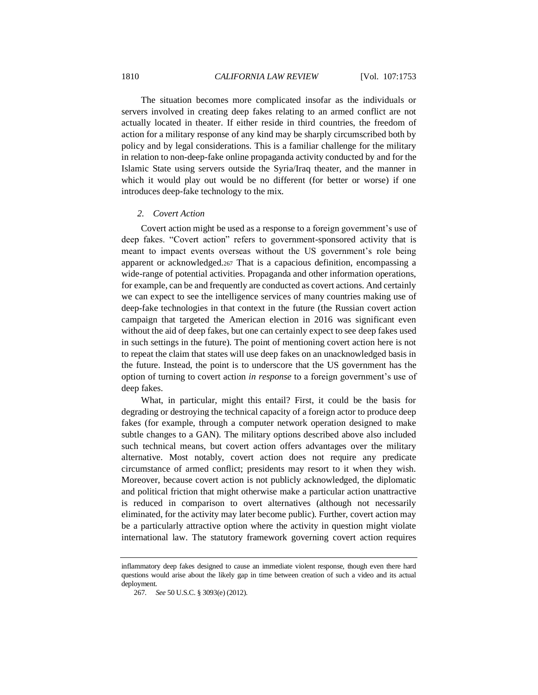The situation becomes more complicated insofar as the individuals or servers involved in creating deep fakes relating to an armed conflict are not actually located in theater. If either reside in third countries, the freedom of action for a military response of any kind may be sharply circumscribed both by policy and by legal considerations. This is a familiar challenge for the military in relation to non-deep-fake online propaganda activity conducted by and for the Islamic State using servers outside the Syria/Iraq theater, and the manner in which it would play out would be no different (for better or worse) if one introduces deep-fake technology to the mix.

# *2. Covert Action*

Covert action might be used as a response to a foreign government's use of deep fakes. "Covert action" refers to government-sponsored activity that is meant to impact events overseas without the US government's role being apparent or acknowledged.<sup>267</sup> That is a capacious definition, encompassing a wide-range of potential activities. Propaganda and other information operations, for example, can be and frequently are conducted as covert actions. And certainly we can expect to see the intelligence services of many countries making use of deep-fake technologies in that context in the future (the Russian covert action campaign that targeted the American election in 2016 was significant even without the aid of deep fakes, but one can certainly expect to see deep fakes used in such settings in the future). The point of mentioning covert action here is not to repeat the claim that states will use deep fakes on an unacknowledged basis in the future. Instead, the point is to underscore that the US government has the option of turning to covert action *in response* to a foreign government's use of deep fakes.

What, in particular, might this entail? First, it could be the basis for degrading or destroying the technical capacity of a foreign actor to produce deep fakes (for example, through a computer network operation designed to make subtle changes to a GAN). The military options described above also included such technical means, but covert action offers advantages over the military alternative. Most notably, covert action does not require any predicate circumstance of armed conflict; presidents may resort to it when they wish. Moreover, because covert action is not publicly acknowledged, the diplomatic and political friction that might otherwise make a particular action unattractive is reduced in comparison to overt alternatives (although not necessarily eliminated, for the activity may later become public). Further, covert action may be a particularly attractive option where the activity in question might violate international law. The statutory framework governing covert action requires

inflammatory deep fakes designed to cause an immediate violent response, though even there hard questions would arise about the likely gap in time between creation of such a video and its actual deployment.

<sup>267</sup>*. See* 50 U.S.C. § 3093(e) (2012).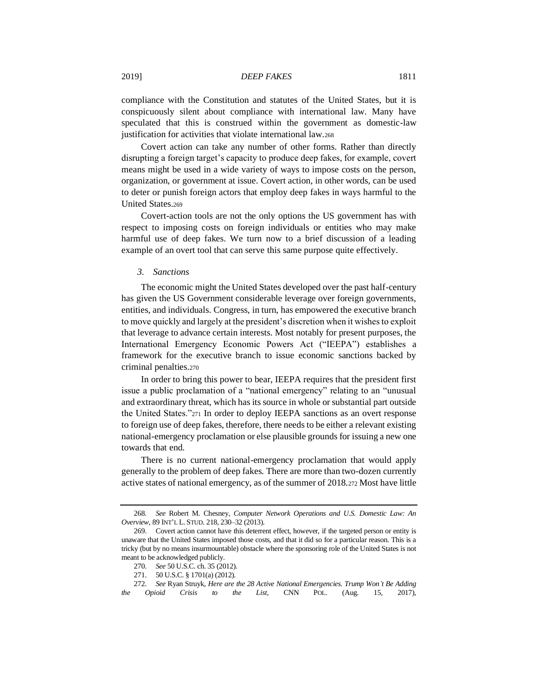compliance with the Constitution and statutes of the United States, but it is conspicuously silent about compliance with international law. Many have speculated that this is construed within the government as domestic-law justification for activities that violate international law.<sup>268</sup>

Covert action can take any number of other forms. Rather than directly disrupting a foreign target's capacity to produce deep fakes, for example, covert means might be used in a wide variety of ways to impose costs on the person, organization, or government at issue. Covert action, in other words, can be used to deter or punish foreign actors that employ deep fakes in ways harmful to the United States.<sup>269</sup>

Covert-action tools are not the only options the US government has with respect to imposing costs on foreign individuals or entities who may make harmful use of deep fakes. We turn now to a brief discussion of a leading example of an overt tool that can serve this same purpose quite effectively.

#### *3. Sanctions*

The economic might the United States developed over the past half-century has given the US Government considerable leverage over foreign governments, entities, and individuals. Congress, in turn, has empowered the executive branch to move quickly and largely at the president's discretion when it wishes to exploit that leverage to advance certain interests. Most notably for present purposes, the International Emergency Economic Powers Act ("IEEPA") establishes a framework for the executive branch to issue economic sanctions backed by criminal penalties.<sup>270</sup>

In order to bring this power to bear, IEEPA requires that the president first issue a public proclamation of a "national emergency" relating to an "unusual and extraordinary threat, which has its source in whole or substantial part outside the United States."<sup>271</sup> In order to deploy IEEPA sanctions as an overt response to foreign use of deep fakes, therefore, there needs to be either a relevant existing national-emergency proclamation or else plausible grounds for issuing a new one towards that end.

There is no current national-emergency proclamation that would apply generally to the problem of deep fakes. There are more than two-dozen currently active states of national emergency, as of the summer of 2018.<sup>272</sup> Most have little

<sup>268</sup>*. See* Robert M. Chesney, *Computer Network Operations and U.S. Domestic Law: An Overview*, 89 INT'L L. STUD. 218, 230–32 (2013).

<sup>269.</sup> Covert action cannot have this deterrent effect, however, if the targeted person or entity is unaware that the United States imposed those costs, and that it did so for a particular reason. This is a tricky (but by no means insurmountable) obstacle where the sponsoring role of the United States is not meant to be acknowledged publicly.

<sup>270</sup>*. See* 50 U.S.C. ch. 35 (2012).

<sup>271.</sup> 50 U.S.C. § 1701(a) (2012).

<sup>272</sup>*. See* Ryan Struyk, *Here are the 28 Active National Emergencies. Trump Won't Be Adding the Opioid Crisis to the List*, CNN POL. (Aug. 15, 2017),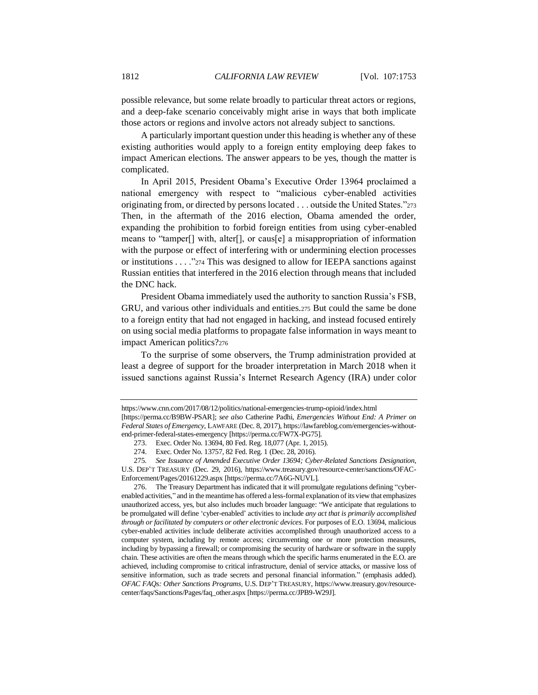possible relevance, but some relate broadly to particular threat actors or regions, and a deep-fake scenario conceivably might arise in ways that both implicate those actors or regions and involve actors not already subject to sanctions.

A particularly important question under this heading is whether any of these existing authorities would apply to a foreign entity employing deep fakes to impact American elections. The answer appears to be yes, though the matter is complicated.

In April 2015, President Obama's Executive Order 13964 proclaimed a national emergency with respect to "malicious cyber-enabled activities originating from, or directed by persons located . . . outside the United States."<sup>273</sup> Then, in the aftermath of the 2016 election, Obama amended the order, expanding the prohibition to forbid foreign entities from using cyber-enabled means to "tamper[] with, alter[], or caus[e] a misappropriation of information with the purpose or effect of interfering with or undermining election processes or institutions . . . ."<sup>274</sup> This was designed to allow for IEEPA sanctions against Russian entities that interfered in the 2016 election through means that included the DNC hack.

President Obama immediately used the authority to sanction Russia's FSB, GRU, and various other individuals and entities.<sup>275</sup> But could the same be done to a foreign entity that had not engaged in hacking, and instead focused entirely on using social media platforms to propagate false information in ways meant to impact American politics?<sup>276</sup>

To the surprise of some observers, the Trump administration provided at least a degree of support for the broader interpretation in March 2018 when it issued sanctions against Russia's Internet Research Agency (IRA) under color

276. The Treasury Department has indicated that it will promulgate regulations defining "cyberenabled activities," and in the meantime has offered a less-formal explanation of its view that emphasizes unauthorized access, yes, but also includes much broader language: "We anticipate that regulations to be promulgated will define 'cyber-enabled' activities to include *any act that is primarily accomplished through or facilitated by computers or other electronic devices*. For purposes of E.O. 13694, malicious cyber-enabled activities include deliberate activities accomplished through unauthorized access to a computer system, including by remote access; circumventing one or more protection measures, including by bypassing a firewall; or compromising the security of hardware or software in the supply chain. These activities are often the means through which the specific harms enumerated in the E.O. are achieved, including compromise to critical infrastructure, denial of service attacks, or massive loss of sensitive information, such as trade secrets and personal financial information." (emphasis added). *OFAC FAQs: Other Sanctions Programs*, U.S. DEP'T TREASURY, https://www.treasury.gov/resourcecenter/faqs/Sanctions/Pages/faq\_other.aspx [https://perma.cc/JPB9-W29J].

https://www.cnn.com/2017/08/12/politics/national-emergencies-trump-opioid/index.html

<sup>[</sup>https://perma.cc/B9BW-PSAR]; *see also* Catherine Padhi, *Emergencies Without End: A Primer on Federal States of Emergency*, LAWFARE (Dec. 8, 2017), https://lawfareblog.com/emergencies-withoutend-primer-federal-states-emergency [https://perma.cc/FW7X-PG75].

<sup>273.</sup> Exec. Order No. 13694, 80 Fed. Reg. 18,077 (Apr. 1, 2015).

<sup>274.</sup> Exec. Order No. 13757, 82 Fed. Reg. 1 (Dec. 28, 2016).

<sup>275</sup>*. See Issuance of Amended Executive Order 13694; Cyber-Related Sanctions Designation*,

U.S. DEP'T TREASURY (Dec. 29, 2016), https://www.treasury.gov/resource-center/sanctions/OFAC-Enforcement/Pages/20161229.aspx [https://perma.cc/7A6G-NUVL].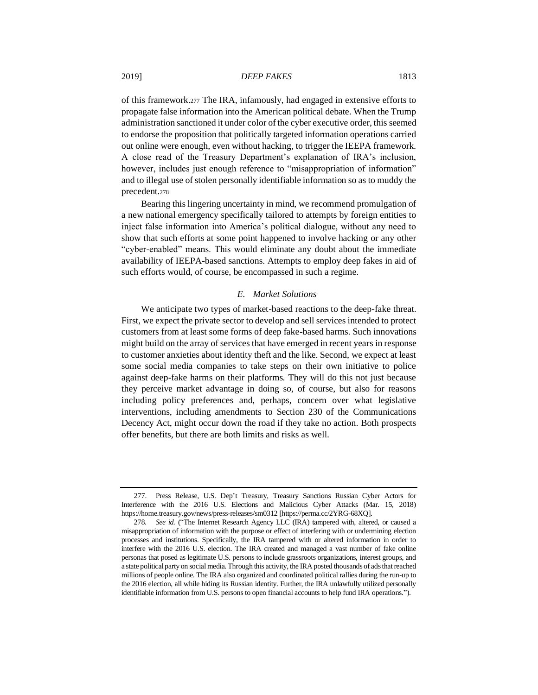of this framework.<sup>277</sup> The IRA, infamously, had engaged in extensive efforts to propagate false information into the American political debate. When the Trump administration sanctioned it under color of the cyber executive order, this seemed to endorse the proposition that politically targeted information operations carried out online were enough, even without hacking, to trigger the IEEPA framework. A close read of the Treasury Department's explanation of IRA's inclusion, however, includes just enough reference to "misappropriation of information" and to illegal use of stolen personally identifiable information so as to muddy the precedent.<sup>278</sup>

Bearing this lingering uncertainty in mind, we recommend promulgation of a new national emergency specifically tailored to attempts by foreign entities to inject false information into America's political dialogue, without any need to show that such efforts at some point happened to involve hacking or any other "cyber-enabled" means. This would eliminate any doubt about the immediate availability of IEEPA-based sanctions. Attempts to employ deep fakes in aid of such efforts would, of course, be encompassed in such a regime.

# *E. Market Solutions*

We anticipate two types of market-based reactions to the deep-fake threat. First, we expect the private sector to develop and sell services intended to protect customers from at least some forms of deep fake-based harms. Such innovations might build on the array of services that have emerged in recent years in response to customer anxieties about identity theft and the like. Second, we expect at least some social media companies to take steps on their own initiative to police against deep-fake harms on their platforms. They will do this not just because they perceive market advantage in doing so, of course, but also for reasons including policy preferences and, perhaps, concern over what legislative interventions, including amendments to Section 230 of the Communications Decency Act, might occur down the road if they take no action. Both prospects offer benefits, but there are both limits and risks as well.

<sup>277.</sup> Press Release, U.S. Dep't Treasury, Treasury Sanctions Russian Cyber Actors for Interference with the 2016 U.S. Elections and Malicious Cyber Attacks (Mar. 15, 2018) [http](https://home.treasury.gov/news/press-releases/sm0312)s://home.treasury.gov/news/press-releases/sm0312 [https://perma.cc/2YRG-68XQ].

<sup>278</sup>*. See id.* ("The Internet Research Agency LLC (IRA) tampered with, altered, or caused a misappropriation of information with the purpose or effect of interfering with or undermining election processes and institutions. Specifically, the IRA tampered with or altered information in order to interfere with the 2016 U.S. election. The IRA created and managed a vast number of fake online personas that posed as legitimate U.S. persons to include grassroots organizations, interest groups, and a state political party on social media. Through this activity, the IRA posted thousands of ads that reached millions of people online. The IRA also organized and coordinated political rallies during the run-up to the 2016 election, all while hiding its Russian identity. Further, the IRA unlawfully utilized personally identifiable information from U.S. persons to open financial accounts to help fund IRA operations.").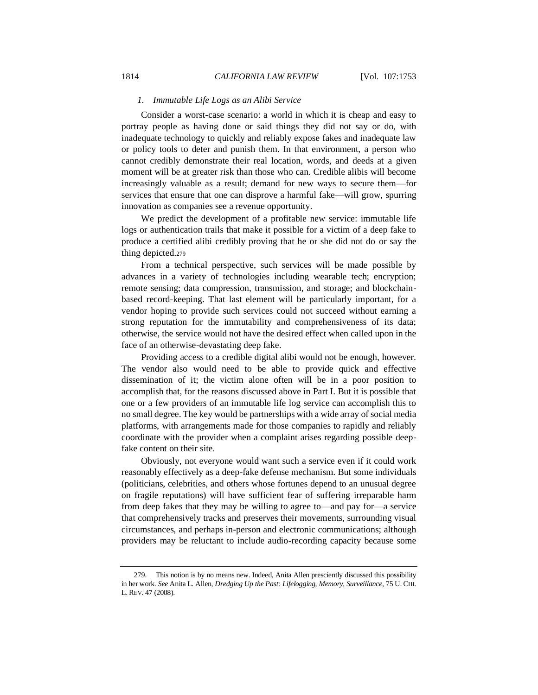# *1. Immutable Life Logs as an Alibi Service*

Consider a worst-case scenario: a world in which it is cheap and easy to portray people as having done or said things they did not say or do, with inadequate technology to quickly and reliably expose fakes and inadequate law or policy tools to deter and punish them. In that environment, a person who cannot credibly demonstrate their real location, words, and deeds at a given moment will be at greater risk than those who can. Credible alibis will become increasingly valuable as a result; demand for new ways to secure them—for services that ensure that one can disprove a harmful fake—will grow, spurring innovation as companies see a revenue opportunity.

We predict the development of a profitable new service: immutable life logs or authentication trails that make it possible for a victim of a deep fake to produce a certified alibi credibly proving that he or she did not do or say the thing depicted.<sup>279</sup>

From a technical perspective, such services will be made possible by advances in a variety of technologies including wearable tech; encryption; remote sensing; data compression, transmission, and storage; and blockchainbased record-keeping. That last element will be particularly important, for a vendor hoping to provide such services could not succeed without earning a strong reputation for the immutability and comprehensiveness of its data; otherwise, the service would not have the desired effect when called upon in the face of an otherwise-devastating deep fake.

Providing access to a credible digital alibi would not be enough, however. The vendor also would need to be able to provide quick and effective dissemination of it; the victim alone often will be in a poor position to accomplish that, for the reasons discussed above in Part I. But it is possible that one or a few providers of an immutable life log service can accomplish this to no small degree. The key would be partnerships with a wide array of social media platforms, with arrangements made for those companies to rapidly and reliably coordinate with the provider when a complaint arises regarding possible deepfake content on their site.

Obviously, not everyone would want such a service even if it could work reasonably effectively as a deep-fake defense mechanism. But some individuals (politicians, celebrities, and others whose fortunes depend to an unusual degree on fragile reputations) will have sufficient fear of suffering irreparable harm from deep fakes that they may be willing to agree to—and pay for—a service that comprehensively tracks and preserves their movements, surrounding visual circumstances, and perhaps in-person and electronic communications; although providers may be reluctant to include audio-recording capacity because some

<sup>279.</sup> This notion is by no means new. Indeed, Anita Allen presciently discussed this possibility in her work. *See* Anita L. Allen, *Dredging Up the Past: Lifelogging, Memory, Surveillance*, 75 U. CHI. L.REV. 47 (2008).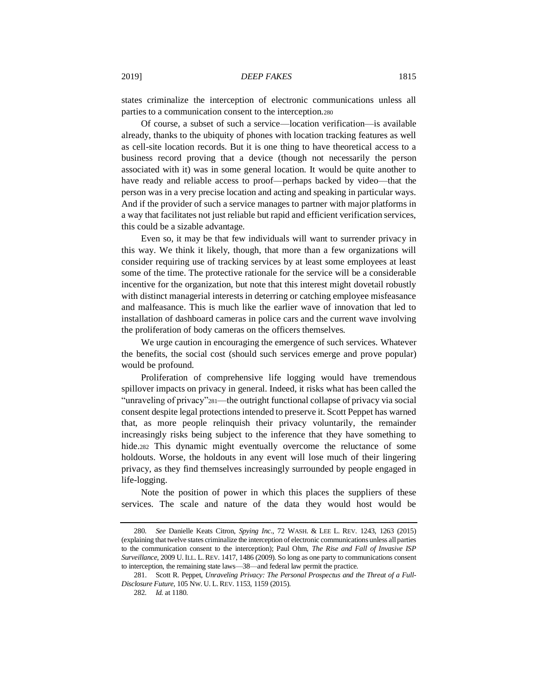states criminalize the interception of electronic communications unless all parties to a communication consent to the interception.<sup>280</sup>

Of course, a subset of such a service—location verification—is available already, thanks to the ubiquity of phones with location tracking features as well as cell-site location records. But it is one thing to have theoretical access to a business record proving that a device (though not necessarily the person associated with it) was in some general location. It would be quite another to have ready and reliable access to proof—perhaps backed by video—that the person was in a very precise location and acting and speaking in particular ways. And if the provider of such a service manages to partner with major platforms in a way that facilitates not just reliable but rapid and efficient verification services, this could be a sizable advantage.

Even so, it may be that few individuals will want to surrender privacy in this way. We think it likely, though, that more than a few organizations will consider requiring use of tracking services by at least some employees at least some of the time. The protective rationale for the service will be a considerable incentive for the organization, but note that this interest might dovetail robustly with distinct managerial interests in deterring or catching employee misfeasance and malfeasance. This is much like the earlier wave of innovation that led to installation of dashboard cameras in police cars and the current wave involving the proliferation of body cameras on the officers themselves.

We urge caution in encouraging the emergence of such services. Whatever the benefits, the social cost (should such services emerge and prove popular) would be profound.

Proliferation of comprehensive life logging would have tremendous spillover impacts on privacy in general. Indeed, it risks what has been called the "unraveling of privacy"281—the outright functional collapse of privacy via social consent despite legal protections intended to preserve it. Scott Peppet has warned that, as more people relinquish their privacy voluntarily, the remainder increasingly risks being subject to the inference that they have something to hide.<sup>282</sup> This dynamic might eventually overcome the reluctance of some holdouts. Worse, the holdouts in any event will lose much of their lingering privacy, as they find themselves increasingly surrounded by people engaged in life-logging.

Note the position of power in which this places the suppliers of these services. The scale and nature of the data they would host would be

<sup>280</sup>*. See* Danielle Keats Citron, *Spying Inc*., 72 WASH. & LEE L. REV. 1243, 1263 (2015) (explaining that twelve states criminalize the interception of electronic communications unless all parties to the communication consent to the interception); Paul Ohm, *The Rise and Fall of Invasive ISP Surveillance*, 2009 U.ILL. L.REV. 1417, 1486 (2009). So long as one party to communications consent to interception, the remaining state laws—38—and federal law permit the practice.

<sup>281.</sup> Scott R. Peppet, *Unraveling Privacy: The Personal Prospectus and the Threat of a Full-Disclosure Future*, 105 NW. U. L.REV. 1153, 1159 (2015).

<sup>282</sup>*. Id.* at 1180.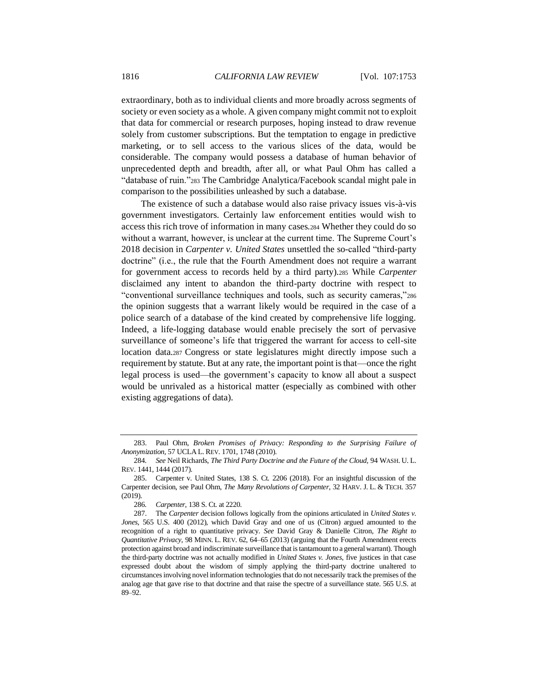extraordinary, both as to individual clients and more broadly across segments of society or even society as a whole. A given company might commit not to exploit that data for commercial or research purposes, hoping instead to draw revenue solely from customer subscriptions. But the temptation to engage in predictive marketing, or to sell access to the various slices of the data, would be considerable. The company would possess a database of human behavior of unprecedented depth and breadth, after all, or what Paul Ohm has called a "database of ruin."<sup>283</sup> The Cambridge Analytica/Facebook scandal might pale in comparison to the possibilities unleashed by such a database.

The existence of such a database would also raise privacy issues vis-à-vis government investigators. Certainly law enforcement entities would wish to access this rich trove of information in many cases.<sup>284</sup> Whether they could do so without a warrant, however, is unclear at the current time. The Supreme Court's 2018 decision in *Carpenter v. United States* unsettled the so-called "third-party doctrine" (i.e., the rule that the Fourth Amendment does not require a warrant for government access to records held by a third party).<sup>285</sup> While *Carpenter*  disclaimed any intent to abandon the third-party doctrine with respect to "conventional surveillance techniques and tools, such as security cameras,"<sup>286</sup> the opinion suggests that a warrant likely would be required in the case of a police search of a database of the kind created by comprehensive life logging. Indeed, a life-logging database would enable precisely the sort of pervasive surveillance of someone's life that triggered the warrant for access to cell-site location data.<sup>287</sup> Congress or state legislatures might directly impose such a requirement by statute. But at any rate, the important point is that—once the right legal process is used—the government's capacity to know all about a suspect would be unrivaled as a historical matter (especially as combined with other existing aggregations of data).

<sup>283.</sup> Paul Ohm, *Broken Promises of Privacy: Responding to the Surprising Failure of Anonymization,* 57 UCLA L. REV. 1701, 1748 (2010).

<sup>284</sup>*. See* Neil Richards, *The Third Party Doctrine and the Future of the Cloud*, 94 WASH. U. L. REV. 1441, 1444 (2017).

<sup>285.</sup> Carpenter v. United States, 138 S. Ct. 2206 (2018). For an insightful discussion of the Carpenter decision, see Paul Ohm, *The Many Revolutions of Carpenter*, 32 HARV. J. L. & TECH. 357 (2019).

<sup>286</sup>*. Carpenter*, 138 S. Ct. at 2220.

<sup>287.</sup> The *Carpenter* decision follows logically from the opinions articulated in *United States v. Jones*, 565 U.S. 400 (2012), which David Gray and one of us (Citron) argued amounted to the recognition of a right to quantitative privacy. *See* David Gray & Danielle Citron, *The Right to Quantitative Privacy*, 98 MINN. L. REV. 62, 64–65 (2013) (arguing that the Fourth Amendment erects protection against broad and indiscriminate surveillance that is tantamount to a general warrant). Though the third-party doctrine was not actually modified in *United States v. Jones*, five justices in that case expressed doubt about the wisdom of simply applying the third-party doctrine unaltered to circumstances involving novel information technologies that do not necessarily track the premises of the analog age that gave rise to that doctrine and that raise the spectre of a surveillance state. 565 U.S. at 89–92.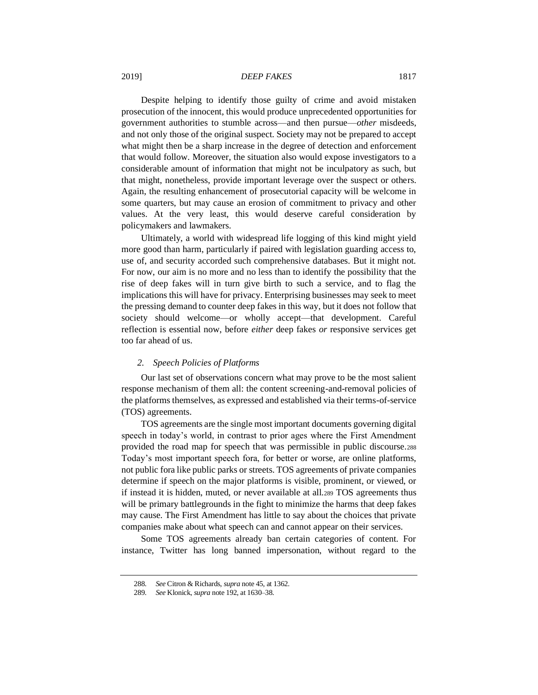Despite helping to identify those guilty of crime and avoid mistaken prosecution of the innocent, this would produce unprecedented opportunities for government authorities to stumble across—and then pursue—*other* misdeeds, and not only those of the original suspect. Society may not be prepared to accept what might then be a sharp increase in the degree of detection and enforcement that would follow. Moreover, the situation also would expose investigators to a considerable amount of information that might not be inculpatory as such, but that might, nonetheless, provide important leverage over the suspect or others. Again, the resulting enhancement of prosecutorial capacity will be welcome in some quarters, but may cause an erosion of commitment to privacy and other values. At the very least, this would deserve careful consideration by policymakers and lawmakers.

Ultimately, a world with widespread life logging of this kind might yield more good than harm, particularly if paired with legislation guarding access to, use of, and security accorded such comprehensive databases. But it might not. For now, our aim is no more and no less than to identify the possibility that the rise of deep fakes will in turn give birth to such a service, and to flag the implications this will have for privacy. Enterprising businesses may seek to meet the pressing demand to counter deep fakes in this way, but it does not follow that society should welcome—or wholly accept—that development. Careful reflection is essential now, before *either* deep fakes *or* responsive services get too far ahead of us.

# *2. Speech Policies of Platforms*

Our last set of observations concern what may prove to be the most salient response mechanism of them all: the content screening-and-removal policies of the platforms themselves, as expressed and established via their terms-of-service (TOS) agreements.

TOS agreements are the single most important documents governing digital speech in today's world, in contrast to prior ages where the First Amendment provided the road map for speech that was permissible in public discourse.<sup>288</sup> Today's most important speech fora, for better or worse, are online platforms, not public fora like public parks or streets. TOS agreements of private companies determine if speech on the major platforms is visible, prominent, or viewed, or if instead it is hidden, muted, or never available at all.<sup>289</sup> TOS agreements thus will be primary battlegrounds in the fight to minimize the harms that deep fakes may cause. The First Amendment has little to say about the choices that private companies make about what speech can and cannot appear on their services.

Some TOS agreements already ban certain categories of content. For instance, Twitter has long banned impersonation, without regard to the

<sup>288</sup>*. See* Citron & Richards, *supra* not[e 45,](#page-11-3) at 1362.

<sup>289</sup>*. See* Klonick, *supra* not[e 192,](#page-42-0) at 1630–38.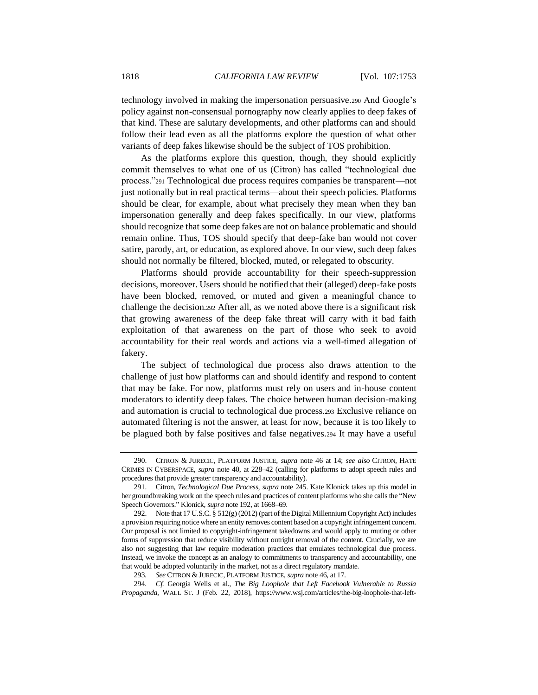technology involved in making the impersonation persuasive.<sup>290</sup> And Google's policy against non-consensual pornography now clearly applies to deep fakes of that kind. These are salutary developments, and other platforms can and should follow their lead even as all the platforms explore the question of what other variants of deep fakes likewise should be the subject of TOS prohibition.

As the platforms explore this question, though, they should explicitly commit themselves to what one of us (Citron) has called "technological due process."<sup>291</sup> Technological due process requires companies be transparent—not just notionally but in real practical terms—about their speech policies. Platforms should be clear, for example, about what precisely they mean when they ban impersonation generally and deep fakes specifically. In our view, platforms should recognize that some deep fakes are not on balance problematic and should remain online. Thus, TOS should specify that deep-fake ban would not cover satire, parody, art, or education, as explored above. In our view, such deep fakes should not normally be filtered, blocked, muted, or relegated to obscurity.

Platforms should provide accountability for their speech-suppression decisions, moreover. Users should be notified that their (alleged) deep-fake posts have been blocked, removed, or muted and given a meaningful chance to challenge the decision.<sup>292</sup> After all, as we noted above there is a significant risk that growing awareness of the deep fake threat will carry with it bad faith exploitation of that awareness on the part of those who seek to avoid accountability for their real words and actions via a well-timed allegation of fakery.

The subject of technological due process also draws attention to the challenge of just how platforms can and should identify and respond to content that may be fake. For now, platforms must rely on users and in-house content moderators to identify deep fakes. The choice between human decision-making and automation is crucial to technological due process.<sup>293</sup> Exclusive reliance on automated filtering is not the answer, at least for now, because it is too likely to be plagued both by false positives and false negatives.<sup>294</sup> It may have a useful

<sup>290.</sup> CITRON & JURECIC, PLATFORM JUSTICE, *supra* note [46](#page-11-1) at 14; *see also* CITRON, HATE CRIMES IN CYBERSPACE, *supra* note [40,](#page-11-0) at 228–42 (calling for platforms to adopt speech rules and procedures that provide greater transparency and accountability).

<sup>291.</sup> Citron, *Technological Due Process*, *supra* note [245.](#page-51-0) Kate Klonick takes up this model in her groundbreaking work on the speech rules and practices of content platforms who she calls the "New Speech Governors." Klonick, *supra* not[e 192,](#page-42-0) at 1668–69.

<sup>292.</sup> Note that 17 U.S.C. § 512(g) (2012) (part of the Digital Millennium Copyright Act) includes a provision requiring notice where an entity removes content based on a copyright infringement concern. Our proposal is not limited to copyright-infringement takedowns and would apply to muting or other forms of suppression that reduce visibility without outright removal of the content. Crucially, we are also not suggesting that law require moderation practices that emulates technological due process. Instead, we invoke the concept as an analogy to commitments to transparency and accountability, one that would be adopted voluntarily in the market, not as a direct regulatory mandate.

<sup>293</sup>*. See* CITRON & JURECIC, PLATFORM JUSTICE, *supra* not[e 46,](#page-11-1) at 17.

<sup>294</sup>*. Cf.* Georgia Wells et al., *The Big Loophole that Left Facebook Vulnerable to Russia Propaganda*, WALL ST. J (Feb. 22, 2018), https://www.wsj.com/articles/the-big-loophole-that-left-